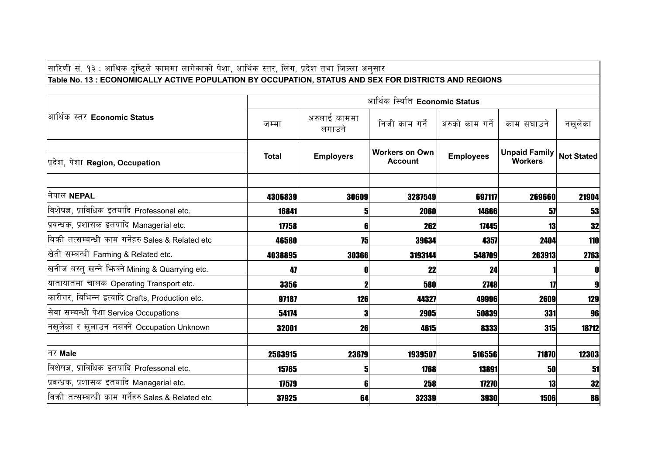| सारिणी सं. १३ : आर्थिक दष्टिले काममा लागेकाको पेशा, आर्थिक स्तर, लिंग, प्रदेश तथा जिल्ला अनुसार      |              |                        |                                         |                  |                                        |                   |
|------------------------------------------------------------------------------------------------------|--------------|------------------------|-----------------------------------------|------------------|----------------------------------------|-------------------|
| Table No. 13: ECONOMICALLY ACTIVE POPULATION BY OCCUPATION, STATUS AND SEX FOR DISTRICTS AND REGIONS |              |                        |                                         |                  |                                        |                   |
|                                                                                                      |              |                        | आर्थिक स्थिति Economic Status           |                  |                                        |                   |
| आर्थिक स्तर Economic Status                                                                          | जम्मा        | अरुलाई काममा<br>लगाउने | निजी काम गर्ने                          | अरुको काम गर्ने  | काम सघाउने                             | नखुलेका           |
| प्रदेश, पेशा Region, Occupation                                                                      | <b>Total</b> | <b>Employers</b>       | <b>Workers on Own</b><br><b>Account</b> | <b>Employees</b> | <b>Unpaid Family</b><br><b>Workers</b> | <b>Not Stated</b> |
| नेपाल NEPAL                                                                                          | 4306839      | 30609                  | 3287549                                 | 697117           | 269660                                 | 21904             |
| विशेषज्ञ, प्राविधिक इतयादि Professonal etc.                                                          | 16841        | 51                     | 2060                                    | 14666            | 57                                     | 53                |
| प्रवन्धक, प्रशासक इतयादि Managerial etc.                                                             | 17758        | 6                      | 262                                     | 17445            | 13                                     | 32                |
| बिक्री तत्सम्बन्धी काम गर्नेहरु Sales & Related etc                                                  | 46580        | 75                     | 39634                                   | 4357             | 2404                                   | 110               |
| खेती सम्बन्धी Farming & Related etc.                                                                 | 4038895      | 30366                  | 3193144                                 | 548709           | 263913                                 | 2763              |
| खनीज बस्तु खन्ने भिज्मे Mining & Quarrying etc.                                                      | 47           | 0                      | 22                                      | 24               |                                        | $\mathbf 0$       |
| यातायातमा चालक Operating Transport etc.                                                              | 3356         |                        | 580                                     | 2748             | 17                                     | $\boldsymbol{9}$  |
| कारीगर, बिभिन्न इत्यादि Crafts, Production etc.                                                      | 97187        | 126                    | 44327                                   | 49996            | 2609                                   | 129               |
| सेवा सम्बन्धी पेशा Service Occupations                                                               | 54174        | 3                      | 2905                                    | 50839            | 331                                    | 96                |
| नखुलेका र खुलाउन नसक्ने Occupation Unknown                                                           | 32001        | 26                     | 4615                                    | 8333             | <b>315</b>                             | 18712             |
|                                                                                                      |              |                        |                                         |                  |                                        |                   |
| नर Male                                                                                              | 2563915      | 23679                  | 1939507                                 | 516556           | 71870                                  | 12303             |
| विशेषज्ञ, प्राविधिक इतयादि Professonal etc.                                                          | 15765        | 5                      | 1768                                    | 13891            | 50                                     | 51                |
| प्रवन्धक, प्रशासक इतयादि Managerial etc.                                                             | 17579        | 6                      | 258                                     | 17270            | 13                                     | 32                |
| बिक्री तत्सम्बन्धी काम गर्नेहरु Sales & Related etc                                                  | 37925        | 64                     | 32339                                   | <b>3930</b>      | 1506                                   | 86                |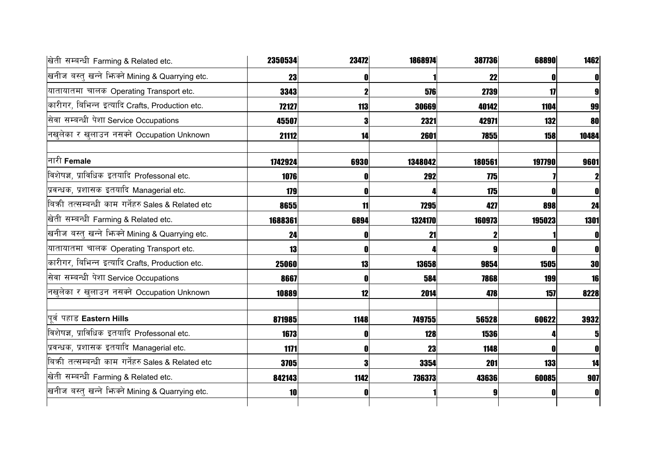| खिती सम्बन्धी Farming & Related etc.              | 2350534 | 23472 | 1868974 | 387736 | 68890      | 1462  |
|---------------------------------------------------|---------|-------|---------|--------|------------|-------|
| खनीज बस्तु खन्ने भिज्म्ने Mining & Quarrying etc. | 23      | O     |         | 22     |            |       |
| यातायातमा चालक Operating Transport etc.           | 3343    |       | 576     | 2739   | 17         |       |
| कारीगर, बिभिन्न इत्यादि Crafts, Production etc.   | 72127   | 113   | 30669   | 40142  | 1104       | 99    |
| सेवा सम्बन्धी पेशा Service Occupations            | 45507   |       | 2321    | 42971  | <b>132</b> | 80    |
| नखलेका र खुलाउन नसक्ने Occupation Unknown         | 21112   | 14    | 2601    | 7855   | 158        | 10484 |
| नारी <b>Female</b>                                | 1742924 | 6930  | 1348042 | 180561 | 197790     | 9601  |
| विशेषज्ञ, प्राविधिक इतयादि Professonal etc.       | 1076    |       | 292     | 775    |            |       |
| प्रवन्धक, प्रशासक इतयादि Managerial etc.          | 179     | 0     |         | 175    |            |       |
| बिकी तत्सम्बन्धी काम गर्नेहरु Sales & Related etc | 8655    | 11    | 7295    | 427    | 898        | 24    |
| खेती सम्बन्धी Farming & Related etc.              | 1688361 | 6894  | 1324170 | 160973 | 195023     | 1301  |
| खनीज बस्तु खन्ने भिज्म्ने Mining & Quarrying etc. | 24      |       | 21      |        |            |       |
| यातायातमा चालक Operating Transport etc.           | 13      | 0     |         |        |            |       |
| कारीगर, बिभिन्न इत्यादि Crafts, Production etc.   | 25060   | 13    | 13658   | 9854   | 1505       | 30    |
| सेवा सम्बन्धी पेशा Service Occupations            | 8667    | ſ     | 584     | 7868   | <b>199</b> | 16    |
| नखुलेका र खुलाउन नसक्ने Occupation Unknown        | 10889   | 12    | 2014    | 478    | 157        | 8228  |
| पुर्व पहाड Eastern Hills                          | 871985  | 1148  | 749755  | 56528  | 60622      | 3932  |
| विशेषज्ञ, प्राविधिक इतयादि Professonal etc.       | 1673    | Ð     | 128     | 1536   |            |       |
| प्रवन्धक, प्रशासक इतयादि Managerial etc.          | 1171    | O     | 23      | 1148   |            |       |
| बिकी तत्सम्बन्धी काम गर्नेहरु Sales & Related etc | 3705    | Я     | 3354    | 201    | 133        | 14    |
| खेती सम्बन्धी Farming & Related etc.              | 842143  | 1142  | 736373  | 43636  | 60085      | 907   |
| खनीज बस्तु खन्ने भिन्क्ने Mining & Quarrying etc. | 10      | O     |         |        |            |       |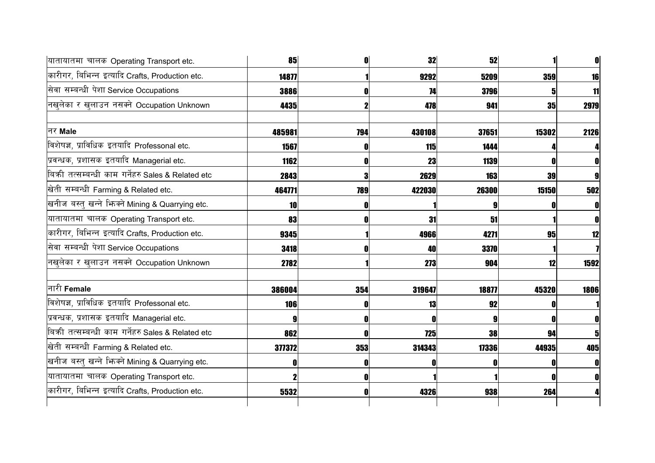| यातायातमा चालक Operating Transport etc.             | 85     | O   | 32         | 52    |            |      |
|-----------------------------------------------------|--------|-----|------------|-------|------------|------|
| कारीगर, बिभिन्न इत्यादि Crafts, Production etc.     | 14877  |     | 9292       | 5209  | <b>359</b> | 16   |
| सेवा सम्बन्धी पेशा Service Occupations              | 3886   |     | 74         | 3796  |            | 11   |
| नखलेका र खुलाउन नसक्ने Occupation Unknown           | 4435   |     | 478        | 941   | <b>35</b>  | 2979 |
| नर Male                                             | 485981 | 794 | 430108     | 37651 | 15302      | 2126 |
| विशेषज्ञ, प्राविधिक इतयादि Professonal etc.         | 1567   | O   | <b>115</b> | 1444  |            |      |
| प्रवन्धक, प्रशासक इतयादि Managerial etc.            | 1162   | Λ   | 23         | 1139  |            | 0    |
| बिकी तत्सम्बन्धी काम गर्नेहरु Sales & Related etc   | 2843   | 3   | 2629       | 163   | 39         | 9    |
| खेती सम्बन्धी Farming & Related etc.                | 464771 | 789 | 422030     | 26300 | 15150      | 502  |
| खनीज बस्तु खन्ने भिज्मे Mining & Quarrying etc.     | 10     |     |            |       |            |      |
| यातायातमा चालक Operating Transport etc.             | 83     |     | 31         | 51    |            |      |
| कारीगर, बिभिन्न इत्यादि Crafts, Production etc.     | 9345   |     | 4966       | 4271  | 95         | 12   |
| सेवा सम्बन्धी पेशा Service Occupations              | 3418   |     | 40         | 3370  |            |      |
| नखुलेका र खुलाउन नसक्ने Occupation Unknown          | 2782   |     | 273        | 904   | 12         | 1592 |
| नारी Female                                         | 386004 | 354 | 319647     | 18877 | 45320      | 1806 |
| विशेषज्ञ, प्राविधिक इतयादि Professonal etc.         | 106    |     | 13         | 92    |            |      |
| प्रवन्धक, प्रशासक इतयादि Managerial etc.            |        | O   | 0          | 9     |            |      |
| बिक्री तत्सम्बन्धी काम गर्नेहरु Sales & Related etc | 862    | N   | 725        | 38    | 94         | 5    |
| खेती सम्बन्धी Farming & Related etc.                | 377372 | 353 | 314343     | 17336 | 44935      | 405  |
| खनीज बस्तु खन्ने भिज्मे Mining & Quarrying etc.     |        |     |            |       |            | 0    |
| यातायातमा चालक Operating Transport etc.             |        |     |            |       |            |      |
| कारीगर, बिभिन्न इत्यादि Crafts, Production etc.     | 5532   |     | 4326       | 938   | 264        |      |
|                                                     |        |     |            |       |            |      |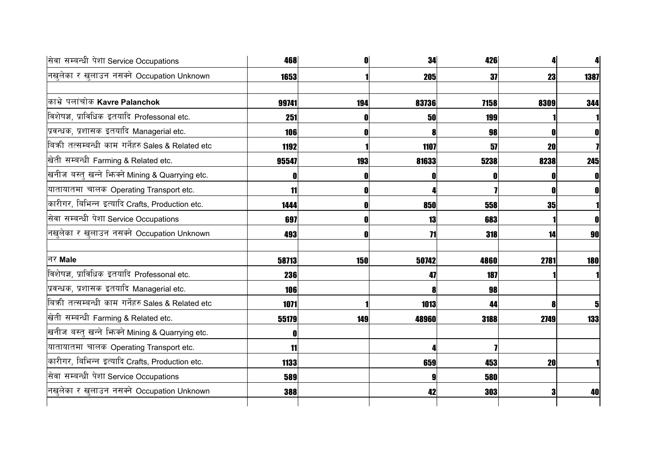| सेवा सम्बन्धी पेशा Service Occupations              | 468        |     | 34    | 426        |      |             |
|-----------------------------------------------------|------------|-----|-------|------------|------|-------------|
| नखुलेका र खुलाउन नसक्ने Occupation Unknown          | 1653       |     | 205   | 37         | 23   | 1387        |
| काभ्रे पलांचोक Kavre Palanchok                      | 99741      | 194 | 83736 | 7158       | 8309 | 344         |
| विशेषज्ञ, प्राविधिक इतयादि Professonal etc.         | 251        |     | 50    | 199        |      |             |
| प्रवन्धक, प्रशासक इतयादि Managerial etc.            | <b>106</b> |     | 8     | 98         |      | O           |
| बिक्री तत्सम्बन्धी काम गर्नेहरु Sales & Related etc | 1192       |     | 1107  | 57         | 20   |             |
| खेती सम्बन्धी Farming & Related etc.                | 95547      | 193 | 81633 | 5238       | 8238 | 245         |
| खनीज बस्तु खन्ने भिज्म्ने Mining & Quarrying etc.   |            |     | 0     |            |      | $\mathbf 0$ |
| यातायातमा चालक Operating Transport etc.             | 11         |     |       |            |      | O           |
| कारीगर, बिभिन्न इत्यादि Crafts, Production etc.     | 1444       |     | 850   | 558        | 35   |             |
| सेवा सम्बन्धी पेशा Service Occupations              | 697        |     | 13    | 683        |      |             |
| नखुलेका र खुलाउन नसक्ने Occupation Unknown          | 493        |     | 71    | <b>318</b> | 14   | <b>90</b>   |
| निर Male                                            | 58713      | 150 | 50742 | 4860       | 2781 | <b>180</b>  |
| विशेषज्ञ, प्राविधिक इतयादि Professonal etc.         | 236        |     | 47    | 187        |      |             |
| प्रवन्धक, प्रशासक इतयादि Managerial etc.            | 106        |     | 8     | 98         |      |             |
| बिकी तत्सम्बन्धी काम गर्नेहरु Sales & Related etc   | 1071       |     | 1013  | 44         |      | 5           |
| खेती सम्बन्धी Farming & Related etc.                | 55179      | 149 | 48960 | 3188       | 2749 | 133         |
| खनीज बस्तु खन्ने भिन्क्ने Mining & Quarrying etc.   |            |     |       |            |      |             |
| यातायातमा चालक Operating Transport etc.             | 11         |     | л     |            |      |             |
| कारीगर, बिभिन्न इत्यादि Crafts, Production etc.     | 1133       |     | 659   | 453        | 20   |             |
| सेवा सम्बन्धी पेशा Service Occupations              | 589        |     | 9     | 580        |      |             |
| नखुलेका र खुलाउन नसक्ने Occupation Unknown          | 388        |     | 42    | 303        |      | 40          |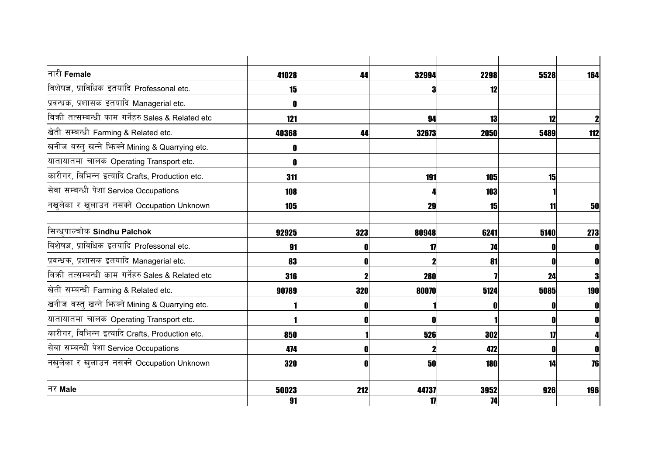| नारी Female                                         | 41028       | 44  | 32994       | 2298       | 5528 | 164          |
|-----------------------------------------------------|-------------|-----|-------------|------------|------|--------------|
| विशेषज्ञ, प्राविधिक इतयादि Professonal etc.         | 15          |     | 3           | 12         |      |              |
| प्रवन्धक, प्रशासक इतयादि Managerial etc.            |             |     |             |            |      |              |
| बिकी तत्सम्बन्धी काम गर्नेहरु Sales & Related etc   | 121         |     | 94          | 13         | 12   | $\mathbf 2$  |
| खेती सम्बन्धी Farming & Related etc.                | 40368       | 44  | 32673       | 2050       | 5489 | 112          |
| खनीज बस्तु खन्ने भिज्मे Mining & Quarrying etc.     |             |     |             |            |      |              |
| यातायातमा चालक Operating Transport etc.             |             |     |             |            |      |              |
| कारीगर, बिभिन्न इत्यादि Crafts, Production etc.     | 311         |     | 191         | <b>105</b> | 15   |              |
| सेवा सम्बन्धी पेशा Service Occupations              | 108         |     |             | 103        |      |              |
| नखुलेका र खुलाउन नसक्ने Occupation Unknown          | <b>105</b>  |     | 29          | 15         | 11   | 50           |
| सिन्धुपाल्चोक Sindhu Palchok                        | 92925       | 323 | 80948       | 6241       | 5140 | 273          |
| विशेषज्ञ, प्राविधिक इतयादि Professonal etc.         | 91          |     | 17          | 74         |      | 0            |
| प्रवन्धक, प्रशासक इतयादि Managerial etc.            | 83          |     |             | 81         |      | 0            |
| बिक्री तत्सम्बन्धी काम गर्नेहरु Sales & Related etc | 316         |     | <b>280</b>  |            | 24   | 3            |
| खेती सम्बन्धी Farming & Related etc.                | 90789       | 320 | 80070       | 5124       | 5085 | <b>190</b>   |
| खनीज बस्तु खन्ने भिज्मे Mining & Quarrying etc.     |             |     |             |            |      | $\mathbf{0}$ |
| यातायातमा चालक Operating Transport etc.             |             |     | n           |            |      | $\mathbf{0}$ |
| कारीगर, बिभिन्न इत्यादि Crafts, Production etc.     | 850         |     | 526         | 302        | 17   | Δ            |
| सेवा सम्बन्धी पेशा Service Occupations              | 474         |     |             | 472        |      | 0            |
| नखुलेका र खुलाउन नसक्ने Occupation Unknown          | 320         |     | 50          | <b>180</b> | 14   | 76           |
| नर Male                                             |             |     |             |            |      |              |
|                                                     | 50023<br>91 | 212 | 44737<br>17 | 3952<br>74 | 926  | 196          |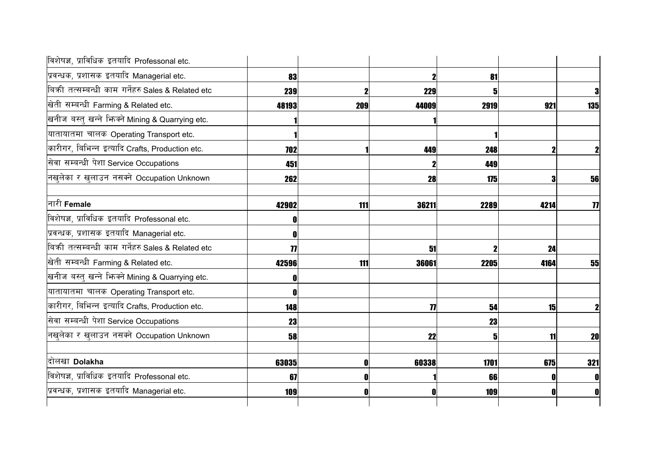| विशेषज्ञ, प्राविधिक इतयादि Professonal etc.         |       |     |                     |      |      |                     |
|-----------------------------------------------------|-------|-----|---------------------|------|------|---------------------|
| प्रवन्धक, प्रशासक इतयादि Managerial etc.            | 83    |     | 2                   | 81   |      |                     |
| बिकी तत्सम्बन्धी काम गर्नेहरु Sales & Related etc   | 239   |     | 229                 |      |      | $\bf{3}$            |
| खेती सम्बन्धी Farming & Related etc.                | 48193 | 209 | 44009               | 2919 | 921  | 135                 |
| खनीज बस्तु खन्ने भिज्मे Mining & Quarrying etc.     |       |     |                     |      |      |                     |
| यातायातमा चालक Operating Transport etc.             |       |     |                     |      |      |                     |
| कारीगर, बिभिन्न इत्यादि Crafts, Production etc.     | 702   |     | 449                 | 248  |      | $\mathbf 2$         |
| सेवा सम्बन्धी पेशा Service Occupations              | 451   |     |                     | 449  |      |                     |
| नखुलेका र खुलाउन नसक्ने Occupation Unknown          | 262   |     | 28                  | 175  |      | 56                  |
| नारी <b>Female</b>                                  | 42902 | 111 | 36211               | 2289 | 4214 | $\boldsymbol{\eta}$ |
| विशेषज्ञ, प्राविधिक इतयादि Professonal etc.         |       |     |                     |      |      |                     |
| प्रवन्धक, प्रशासक इतयादि Managerial etc.            |       |     |                     |      |      |                     |
| बिक्री तत्सम्बन्धी काम गर्नेहरु Sales & Related etc | 77    |     | 51                  |      | 24   |                     |
| खेती सम्बन्धी Farming & Related etc.                | 42596 | 111 | 36061               | 2205 | 4164 | 55                  |
| खनीज बस्तु खन्ने भिज्मे Mining & Quarrying etc.     |       |     |                     |      |      |                     |
| यातायातमा चालक Operating Transport etc.             |       |     |                     |      |      |                     |
| कारीगर, बिभिन्न इत्यादि Crafts, Production etc.     | 148   |     | $\boldsymbol{\eta}$ | 54   | 15   | $\mathbf{2}$        |
| सेवा सम्बन्धी पेशा Service Occupations              | 23    |     |                     | 23   |      |                     |
| नखुलेका र खुलाउन नसक्ने Occupation Unknown          | 58    |     | 22                  | 5    | 11   | <b>20</b>           |
| दोलखा Dolakha                                       | 63035 |     | 60338               | 1701 | 675  | 321                 |
| विशेषज्ञ, प्राविधिक इतयादि Professonal etc.         | 67    |     |                     | 66   |      | 0                   |
| प्रवन्धक, प्रशासक इतयादि Managerial etc.            | 109   |     | 0                   | 109  |      | 0                   |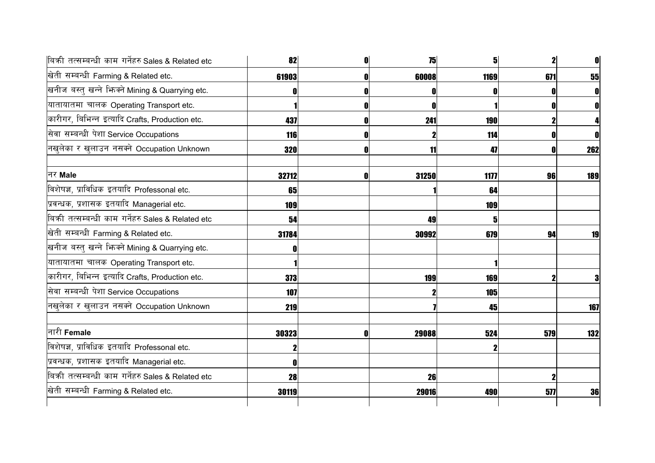| बिकी तत्सम्बन्धी काम गर्नेहरु Sales & Related etc | 82    |   | 75    | 51         | $\mathbf{2}$ |     |
|---------------------------------------------------|-------|---|-------|------------|--------------|-----|
| खेती सम्बन्धी Farming & Related etc.              | 61903 |   | 60008 | 1169       | 671          | 55  |
| खनीज बस्तु खन्ने भिज्मे Mining & Quarrying etc.   |       |   |       |            |              |     |
| यातायातमा चालक Operating Transport etc.           |       |   | 0     |            |              |     |
| कारीगर, बिभिन्न इत्यादि Crafts, Production etc.   | 437   |   | 241   | <b>190</b> |              |     |
| सेवा सम्बन्धी पेशा Service Occupations            | 116   |   |       | 114        |              |     |
| नखुलेका र खुलाउन नसक्ने Occupation Unknown        | 320   |   | 11    | 47         |              | 262 |
| नर Male                                           | 32712 | N | 31250 | 1177       | 96           | 189 |
| विशेषज्ञ, प्राविधिक इतयादि Professonal etc.       | 65    |   |       | 64         |              |     |
| प्रवन्धक, प्रशासक इतयादि Managerial etc.          | 109   |   |       | 109        |              |     |
| बिकी तत्सम्बन्धी काम गर्नेहरु Sales & Related etc | 54    |   | 49    | 5          |              |     |
| खेती सम्बन्धी Farming & Related etc.              | 31784 |   | 30992 | 679        | 94           | 19  |
| खनीज बस्तु खन्ने भिन्क्ने Mining & Quarrying etc. |       |   |       |            |              |     |
| यातायातमा चालक Operating Transport etc.           |       |   |       |            |              |     |
| कारीगर, बिभिन्न इत्यादि Crafts, Production etc.   | 373   |   | 199   | 169        |              |     |
| सेवा सम्बन्धी पेशा Service Occupations            | 107   |   |       | 105        |              |     |
| नखुलेका र खुलाउन नसक्ने Occupation Unknown        | 219   |   |       | 45         |              | 167 |
| नारी Female                                       | 30323 |   | 29088 | 524        | 579          | 132 |
| विशेषज्ञ, प्राविधिक इतयादि Professonal etc.       |       |   |       |            |              |     |
| प्रवन्धक, प्रशासक इतयादि Managerial etc.          |       |   |       |            |              |     |
| बिकी तत्सम्बन्धी काम गर्नेहरु Sales & Related etc | 28    |   | 26    |            |              |     |
| खेती सम्बन्धी Farming & Related etc.              | 30119 |   | 29016 | 490        | 577          | 36  |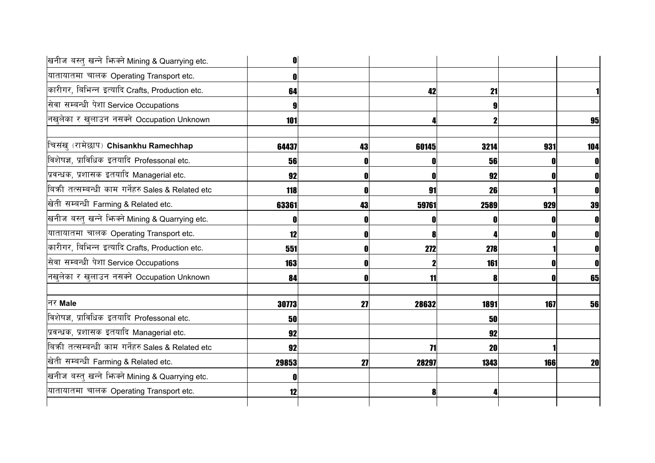| 0     |    |       |                                   |                                                                                                    |
|-------|----|-------|-----------------------------------|----------------------------------------------------------------------------------------------------|
|       |    |       |                                   |                                                                                                    |
| 64    |    |       |                                   |                                                                                                    |
|       |    |       |                                   |                                                                                                    |
| 101   |    |       |                                   | 95                                                                                                 |
| 64437 | 43 | 60145 | 931                               | 104                                                                                                |
| 56    |    |       |                                   | 0                                                                                                  |
| 92    |    |       |                                   | O                                                                                                  |
| 118   |    | 91    |                                   |                                                                                                    |
| 63361 | 43 |       | 929                               | 39                                                                                                 |
|       |    | O     |                                   | O                                                                                                  |
| 12    | 0  |       |                                   | 0                                                                                                  |
| 551   | O  | 272   |                                   | 0                                                                                                  |
| 163   |    |       |                                   | 0                                                                                                  |
| 84    |    |       |                                   | 65                                                                                                 |
| 30773 | 27 | 28632 | 167                               | 56                                                                                                 |
| 50    |    |       |                                   |                                                                                                    |
| 92    |    |       |                                   |                                                                                                    |
| 92    |    |       |                                   |                                                                                                    |
| 29853 | 27 | 28297 | <b>166</b>                        | <b>20</b>                                                                                          |
|       |    |       |                                   |                                                                                                    |
| 12    |    | 8     |                                   |                                                                                                    |
|       |    |       | 42<br>0<br>59761<br>8<br>11<br>71 | 21<br>3214<br>56<br>92<br>26<br>2589<br>278<br>161<br>1891<br><b>50</b><br>92<br><b>20</b><br>1343 |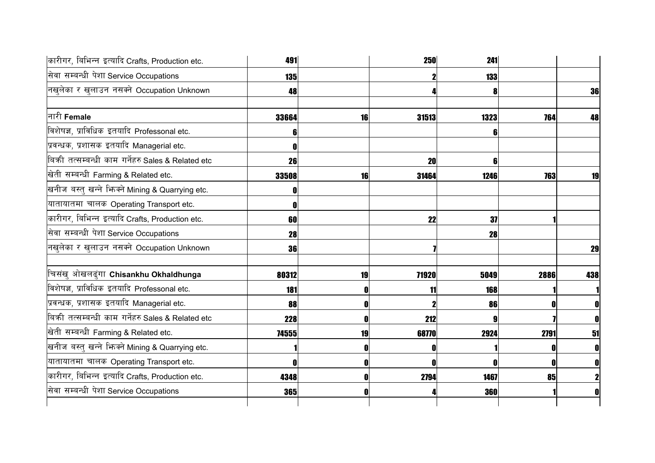| कारीगर, बिभिन्न इत्यादि Crafts, Production etc.   | 491        |    | <b>250</b> | 241        |      |              |
|---------------------------------------------------|------------|----|------------|------------|------|--------------|
| सेवा सम्बन्धी पेशा Service Occupations            | <b>135</b> |    |            | <b>133</b> |      |              |
| नखुलेका र खुलाउन नसक्ने Occupation Unknown        | 48         |    |            |            |      | 36           |
| नारी Female                                       | 33664      | 16 | 31513      | 1323       | 764  | 48           |
| विशेषज्ञ, प्राविधिक इतयादि Professonal etc.       | b          |    |            | 6          |      |              |
| प्रवन्धक, प्रशासक इतयादि Managerial etc.          |            |    |            |            |      |              |
| बिकी तत्सम्बन्धी काम गर्नेहरु Sales & Related etc | 26         |    | 20         | 6          |      |              |
| खेती सम्बन्धी Farming & Related etc.              | 33508      | 16 | 31464      | 1246       | 763  | 19           |
| खनीज बस्तु खन्ने भिन्क्ने Mining & Quarrying etc. |            |    |            |            |      |              |
| यातायातमा चालक Operating Transport etc.           |            |    |            |            |      |              |
| कारीगर, बिभिन्न इत्यादि Crafts, Production etc.   | 60         |    | 22         | 37         |      |              |
| सेवा सम्बन्धी पेशा Service Occupations            | 28         |    |            | 28         |      |              |
| नखुलेका र खुलाउन नसक्ने Occupation Unknown        | 36         |    |            |            |      | 29           |
| चिसंख् ओखलढुंगा Chisankhu Okhaldhunga             | 80312      | 19 | 71920      | 5049       | 2886 | 438          |
| विशेषज्ञ, प्राविधिक इतयादि Professonal etc.       | 181        |    | 11         | 168        |      |              |
| प्रवन्धक, प्रशासक इतयादि Managerial etc.          | 88         |    | 2          | 86         |      | 0            |
| बिकी तत्सम्बन्धी काम गर्नेहरु Sales & Related etc | 228        |    | 212        | g          |      | 0            |
| खेती सम्बन्धी Farming & Related etc.              | 74555      | 19 | 68770      | 2924       | 2791 | 51           |
| खनीज बस्तु खन्ने भिज्म्ने Mining & Quarrying etc. |            |    | O          |            |      | $\mathbf{0}$ |
| यातायातमा चालक Operating Transport etc.           |            |    | 0          |            |      | $\mathbf 0$  |
| कारीगर, बिभिन्न इत्यादि Crafts, Production etc.   | 4348       |    | 2794       | 1467       | 85   | $\mathbf{2}$ |
| सेवा सम्बन्धी पेशा Service Occupations            | 365        |    |            | 360        |      | 0            |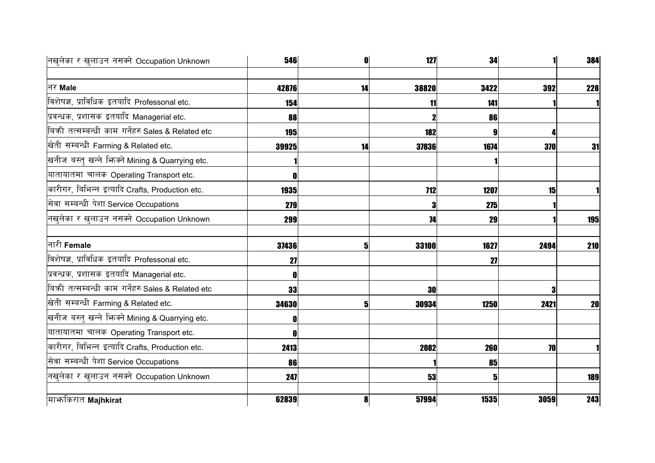| नखुलेका र खुलाउन नसक्ने Occupation Unknown          | 546        | O  | 127          | 34   |      | 384        |
|-----------------------------------------------------|------------|----|--------------|------|------|------------|
| नर Male                                             | 42876      | 14 | 38820        | 3422 | 392  | 228        |
| विशेषज्ञ, प्राविधिक इतयादि Professonal etc.         | 154        |    | 11           | 141  |      |            |
| प्रवन्धक, प्रशासक इतयादि Managerial etc.            | 88         |    |              | 86   |      |            |
| बिकी तत्सम्बन्धी काम गर्नेहरु Sales & Related etc   | <b>195</b> |    | 182          |      |      |            |
| खेती सम्बन्धी Farming & Related etc.                | 39925      | 14 | 37836        | 1674 | 370  | 31         |
| खनीज बस्तु खन्ने भिज्मे Mining & Quarrying etc.     |            |    |              |      |      |            |
| यातायातमा चालक Operating Transport etc.             |            |    |              |      |      |            |
| कारीगर, बिभिन्न इत्यादि Crafts, Production etc.     | 1935       |    | <b>712</b>   | 1207 | 15   |            |
| सेवा सम्बन्धी पेशा Service Occupations              | 279        |    | 3            | 275  |      |            |
| नखुलेका र खुलाउन नसक्ने Occupation Unknown          | 299        |    | 74           | 29   |      | <b>195</b> |
| नारी Female                                         | 37436      | 5  | <b>33100</b> | 1627 | 2494 | 210        |
| विशेषज्ञ, प्राविधिक इतयादि Professonal etc.         | 27         |    |              | 27   |      |            |
| प्रवन्धक, प्रशासक इतयादि Managerial etc.            |            |    |              |      |      |            |
| बिक्री तत्सम्बन्धी काम गर्नेहरु Sales & Related etc | 33         |    | 30           |      |      |            |
| खेती सम्बन्धी Farming & Related etc.                | 34630      | 5  | 30934        | 1250 | 2421 | <b>20</b>  |
| खनीज बस्तु खन्ने भिन्क्ने Mining & Quarrying etc.   |            |    |              |      |      |            |
| यातायातमा चालक Operating Transport etc.             |            |    |              |      |      |            |
| कारीगर, बिभिन्न इत्यादि Crafts, Production etc.     | 2413       |    | 2082         | 260  | 70   |            |
| सेवा सम्बन्धी पेशा Service Occupations              | 86         |    |              | 85   |      |            |
| नखुलेका र खुलाउन नसक्ने Occupation Unknown          | 247        |    | 53           | 5    |      | 189        |
| माभ्ककिरात Majhkirat                                | 62839      | 8  | 57994        | 1535 | 3059 | 243        |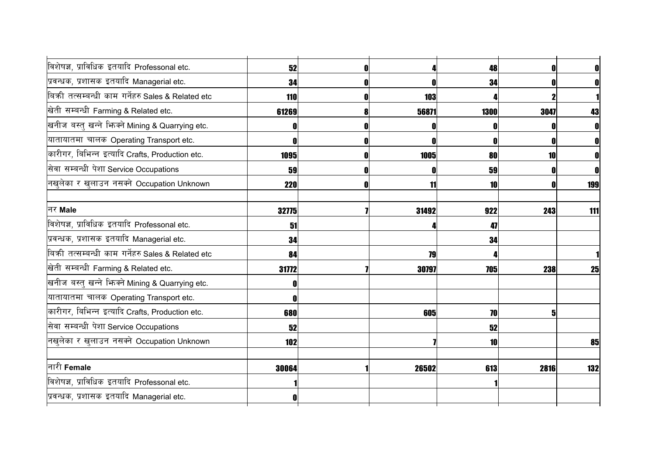| विशेषज्ञ, प्राविधिक इतयादि Professonal etc.       | 52         |             | 48          | 0         | $\mathbf{0}$ |
|---------------------------------------------------|------------|-------------|-------------|-----------|--------------|
| प्रवन्धक, प्रशासक इतयादि Managerial etc.          | 34         |             | 34          |           |              |
| बिकी तत्सम्बन्धी काम गर्नेहरु Sales & Related etc | 110        | 103         |             |           |              |
| खेती सम्बन्धी Farming & Related etc.              | 61269      | 56871       | <b>1300</b> | 3047      | 43           |
| खनीज बस्तु खन्ने भिन्क्ने Mining & Quarrying etc. |            | O           |             |           |              |
| यातायातमा चालक Operating Transport etc.           |            | $\mathbf 0$ | 0           | O         | 0            |
| कारीगर, बिभिन्न इत्यादि Crafts, Production etc.   | 1095       | 1005        | 80          | <b>10</b> | $\mathbf{0}$ |
| सेवा सम्बन्धी पेशा Service Occupations            | 59         | 0           | 59          |           | $\mathbf{0}$ |
| नखुलेका र खुलाउन नसक्ने Occupation Unknown        | <b>220</b> | 11          | 10          |           | 199          |
|                                                   |            |             |             |           |              |
| नर Male                                           | 32775      | 31492       | 922         | 243       | 111          |
| विशेषज्ञ, प्राविधिक इतयादि Professonal etc.       | 51         |             | 47          |           |              |
| प्रवन्धक, प्रशासक इतयादि Managerial etc.          | 34         |             | 34          |           |              |
| बिकी तत्सम्बन्धी काम गर्नेहरु Sales & Related etc | 84         | 79          |             |           |              |
| खेती सम्बन्धी Farming & Related etc.              | 31772      | 30797       | 705         | 238       | 25           |
| खनीज बस्तु खन्ने भिन्क्ने Mining & Quarrying etc. |            |             |             |           |              |
| यातायातमा चालक Operating Transport etc.           |            |             |             |           |              |
| कारीगर, बिभिन्न इत्यादि Crafts, Production etc.   | 680        | 605         | 70          | 5         |              |
| सेवा सम्बन्धी पेशा Service Occupations            | 52         |             | 52          |           |              |
| नखुलेका र खुलाउन नसक्ने Occupation Unknown        | 102        |             | 10          |           | 85           |
|                                                   |            |             |             |           |              |
| नारी Female                                       | 30064      | 26502       | 613         | 2816      | 132          |
| विशेषज्ञ, प्राविधिक इतयादि Professonal etc.       |            |             |             |           |              |
| प्रवन्धक, प्रशासक इतयादि Managerial etc.          |            |             |             |           |              |
|                                                   |            |             |             |           |              |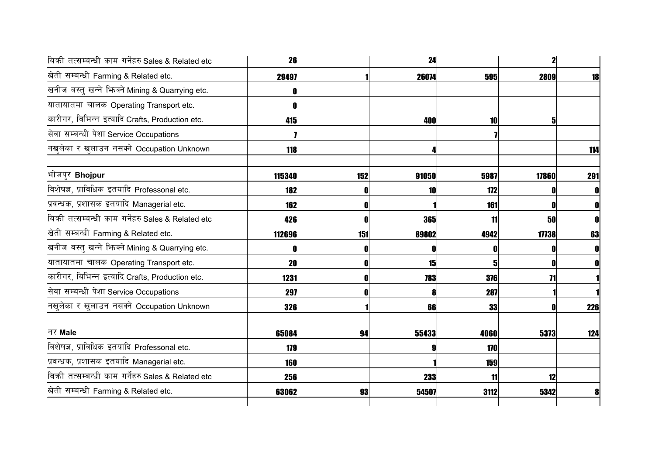| बिकी तत्सम्बन्धी काम गर्नेहरु Sales & Related etc | 26     |     | 24    |            | $\mathbf{2}$ |     |
|---------------------------------------------------|--------|-----|-------|------------|--------------|-----|
| खेती सम्बन्धी Farming & Related etc.              | 29497  |     | 26074 | <b>595</b> | 2809         | 18  |
| खनीज बस्तु खन्ने भिज्मे Mining & Quarrying etc.   |        |     |       |            |              |     |
| यातायातमा चालक Operating Transport etc.           |        |     |       |            |              |     |
| कारीगर, बिभिन्न इत्यादि Crafts, Production etc.   | 415    |     | 400   | 10         | 5            |     |
| सेवा सम्बन्धी पेशा Service Occupations            |        |     |       |            |              |     |
| नखुलेका र खुलाउन नसक्ने Occupation Unknown        | 118    |     |       |            |              | 114 |
| भोजपुर Bhojpur                                    | 115340 | 152 | 91050 | 5987       | 17860        | 291 |
| विशेषज्ञ, प्राविधिक इतयादि Professonal etc.       | 182    |     | 10    | 172        |              |     |
| प्रवन्धक, प्रशासक इतयादि Managerial etc.          | 162    |     |       | 161        |              |     |
| बिकी तत्सम्बन्धी काम गर्नेहरु Sales & Related etc | 426    |     | 365   | 11         | 50           |     |
| खेती सम्बन्धी Farming & Related etc.              | 112696 | 151 | 89802 | 4942       | 17738        | 63  |
| खनीज बस्तु खन्ने भिन्क्ने Mining & Quarrying etc. |        |     | 0     |            |              |     |
| यातायातमा चालक Operating Transport etc.           | 20     | ſ   | 15    | 51         |              |     |
| कारीगर, बिभिन्न इत्यादि Crafts, Production etc.   | 1231   | N   | 783   | 376        | 71           |     |
| सेवा सम्बन्धी पेशा Service Occupations            | 297    |     | 8     | 287        |              |     |
| नखुलेका र खुलाउन नसक्ने Occupation Unknown        | 326    |     | 66    | 33         |              | 226 |
| नर Male                                           | 65084  | 94  | 55433 | 4060       | 5373         | 124 |
| विशेषज्ञ, प्राविधिक इतयादि Professonal etc.       | 179    |     | 9     | 170        |              |     |
| प्रवन्धक, प्रशासक इतयादि Managerial etc.          | 160    |     |       | 159        |              |     |
| बिकी तत्सम्बन्धी काम गर्नेहरु Sales & Related etc | 256    |     | 233   | 11         | 12           |     |
| खेती सम्बन्धी Farming & Related etc.              | 63062  | 93  | 54507 | 3112       | 5342         | 8   |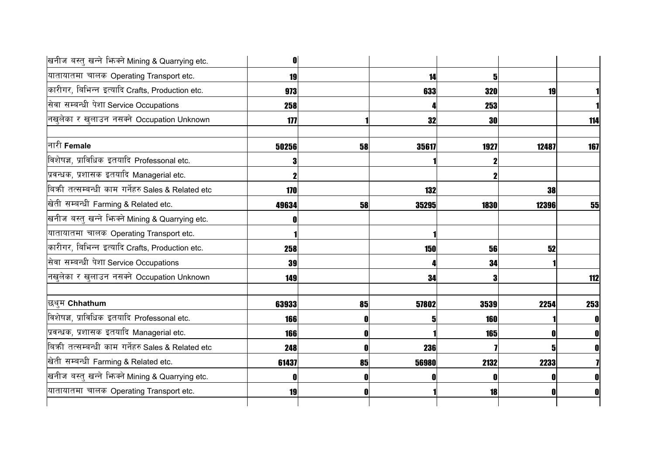| 0          |    |       |      |       |                                                                                |
|------------|----|-------|------|-------|--------------------------------------------------------------------------------|
| 19         |    | 14    |      |       |                                                                                |
| 973        |    | 633   |      | 19    |                                                                                |
| 258        |    |       |      |       |                                                                                |
| 177        |    | 32    | 30   |       | 114                                                                            |
| 50256      | 58 | 35617 |      | 12487 | 167                                                                            |
|            |    |       |      |       |                                                                                |
|            |    |       |      |       |                                                                                |
| 170        |    | 132   |      | 38    |                                                                                |
| 49634      | 58 | 35295 | 1830 | 12396 | 55                                                                             |
|            |    |       |      |       |                                                                                |
|            |    |       |      |       |                                                                                |
| 258        |    | 150   |      | 52    |                                                                                |
| 39         |    |       |      |       |                                                                                |
| 149        |    | 34    |      |       | 112                                                                            |
| 63933      | 85 | 57802 |      | 2254  | 253                                                                            |
| <b>166</b> |    | 5     |      |       | OI                                                                             |
| <b>166</b> |    |       |      |       | $\mathbf{0}$                                                                   |
| 248        |    | 236   |      |       | $\mathbf{0}$                                                                   |
| 61437      | 85 | 56980 |      | 2233  |                                                                                |
|            |    |       |      |       |                                                                                |
| 19         |    |       |      |       | 0                                                                              |
|            |    |       |      |       | 5<br>320<br>253<br>1927<br>56<br>34<br>3539<br>160<br><b>165</b><br>2132<br>18 |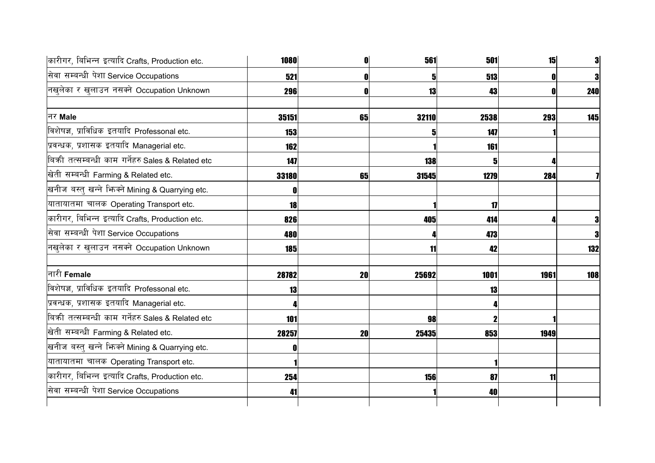| कारीगर, बिभिन्न इत्यादि Crafts, Production etc.   | 1080       | 0  | 561   | 501           | 15   |     |
|---------------------------------------------------|------------|----|-------|---------------|------|-----|
| सेवा सम्बन्धी पेशा Service Occupations            | 521        | O  | 5     | 513           |      |     |
| नखलेका र खुलाउन नसक्ने Occupation Unknown         | 296        |    | 13    | 43            |      | 240 |
| नर Male                                           | 35151      | 65 | 32110 | 2538          | 293  | 145 |
| विशेषज्ञ, प्राविधिक इतयादि Professonal etc.       | <b>153</b> |    |       | 147           |      |     |
| प्रवन्धक, प्रशासक इतयादि Managerial etc.          | 162        |    |       | 161           |      |     |
| बिकी तत्सम्बन्धी काम गर्नेहरु Sales & Related etc | 147        |    | 138   |               |      |     |
| खेती सम्बन्धी Farming & Related etc.              | 33180      | 65 | 31545 | 1279          | 284  |     |
| खनीज बस्तु खन्ने भिन्क्ने Mining & Quarrying etc. | 0          |    |       |               |      |     |
| यातायातमा चालक Operating Transport etc.           | <b>18</b>  |    |       | $\mathbf{17}$ |      |     |
| कारीगर, बिभिन्न इत्यादि Crafts, Production etc.   | 826        |    | 405   | 414           |      |     |
| सेवा सम्बन्धी पेशा Service Occupations            | 480        |    |       | 473           |      |     |
| नखुलेका र खुलाउन नसक्ने Occupation Unknown        | <b>185</b> |    | 11    | 42            |      | 132 |
| नारी Female                                       | 28782      | 20 | 25692 | 1001          | 1961 | 108 |
| विशेषज्ञ, प्राविधिक इतयादि Professonal etc.       | 13         |    |       | 13            |      |     |
| प्रवन्धक, प्रशासक इतयादि Managerial etc.          |            |    |       |               |      |     |
| बिकी तत्सम्बन्धी काम गर्नेहरु Sales & Related etc | 101        |    | 98    |               |      |     |
| खेती सम्बन्धी Farming & Related etc.              | 28257      | 20 | 25435 | 853           | 1949 |     |
| खनीज बस्तु खन्ने भिज्मे Mining & Quarrying etc.   |            |    |       |               |      |     |
| यातायातमा चालक Operating Transport etc.           |            |    |       |               |      |     |
| कारीगर, बिभिन्न इत्यादि Crafts, Production etc.   | 254        |    | 156   | 87            | 11   |     |
| सेवा सम्बन्धी पेशा Service Occupations            | 41         |    |       | 40            |      |     |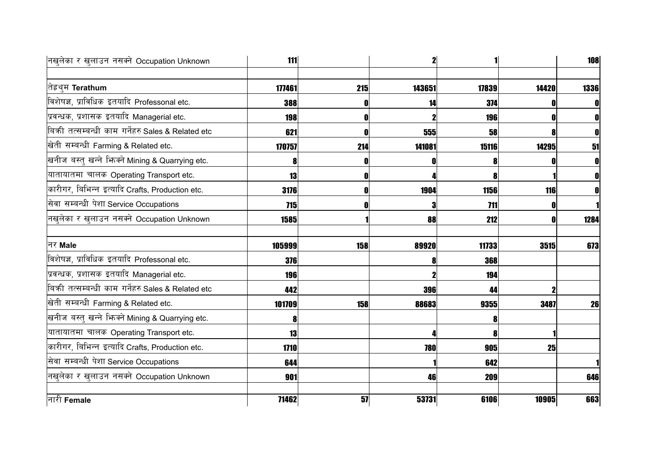| नखलेका र खुलाउन नसक्ने Occupation Unknown         | 111        |     | 2      |             |       | 108  |
|---------------------------------------------------|------------|-----|--------|-------------|-------|------|
|                                                   |            |     |        |             |       |      |
| तेह्रथुम <b>Terathum</b>                          | 177461     | 215 | 143651 | 17839       | 14420 | 1336 |
| विशेषज्ञ, प्राविधिक इतयादि Professonal etc.       | 388        |     | 14     | 374         |       |      |
| प्रवन्धक, प्रशासक इतयादि Managerial etc.          | 198        | 0   |        | 196         |       |      |
| बिकी तत्सम्बन्धी काम गर्नेहरु Sales & Related etc | 621        |     | 555    | 58          |       |      |
| खेती सम्बन्धी Farming & Related etc.              | 170757     | 214 | 141081 | 15116       | 14295 | 51   |
| खनीज बस्तु खन्ने भिन्क्ने Mining & Quarrying etc. | 8          | Ð   |        |             |       |      |
| यातायातमा चालक Operating Transport etc.           | 13         | 0   |        |             |       |      |
| कारीगर, बिभिन्न इत्यादि Crafts, Production etc.   | 3176       | 0   | 1904   | <b>1156</b> | 116   |      |
| सेवा सम्बन्धी पेशा Service Occupations            | 715        |     |        | 711         |       |      |
| नखुलेका र खुलाउन नसक्ने Occupation Unknown        | 1585       |     | 88     | 212         | Λ     | 1284 |
| नर Male                                           | 105999     | 158 | 89920  | 11733       | 3515  | 673  |
| विशेषज्ञ, प्राविधिक इतयादि Professonal etc.       | <b>376</b> |     |        | 368         |       |      |
| प्रवन्धक, प्रशासक इतयादि Managerial etc.          | <b>196</b> |     |        | 194         |       |      |
| बिकी तत्सम्बन्धी काम गर्नेहरु Sales & Related etc | 442        |     | 396    | 44          |       |      |
| खेती सम्बन्धी Farming & Related etc.              | 101709     | 158 | 88683  | 9355        | 3487  | 26   |
| खनीज बस्तु खन्ने भिन्क्ने Mining & Quarrying etc. | 8          |     |        |             |       |      |
| यातायातमा चालक Operating Transport etc.           | 13         |     |        |             |       |      |
| कारीगर, बिभिन्न इत्यादि Crafts, Production etc.   | 1710       |     | 780    | 905         | 25    |      |
| सेवा सम्बन्धी पेशा Service Occupations            | 644        |     |        | 642         |       |      |
| नखुलेका र खुलाउन नसक्ने Occupation Unknown        | 901        |     | 46     | 209         |       | 646  |
| नारी Female                                       | 71462      | 57  | 53731  | 6106        | 10905 | 663  |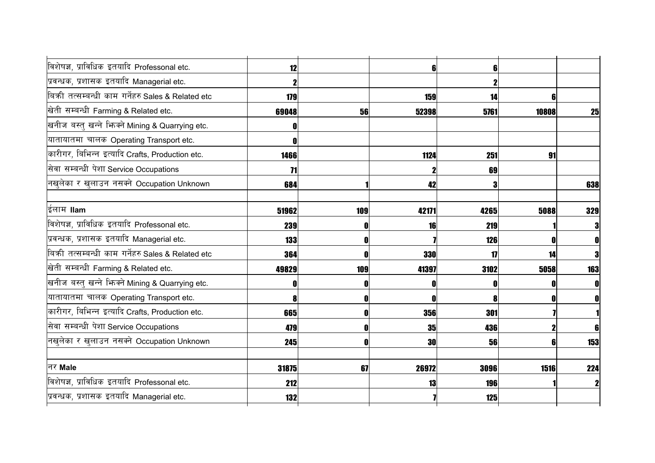| विशेषज्ञ, प्राविधिक इतयादि Professonal etc.       | 12              |     | 6 <sup>1</sup> |            |       |                |
|---------------------------------------------------|-----------------|-----|----------------|------------|-------|----------------|
| प्रवन्धक, प्रशासक इतयादि Managerial etc.          |                 |     |                |            |       |                |
| बिकी तत्सम्बन्धी काम गर्नेहरु Sales & Related etc | 179             |     | 159            | 14         | 6     |                |
| खेती सम्बन्धी Farming & Related etc.              | 69048           | 56  | 52398          | 5761       | 10808 | 25             |
| खनीज बस्तु खन्ने भिन्क्ने Mining & Quarrying etc. |                 |     |                |            |       |                |
| यातायातमा चालक Operating Transport etc.           |                 |     |                |            |       |                |
| कारीगर, बिभिन्न इत्यादि Crafts, Production etc.   | 1466            |     | 1124           | 251        | 91    |                |
| सेवा सम्बन्धी पेशा Service Occupations            | $\overline{11}$ |     |                | 69         |       |                |
| नखुलेका र खुलाउन नसक्ने Occupation Unknown        | 684             |     | 42             |            |       | 638            |
|                                                   |                 |     |                |            |       |                |
| ईलाम llam                                         | 51962           | 109 | 42171          | 4265       | 5088  | 329            |
| विशेषज्ञ, प्राविधिक इतयादि Professonal etc.       | 239             | O   | 16             | 219        |       | 3              |
| प्रवन्धक, प्रशासक इतयादि Managerial etc.          | 133             | 0   |                | 126        |       | $\mathbf{0}$   |
| बिकी तत्सम्बन्धी काम गर्नेहरु Sales & Related etc | 364             | 0   | <b>330</b>     | 17         | 14    | $\bf{3}$       |
| खेती सम्बन्धी Farming & Related etc.              | 49829           | 109 | 41397          | 3102       | 5058  | 163            |
| खनीज बस्तु खन्ने भिज्मे Mining & Quarrying etc.   |                 |     | 0              |            |       | $\mathbf{0}$   |
| यातायातमा चालक Operating Transport etc.           |                 | O   | $\mathbf 0$    |            |       | $\mathbf{0}$   |
| कारीगर, बिभिन्न इत्यादि Crafts, Production etc.   | 665             | O   | 356            | 301        |       |                |
| सेवा सम्बन्धी पेशा Service Occupations            | 479             | 0   | <b>35</b>      | 436        |       | 6 <sub>l</sub> |
| नखुलेका र खुलाउन नसक्ने Occupation Unknown        | 245             | O   | <b>30</b>      | 56         | 6     | 153            |
|                                                   |                 |     |                |            |       |                |
| नर Male                                           | 31875           | 67  | 26972          | 3096       | 1516  | 224            |
| विशेषज्ञ, प्राविधिक इतयादि Professonal etc.       | 212             |     | 13             | <b>196</b> |       | $\mathbf{2}$   |
| प्रवन्धक, प्रशासक इतयादि Managerial etc.          | 132             |     |                | 125        |       |                |
|                                                   |                 |     |                |            |       |                |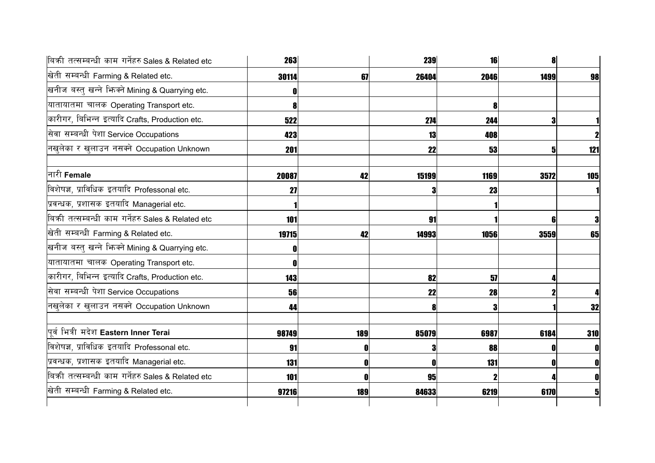| बिकी तत्सम्बन्धी काम गर्नेहरु Sales & Related etc   | <b>263</b> |     | <b>239</b> | 16   | 81   |     |
|-----------------------------------------------------|------------|-----|------------|------|------|-----|
| खेती सम्बन्धी Farming & Related etc.                | 30114      | 67  | 26404      | 2046 | 1499 | 98  |
| खनीज बस्तु खन्ने भिज्मे Mining & Quarrying etc.     |            |     |            |      |      |     |
| यातायातमा चालक Operating Transport etc.             |            |     |            | 8    |      |     |
| कारीगर, बिभिन्न इत्यादि Crafts, Production etc.     | 522        |     | 274        | 244  | 3    |     |
| सेवा सम्बन्धी पेशा Service Occupations              | 423        |     | 13         | 408  |      |     |
| नखुलेका र खुलाउन नसक्ने Occupation Unknown          | 201        |     | 22         | 53   | 5    | 121 |
| नारी Female                                         | 20087      | 42  | 15199      | 1169 | 3572 | 105 |
| विशेषज्ञ, प्राविधिक इतयादि Professonal etc.         | 27         |     | 3          | 23   |      |     |
| प्रवन्धक, प्रशासक इतयादि Managerial etc.            |            |     |            |      |      |     |
| बिक्री तत्सम्बन्धी काम गर्नेहरु Sales & Related etc | 101        |     | 91         |      |      |     |
| खेती सम्बन्धी Farming & Related etc.                | 19715      | 42  | 14993      | 1056 | 3559 | 65  |
| खनीज बस्तु खन्ने भिन्क्ने Mining & Quarrying etc.   |            |     |            |      |      |     |
| यातायातमा चालक Operating Transport etc.             |            |     |            |      |      |     |
| कारीगर, बिभिन्न इत्यादि Crafts, Production etc.     | 143        |     | 82         | 57   |      |     |
| सेवा सम्बन्धी पेशा Service Occupations              | 56         |     | 22         | 28   |      |     |
| नखुलेका र खुलाउन नसक्ने Occupation Unknown          | 44         |     | 8          | 3    |      | 32  |
| पूर्व भित्री मदेश Eastern Inner Terai               | 98749      | 189 | 85079      | 6987 | 6184 | 310 |
| विशेषज्ञ, प्राविधिक इतयादि Professonal etc.         | 91         | O   | 3          | 88   |      | O   |
| प्रवन्धक, प्रशासक इतयादि Managerial etc.            | 131        |     | 0          | 131  |      | 0   |
| बिकी तत्सम्बन्धी काम गर्नेहरु Sales & Related etc   | 101        |     | 95         |      |      |     |
| खेती सम्बन्धी Farming & Related etc.                | 97216      | 189 | 84633      | 6219 | 6170 | 5   |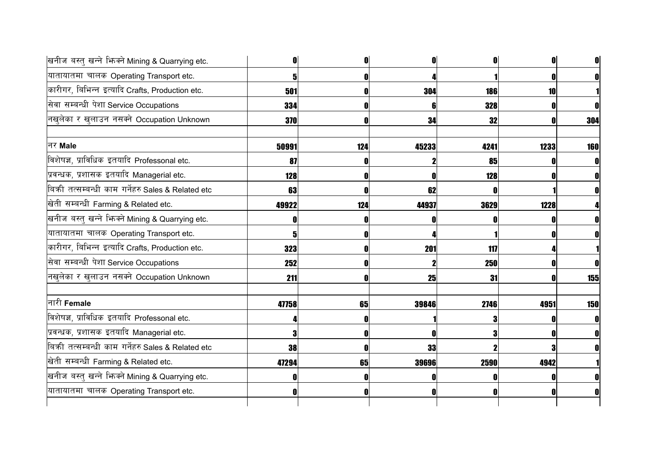| खनीज बस्तु खन्ने भिज्मे Mining & Quarrying etc.   |       |     |       |            |      | 01           |
|---------------------------------------------------|-------|-----|-------|------------|------|--------------|
| यातायातमा चालक Operating Transport etc.           |       |     |       |            |      | O            |
| कारीगर, बिभिन्न इत्यादि Crafts, Production etc.   | 501   |     | 304   | <b>186</b> | 10   |              |
| सेवा सम्बन्धी पेशा Service Occupations            | 334   |     |       | <b>328</b> |      |              |
| नखुलेका र खुलाउन नसक्ने Occupation Unknown        | 370   |     | 34    | 32         |      | 304          |
| नर Male                                           | 50991 | 124 | 45233 | 4241       | 1233 | <b>160</b>   |
| विशेषज्ञ, प्राविधिक इतयादि Professonal etc.       | 87    |     |       | 85         |      | 0            |
| प्रवन्धक, प्रशासक इतयादि Managerial etc.          | 128   |     |       | 128        |      |              |
| बिकी तत्सम्बन्धी काम गर्नेहरु Sales & Related etc | 63    |     | 62    |            |      |              |
| खेती सम्बन्धी Farming & Related etc.              | 49922 | 124 | 44937 | 3629       | 1228 |              |
| खनीज बस्तु खन्ने भिन्क्ने Mining & Quarrying etc. |       |     |       |            |      |              |
| यातायातमा चालक Operating Transport etc.           |       |     |       |            |      |              |
| कारीगर, बिभिन्न इत्यादि Crafts, Production etc.   | 323   |     | 201   | 117        |      |              |
| सेवा सम्बन्धी पेशा Service Occupations            | 252   |     |       | 250        |      | $\mathbf{0}$ |
| नखुलेका र खुलाउन नसक्ने Occupation Unknown        | 211   |     | 25    | 31         |      | 155          |
| नारी Female                                       | 47758 | 65  | 39846 | 2746       | 4951 | <b>150</b>   |
| विशेषज्ञ, प्राविधिक इतयादि Professonal etc.       |       |     |       |            |      | 0            |
| प्रवन्धक, प्रशासक इतयादि Managerial etc.          |       |     |       |            |      |              |
| बिकी तत्सम्बन्धी काम गर्नेहरु Sales & Related etc | 38    |     | 33    |            |      |              |
| खेती सम्बन्धी Farming & Related etc.              | 47294 | 65  | 39696 | 2590       | 4942 |              |
| खनीज बस्तु खन्ने भिज्मे Mining & Quarrying etc.   |       |     |       |            |      |              |
| यातायातमा चालक Operating Transport etc.           |       |     |       |            |      |              |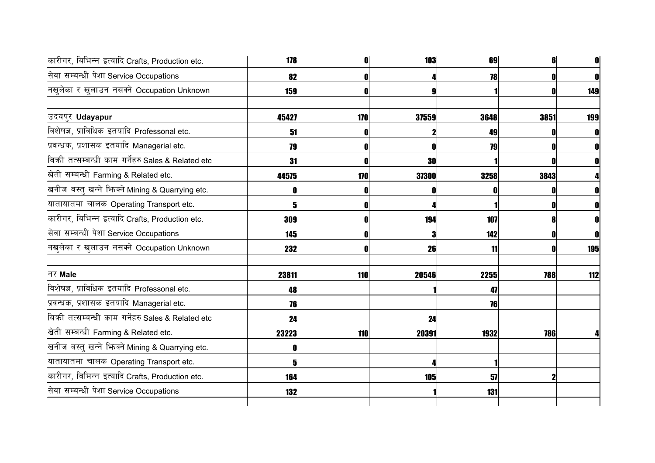| कारीगर, बिभिन्न इत्यादि Crafts, Production etc.   | 178        |     | 103   | 69   |            | 0          |
|---------------------------------------------------|------------|-----|-------|------|------------|------------|
| सेवा सम्बन्धी पेशा Service Occupations            | 82         |     |       | 78   |            | 0          |
| नखुलेका र खुलाउन नसक्ने Occupation Unknown        | 159        |     |       |      |            | 149        |
| उदयपुर Udayapur                                   | 45427      | 170 | 37559 | 3648 | 3851       | <b>199</b> |
| विशेषज्ञ, प्राविधिक इतयादि Professonal etc.       | 51         |     |       | 49   |            | n          |
| प्रवन्धक, प्रशासक इतयादि Managerial etc.          | 79         | ſ   | 0     | 79   |            | 0          |
| बिकी तत्सम्बन्धी काम गर्नेहरु Sales & Related etc | 31         |     | 30    |      |            | 0          |
| खेती सम्बन्धी Farming & Related etc.              | 44575      | 170 | 37300 | 3258 | 3843       |            |
| खनीज बस्तु खन्ने भिन्क्ने Mining & Quarrying etc. |            |     |       |      |            |            |
| यातायातमा चालक Operating Transport etc.           |            |     |       |      |            |            |
| कारीगर, बिभिन्न इत्यादि Crafts, Production etc.   | 309        |     | 194   | 107  |            |            |
| सेवा सम्बन्धी पेशा Service Occupations            | 145        |     | 3     | 142  |            |            |
| नखुलेका र खुलाउन नसक्ने Occupation Unknown        | 232        |     | 26    | 11   |            | 195        |
| नर Male                                           | 23811      | 110 | 20546 | 2255 | <b>788</b> | 112        |
| विशेषज्ञ, प्राविधिक इतयादि Professonal etc.       | 48         |     |       | 47   |            |            |
| प्रवन्धक, प्रशासक इतयादि Managerial etc.          | 76         |     |       | 76   |            |            |
| बिकी तत्सम्बन्धी काम गर्नेहरु Sales & Related etc | 24         |     | 24    |      |            |            |
| खेती सम्बन्धी Farming & Related etc.              | 23223      | 110 | 20391 | 1932 | <b>786</b> |            |
| खनीज बस्तु खन्ने भिन्क्ने Mining & Quarrying etc. |            |     |       |      |            |            |
| यातायातमा चालक Operating Transport etc.           |            |     |       |      |            |            |
| कारीगर, बिभिन्न इत्यादि Crafts, Production etc.   | <b>164</b> |     | 105   | 57   |            |            |
| सेवा सम्बन्धी पेशा Service Occupations            | 132        |     |       | 131  |            |            |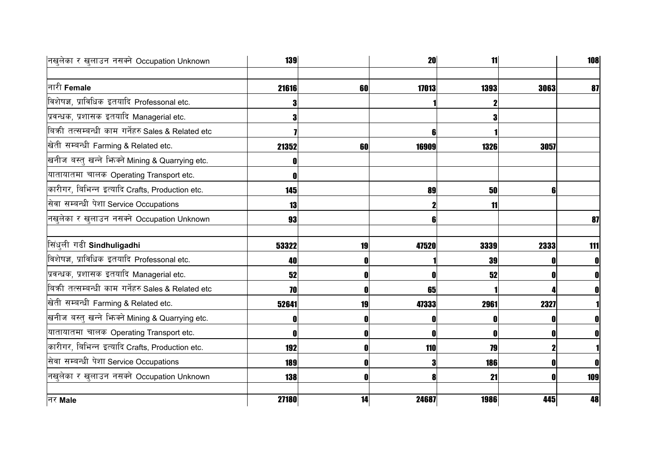| नखुलेका र खुलाउन नसक्ने Occupation Unknown          | <b>139</b> |    | <b>20</b> | 11         |      | 108 |
|-----------------------------------------------------|------------|----|-----------|------------|------|-----|
| नारी Female                                         | 21616      | 60 | 17013     | 1393       | 3063 | 87  |
| विशेषज्ञ, प्राविधिक इतयादि Professonal etc.         |            |    |           |            |      |     |
| प्रवन्धक, प्रशासक इतयादि Managerial etc.            |            |    |           |            |      |     |
| बिक्री तत्सम्बन्धी काम गर्नेहरु Sales & Related etc |            |    | 6         |            |      |     |
| खेती सम्बन्धी Farming & Related etc.                | 21352      | 60 | 16909     | 1326       | 3057 |     |
| खनीज बस्तु खन्ने भिज्मे Mining & Quarrying etc.     |            |    |           |            |      |     |
| यातायातमा चालक Operating Transport etc.             |            |    |           |            |      |     |
| कारीगर, बिभिन्न इत्यादि Crafts, Production etc.     | <b>145</b> |    | 89        | 50         |      |     |
| सेवा सम्बन्धी पेशा Service Occupations              | 13         |    |           | 11         |      |     |
| नखुलेका र खुलाउन नसक्ने Occupation Unknown          | 93         |    | 6         |            |      | 87  |
| सिंधुली गढी Sindhuligadhi                           | 53322      | 19 | 47520     | 3339       | 2333 | 111 |
| विशेषज्ञ, प्राविधिक इतयादि Professonal etc.         | 40         |    |           | 39         |      | 0   |
| प्रवन्धक, प्रशासक इतयादि Managerial etc.            | 52         |    | ſ         | 52         |      |     |
| बिकी तत्सम्बन्धी काम गर्नेहरु Sales & Related etc   | 70         |    | 65        |            |      |     |
| खेती सम्बन्धी Farming & Related etc.                | 52641      | 19 | 47333     | 2961       | 2327 |     |
| खनीज बस्तु खन्ने भिन्क्ने Mining & Quarrying etc.   |            |    | 0         |            |      |     |
| यातायातमा चालक Operating Transport etc.             |            |    | 0         |            |      | O   |
| कारीगर, बिभिन्न इत्यादि Crafts, Production etc.     | 192        |    | 110       | 79         |      |     |
| सेवा सम्बन्धी पेशा Service Occupations              | 189        |    | 3         | <b>186</b> |      | O   |
| नखुलेका र खुलाउन नसक्ने Occupation Unknown          | <b>138</b> |    | 8         | 21         |      | 109 |
| नर Male                                             | 27180      | 14 | 24687     | 1986       | 445  | 48  |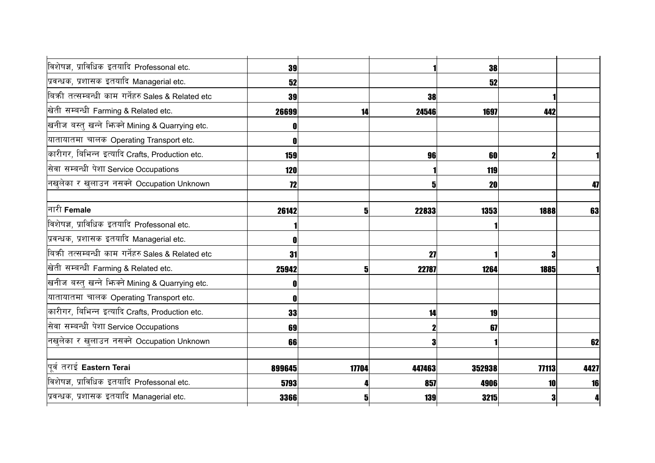| विशेषज्ञ, प्राविधिक इतयादि Professonal etc.       | 39         |              |           | 38     |       |      |
|---------------------------------------------------|------------|--------------|-----------|--------|-------|------|
| प्रवन्धक, प्रशासक इतयादि Managerial etc.          | 52         |              |           | 52     |       |      |
| बिकी तत्सम्बन्धी काम गर्नेहरु Sales & Related etc | 39         |              | <b>38</b> |        |       |      |
| खेती सम्बन्धी Farming & Related etc.              | 26699      | 14           | 24546     | 1697   | 442   |      |
| खनीज बस्तु खन्ने भिन्क्ने Mining & Quarrying etc. |            |              |           |        |       |      |
| यातायातमा चालक Operating Transport etc.           |            |              |           |        |       |      |
| कारीगर, बिभिन्न इत्यादि Crafts, Production etc.   | 159        |              | 96        | 60     |       |      |
| सेवा सम्बन्धी पेशा Service Occupations            | <b>120</b> |              |           | 119    |       |      |
| नखुलेका र खुलाउन नसक्ने Occupation Unknown        | 12         |              | 51        | 20     |       | 47   |
|                                                   |            |              |           |        |       |      |
| नारी Female                                       | 26142      | $\mathbf{5}$ | 22833     | 1353   | 1888  | 63   |
| विशेषज्ञ, प्राविधिक इतयादि Professonal etc.       |            |              |           |        |       |      |
| प्रवन्धक, प्रशासक इतयादि Managerial etc.          |            |              |           |        |       |      |
| बिकी तत्सम्बन्धी काम गर्नेहरु Sales & Related etc | 31         |              | 27        |        |       |      |
| खेती सम्बन्धी Farming & Related etc.              | 25942      | $\mathbf{5}$ | 22787     | 1264   | 1885  |      |
| खनीज बस्तु खन्ने भिन्क्ने Mining & Quarrying etc. |            |              |           |        |       |      |
| यातायातमा चालक Operating Transport etc.           |            |              |           |        |       |      |
| कारीगर, बिभिन्न इत्यादि Crafts, Production etc.   | 33         |              | 14        | 19     |       |      |
| सेवा सम्बन्धी पेशा Service Occupations            | 69         |              |           | 67     |       |      |
| नखुलेका र खुलाउन नसक्ने Occupation Unknown        | 66         |              | 3         |        |       | 62   |
|                                                   |            |              |           |        |       |      |
| पूर्व तराई Eastern Terai                          | 899645     | 17704        | 447463    | 352938 | 77113 | 4427 |
| विशेषज्ञ, प्राविधिक इतयादि Professonal etc.       | 5793       |              | 857       | 4906   | 10    | 16   |
| प्रवन्धक, प्रशासक इतयादि Managerial etc.          | 3366       | 5            | 139       | 3215   |       | 4    |
|                                                   |            |              |           |        |       |      |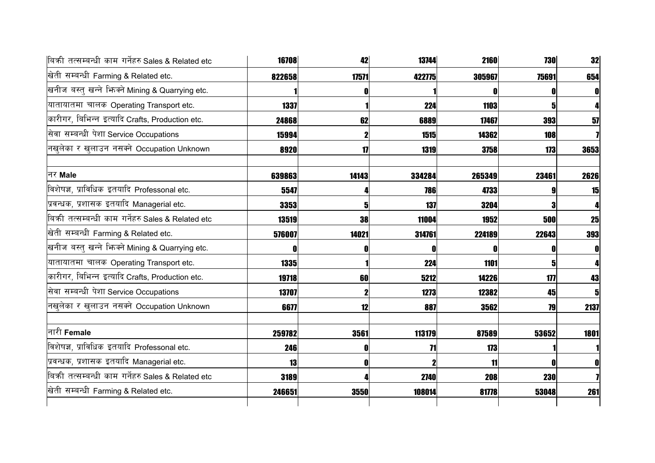| बिकी तत्सम्बन्धी काम गर्नेहरु Sales & Related etc   | 16708  | 42    | 13744  | 2160   | 730   | 32             |
|-----------------------------------------------------|--------|-------|--------|--------|-------|----------------|
| खेती सम्बन्धी Farming & Related etc.                | 822658 | 17571 | 422775 | 305967 | 75691 | 654            |
| खनीज बस्तु खन्ने भिज्मे Mining & Quarrying etc.     |        |       |        |        |       | $\mathbf{0}$   |
| यातायातमा चालक Operating Transport etc.             | 1337   |       | 224    | 1103   |       |                |
| कारीगर, बिभिन्न इत्यादि Crafts, Production etc.     | 24868  | 62    | 6889   | 17467  | 393   | 57             |
| सेवा सम्बन्धी पेशा Service Occupations              | 15994  |       | 1515   | 14362  | 108   |                |
| नखुलेका र खुलाउन नसक्ने Occupation Unknown          | 8920   | 17    | 1319   | 3758   | 173   | 3653           |
| नर Male                                             | 639863 | 14143 | 334284 | 265349 | 23461 | 2626           |
| विशेषज्ञ, प्राविधिक इतयादि Professonal etc.         | 5547   |       | 786    | 4733   |       | 15             |
| प्रवन्धक, प्रशासक इतयादि Managerial etc.            | 3353   | 5     | 137    | 3204   |       |                |
| बिक्री तत्सम्बन्धी काम गर्नेहरु Sales & Related etc | 13519  | 38    | 11004  | 1952   | 500   | 25             |
| खेती सम्बन्धी Farming & Related etc.                | 576007 | 14021 | 314761 | 224189 | 22643 | 393            |
| खनीज बस्तु खन्ने फिक्ने Mining & Quarrying etc.     |        |       | 0      |        |       | O              |
| यातायातमा चालक Operating Transport etc.             | 1335   |       | 224    | 1101   | 5     | Δ              |
| कारीगर, बिभिन्न इत्यादि Crafts, Production etc.     | 19718  | 60    | 5212   | 14226  | 177   | 43             |
| सेवा सम्बन्धी पेशा Service Occupations              | 13707  |       | 1273   | 12382  | 45    | 5 <sub>l</sub> |
| नखुलेका र खुलाउन नसक्ने Occupation Unknown          | 6677   | 12    | 887    | 3562   | 79    | 2137           |
| नारी Female                                         | 259782 | 3561  | 113179 | 87589  | 53652 | 1801           |
| विशेषज्ञ, प्राविधिक इतयादि Professonal etc.         | 246    |       | 71     | 173    |       |                |
| प्रवन्धक, प्रशासक इतयादि Managerial etc.            | 13     |       |        | 11     |       | $\mathbf{0}$   |
| बिकी तत्सम्बन्धी काम गर्नेहरु Sales & Related etc   | 3189   |       | 2740   | 208    | 230   |                |
| खेती सम्बन्धी Farming & Related etc.                | 246651 | 3550  | 108014 | 81778  | 53048 | 261            |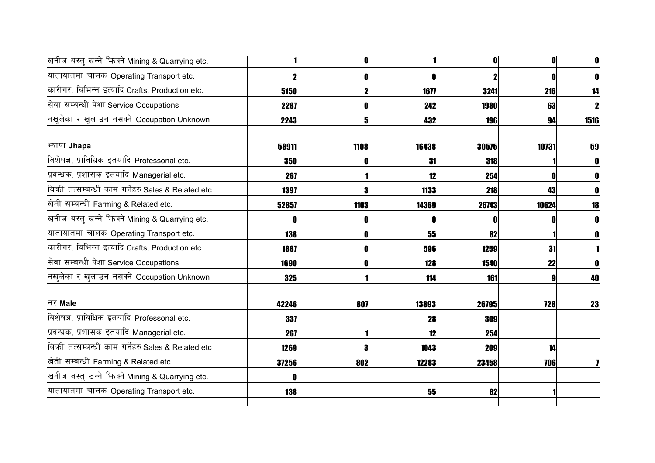|            |              |       | O          | 0                                                                                                                                                                                  |
|------------|--------------|-------|------------|------------------------------------------------------------------------------------------------------------------------------------------------------------------------------------|
|            | 0            | 0     |            | 0                                                                                                                                                                                  |
| 5150       |              | 1677  |            | 14                                                                                                                                                                                 |
| 2287       |              | 242   |            | $\mathbf{2}$                                                                                                                                                                       |
| 2243       | 5            | 432   | 94         | 1516                                                                                                                                                                               |
| 58911      | 1108         | 16438 | 10731      | 59                                                                                                                                                                                 |
| 350        |              | 31    |            | 0                                                                                                                                                                                  |
| 267        |              | 12    |            | 0                                                                                                                                                                                  |
| 1397       |              | 1133  | 43         |                                                                                                                                                                                    |
| 52857      | 1103         | 14369 | 10624      | 18                                                                                                                                                                                 |
|            |              | 0     |            |                                                                                                                                                                                    |
| 138        | O            | 55    |            | n                                                                                                                                                                                  |
| 1887       | $\mathbf{0}$ | 596   | 31         |                                                                                                                                                                                    |
| 1690       | O            | 128   | 22         | 0                                                                                                                                                                                  |
| 325        |              | 114   |            | 40                                                                                                                                                                                 |
| 42246      | 807          | 13893 | <b>728</b> | 23                                                                                                                                                                                 |
| 337        |              | 28    |            |                                                                                                                                                                                    |
| 267        |              | 12    |            |                                                                                                                                                                                    |
| 1269       |              | 1043  | 14         |                                                                                                                                                                                    |
| 37256      | 802          | 12283 | <b>706</b> |                                                                                                                                                                                    |
|            |              |       |            |                                                                                                                                                                                    |
| <b>138</b> |              | 55    |            |                                                                                                                                                                                    |
|            |              |       |            | O<br>3241<br>216<br><b>1980</b><br>63<br><b>196</b><br>30575<br><b>318</b><br>254<br>218<br>26743<br>82<br>1259<br>1540<br><b>161</b><br>26795<br>309<br>254<br>209<br>23458<br>82 |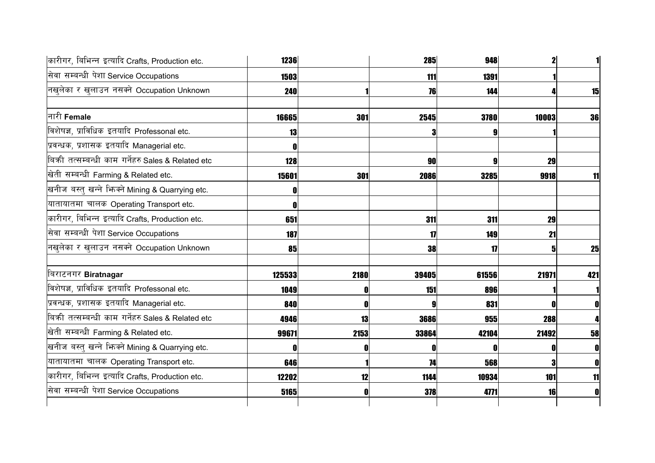| कारीगर, बिभिन्न इत्यादि Crafts, Production etc.     | 1236       |      | 285   | 948   |       |           |
|-----------------------------------------------------|------------|------|-------|-------|-------|-----------|
| सेवा सम्बन्धी पेशा Service Occupations              | 1503       |      | 111   | 1391  |       |           |
| नखुलेका र खुलाउन नसक्ने Occupation Unknown          | <b>240</b> |      | 76    | 144   |       | 15        |
| नारी Female                                         | 16665      | 301  | 2545  | 3780  | 10003 | 36        |
| विशेषज्ञ, प्राविधिक इतयादि Professonal etc.         | 13         |      | 3     |       |       |           |
| प्रवन्धक, प्रशासक इतयादि Managerial etc.            |            |      |       |       |       |           |
| बिक्री तत्सम्बन्धी काम गर्नेहरु Sales & Related etc | 128        |      | 90    | g     | 29    |           |
| खेती सम्बन्धी Farming & Related etc.                | 15601      | 301  | 2086  | 3285  | 9918  | 11        |
| खनीज बस्तु खन्ने भिज्मे Mining & Quarrying etc.     |            |      |       |       |       |           |
| यातायातमा चालक Operating Transport etc.             |            |      |       |       |       |           |
| कारीगर, बिभिन्न इत्यादि Crafts, Production etc.     | 651        |      | 311   | 311   | 29    |           |
| सेवा सम्बन्धी पेशा Service Occupations              | 187        |      | 17    | 149   | 21    |           |
| नखुलेका र खुलाउन नसक्ने Occupation Unknown          | 85         |      | 38    | 17    | 5     | <b>25</b> |
| बिराटनगर Biratnagar                                 | 125533     | 2180 | 39405 | 61556 | 21971 | 421       |
| विशेषज्ञ, प्राविधिक इतयादि Professonal etc.         | 1049       |      | 151   | 896   |       |           |
| प्रवन्धक, प्रशासक इतयादि Managerial etc.            | 840        |      |       | 831   |       |           |
| बिकी तत्सम्बन्धी काम गर्नेहरु Sales & Related etc   | 4946       | 13   | 3686  | 955   | 288   |           |
| खेती सम्बन्धी Farming & Related etc.                | 99671      | 2153 | 33864 | 42104 | 21492 | 58        |
| खनीज बस्तु खन्ने भिज्मे Mining & Quarrying etc.     |            |      | 0     |       |       | O         |
| यातायातमा चालक Operating Transport etc.             | 646        |      | 74    | 568   |       | 0         |
| कारीगर, बिभिन्न इत्यादि Crafts, Production etc.     | 12202      | 12   | 1144  | 10934 | 101   | 11        |
| सेवा सम्बन्धी पेशा Service Occupations              | 5165       |      | 378   | 4771  | 16    | 0         |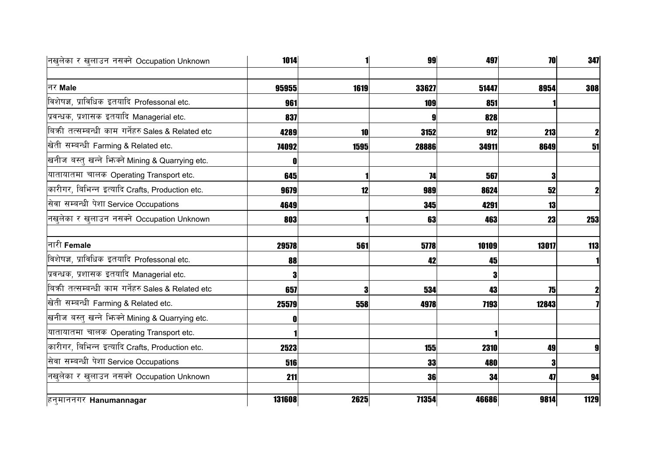| नखुलेका र खुलाउन नसक्ने Occupation Unknown        | 1014   |      | 99    | 497   | 70         | 347  |
|---------------------------------------------------|--------|------|-------|-------|------------|------|
|                                                   |        |      |       |       |            |      |
| नर Male                                           | 95955  | 1619 | 33627 | 51447 | 8954       | 308  |
| विशेषज्ञ, प्राविधिक इतयादि Professonal etc.       | 961    |      | 109   | 851   |            |      |
| प्रवन्धक, प्रशासक इतयादि Managerial etc.          | 837    |      |       | 828   |            |      |
| बिकी तत्सम्बन्धी काम गर्नेहरु Sales & Related etc | 4289   | 10   | 3152  | 912   | <b>213</b> |      |
| खेती सम्बन्धी Farming & Related etc.              | 74092  | 1595 | 28886 | 34911 | 8649       | 51   |
| खनीज बस्तु खन्ने भिज्मे Mining & Quarrying etc.   |        |      |       |       |            |      |
| यातायातमा चालक Operating Transport etc.           | 645    |      | 74    | 567   |            |      |
| कारीगर, बिभिन्न इत्यादि Crafts, Production etc.   | 9679   | 12   | 989   | 8624  | 52         |      |
| सेवा सम्बन्धी पेशा Service Occupations            | 4649   |      | 345   | 4291  | 13         |      |
| नखलेका र खुलाउन नसक्ने Occupation Unknown         | 803    |      | 63    | 463   | 23         | 253  |
| नारी Female                                       | 29578  | 561  | 5778  | 10109 | 13017      | 113  |
| विशेषज्ञ, प्राविधिक इतयादि Professonal etc.       | 88     |      | 42    | 45    |            |      |
| प्रवन्धक, प्रशासक इतयादि Managerial etc.          |        |      |       |       |            |      |
| बिकी तत्सम्बन्धी काम गर्नेहरु Sales & Related etc | 657    | 9    | 534   | 43    | 75         |      |
| खेती सम्बन्धी Farming & Related etc.              | 25579  | 558  | 4978  | 7193  | 12843      |      |
| खनीज बस्तु खन्ने भिन्क्ने Mining & Quarrying etc. |        |      |       |       |            |      |
| यातायातमा चालक Operating Transport etc.           |        |      |       |       |            |      |
| कारीगर, बिभिन्न इत्यादि Crafts, Production etc.   | 2523   |      | 155   | 2310  | 49         |      |
| सेवा सम्बन्धी पेशा Service Occupations            | 516    |      | 33    | 480   |            |      |
| नखुलेका र खुलाउन नसक्ने Occupation Unknown        | 211    |      | 36    | 34    | 47         | 94   |
| हनुमाननगर Hanumannagar                            | 131608 | 2625 | 71354 | 46686 | 9814       | 1129 |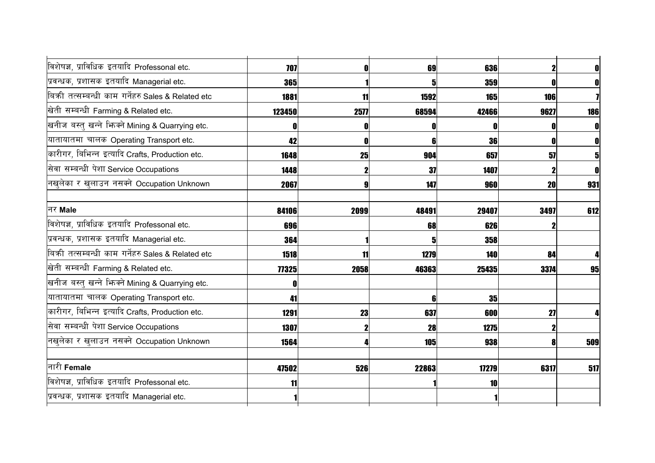| विशेषज्ञ, प्राविधिक इतयादि Professonal etc.         | 707    |             | 69         | 636         | $\mathbf{2}$ | $\mathbf{0}$ |
|-----------------------------------------------------|--------|-------------|------------|-------------|--------------|--------------|
| प्रवन्धक, प्रशासक इतयादि Managerial etc.            | 365    |             | 51         | 359         |              | $\mathbf{0}$ |
| बिकी तत्सम्बन्धी काम गर्नेहरु Sales & Related etc   | 1881   | 11          | 1592       | <b>165</b>  | 106          |              |
| खेती सम्बन्धी Farming & Related etc.                | 123450 | 2577        | 68594      | 42466       | 9627         | 186          |
| खनीज बस्तु खन्ने भिन्क्ने Mining & Quarrying etc.   |        |             | 0          |             |              |              |
| यातायातमा चालक Operating Transport etc.             | 42     | 0           | 6          | <b>36</b>   | O            | $\mathbf 0$  |
| कारीगर, बिभिन्न इत्यादि Crafts, Production etc.     | 1648   | 25          | 904        | 657         | 57           | $5 \mid$     |
| सेवा सम्बन्धी पेशा Service Occupations              | 1448   | $\mathbf 2$ | 37         | 1407        |              | $\mathbf{0}$ |
| नखुलेका र खुलाउन नसक्ने Occupation Unknown          | 2067   |             | 147        | 960         | 20           | 931          |
|                                                     |        |             |            |             |              |              |
| नर Male                                             | 84106  | 2099        | 48491      | 29407       | 3497         | 612          |
| विशेषज्ञ, प्राविधिक इतयादि Professonal etc.         | 696    |             | 68         | 626         |              |              |
| प्रवन्धक, प्रशासक इतयादि Managerial etc.            | 364    |             | 51         | 358         |              |              |
| बिक्री तत्सम्बन्धी काम गर्नेहरु Sales & Related etc | 1518   | 11          | 1279       | 140         | 84           |              |
| खेती सम्बन्धी Farming & Related etc.                | 77325  | 2058        | 46363      | 25435       | 3374         | 95           |
| खनीज बस्तु खन्ने भिन्क्ने Mining & Quarrying etc.   |        |             |            |             |              |              |
| यातायातमा चालक Operating Transport etc.             | 41     |             | 6          | 35          |              |              |
| कारीगर, बिभिन्न इत्यादि Crafts, Production etc.     | 1291   | 23          | 637        | 600         | 27           |              |
| सेवा सम्बन्धी पेशा Service Occupations              | 1307   |             | 28         | <b>1275</b> |              |              |
| नखुलेका र खुलाउन नसक्ने Occupation Unknown          | 1564   |             | <b>105</b> | 938         | 8            | 509          |
| नारी Female                                         | 47502  | 526         | 22863      | 17279       | 6317         | 517          |
| विशेषज्ञ, प्राविधिक इतयादि Professonal etc.         | 11     |             |            | 10          |              |              |
| प्रवन्धक, प्रशासक इतयादि Managerial etc.            |        |             |            |             |              |              |
|                                                     |        |             |            |             |              |              |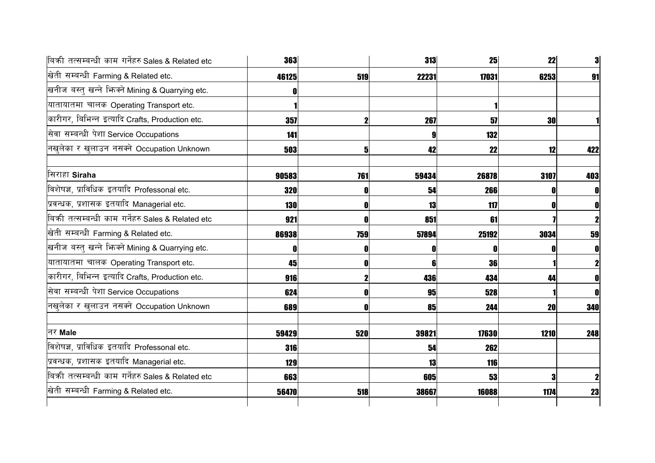| बिकी तत्सम्बन्धी काम गर्नेहरु Sales & Related etc | 363        |     | 313   | 25    | 22   | 3            |
|---------------------------------------------------|------------|-----|-------|-------|------|--------------|
| खेती सम्बन्धी Farming & Related etc.              | 46125      | 519 | 22231 | 17031 | 6253 | 91           |
| खनीज बस्तु खन्ने भिज्मे Mining & Quarrying etc.   |            |     |       |       |      |              |
| यातायातमा चालक Operating Transport etc.           |            |     |       |       |      |              |
| कारीगर, बिभिन्न इत्यादि Crafts, Production etc.   | 357        |     | 267   | 51    | 30   |              |
| सेवा सम्बन्धी पेशा Service Occupations            | 141        |     |       | 132   |      |              |
| नखुलेका र खुलाउन नसक्ने Occupation Unknown        | 503        | 5   | 42    | 22    | 12   | 422          |
| सिराहा Siraha                                     | 90583      | 761 | 59434 | 26878 | 3107 | 403          |
| विशेषज्ञ, प्राविधिक इतयादि Professonal etc.       | 320        |     | 54    | 266   |      | 0            |
| प्रवन्धक, प्रशासक इतयादि Managerial etc.          | 130        |     | 13    | 117   |      | $\mathbf 0$  |
| बिकी तत्सम्बन्धी काम गर्नेहरु Sales & Related etc | 921        |     | 851   | 61    |      |              |
| खेती सम्बन्धी Farming & Related etc.              | 86938      | 759 | 57894 | 25192 | 3034 | 59           |
| खनीज बस्तु खन्ने भिज्म्ने Mining & Quarrying etc. |            |     | 0     |       |      | O            |
| यातायातमा चालक Operating Transport etc.           | 45         |     | 6     | 36    |      | $\mathbf{z}$ |
| कारीगर, बिभिन्न इत्यादि Crafts, Production etc.   | 916        |     | 436   | 434   | 44   | $\mathbf{0}$ |
| सेवा सम्बन्धी पेशा Service Occupations            | 624        |     | 95    | 528   |      | $\mathbf{0}$ |
| नखुलेका र खुलाउन नसक्ने Occupation Unknown        | 689        |     | 85    | 244   | 20   | 340          |
| नर Male                                           | 59429      | 520 | 39821 | 17630 | 1210 | 248          |
| विशेषज्ञ, प्राविधिक इतयादि Professonal etc.       | <b>316</b> |     | 54    | 262   |      |              |
| प्रवन्धक, प्रशासक इतयादि Managerial etc.          | 129        |     | 13    | 116   |      |              |
| बिकी तत्सम्बन्धी काम गर्नेहरु Sales & Related etc | 663        |     | 605   | 53    |      | $\mathbf{2}$ |
| खेती सम्बन्धी Farming & Related etc.              | 56470      | 518 | 38667 | 16088 | 1174 | 23           |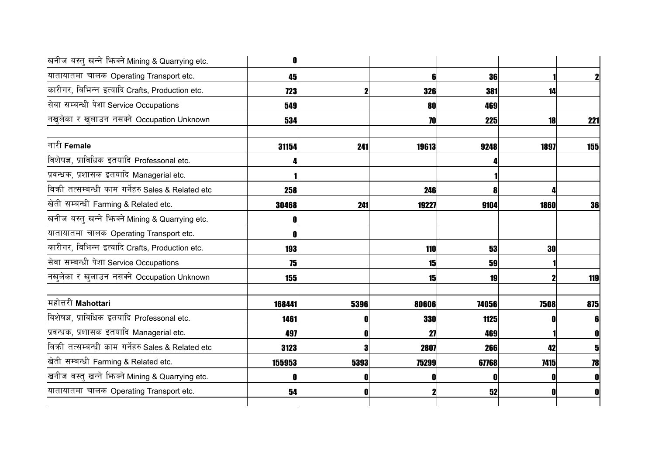| खनीज बस्तु खन्ने भिज्मे Mining & Quarrying etc.   | O          |      |       |       |             |                |
|---------------------------------------------------|------------|------|-------|-------|-------------|----------------|
| यातायातमा चालक Operating Transport etc.           | 45         |      | 6     | 36    |             | $\mathbf{2}$   |
| कारीगर, बिभिन्न इत्यादि Crafts, Production etc.   | <b>723</b> |      | 326   | 381   | 14          |                |
| सेवा सम्बन्धी पेशा Service Occupations            | 549        |      | 80    | 469   |             |                |
| नखुलेका र खुलाउन नसक्ने Occupation Unknown        | 534        |      | 70    | 225   | 18          | 221            |
| नारी Female                                       | 31154      | 241  | 19613 | 9248  | 1897        | 155            |
| विशेषज्ञ, प्राविधिक इतयादि Professonal etc.       |            |      |       |       |             |                |
| प्रवन्धक, प्रशासक इतयादि Managerial etc.          |            |      |       |       |             |                |
| बिकी तत्सम्बन्धी काम गर्नेहरु Sales & Related etc | 258        |      | 246   |       |             |                |
| खेती सम्बन्धी Farming & Related etc.              | 30468      | 241  | 19227 | 9104  | <b>1860</b> | 36             |
| खनीज बस्तु खन्ने भिन्क्ने Mining & Quarrying etc. |            |      |       |       |             |                |
| यातायातमा चालक Operating Transport etc.           |            |      |       |       |             |                |
| कारीगर, बिभिन्न इत्यादि Crafts, Production etc.   | <b>193</b> |      | 110   | 53    | 30          |                |
| सेवा सम्बन्धी पेशा Service Occupations            | 75         |      | 15    | 59    |             |                |
| नखुलेका र खुलाउन नसक्ने Occupation Unknown        | <b>155</b> |      | 15    | 19    |             | 119            |
| महोत्तरी <b>Mahottari</b>                         | 168441     | 5396 | 80606 | 74056 | 7508        | 875            |
| विशेषज्ञ, प्राविधिक इतयादि Professonal etc.       | 1461       |      | 330   | 1125  |             | 6 <sup>1</sup> |
| प्रवन्धक, प्रशासक इतयादि Managerial etc.          | 497        |      | 27    | 469   |             | $\mathbf{0}$   |
| बिकी तत्सम्बन्धी काम गर्नेहरु Sales & Related etc | 3123       |      | 2807  | 266   | 42          | 5 <sub>l</sub> |
| खेती सम्बन्धी Farming & Related etc.              | 155953     | 5393 | 75299 | 67768 | 7415        | 78             |
| खनीज बस्तु खन्ने भिन्क्ने Mining & Quarrying etc. |            |      |       |       |             | O              |
| यातायातमा चालक Operating Transport etc.           | 54         |      |       | 52    |             | 0              |
|                                                   |            |      |       |       |             |                |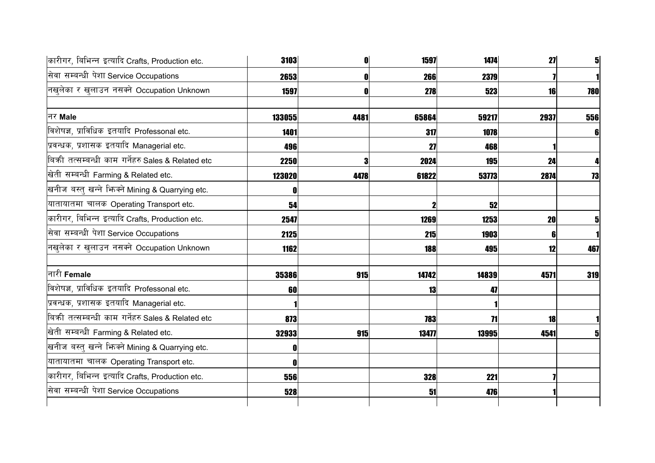| कारीगर, बिभिन्न इत्यादि Crafts, Production etc.   | 3103   |      | 1597        | 1474  | 27        | $\mathbf{5}$ |
|---------------------------------------------------|--------|------|-------------|-------|-----------|--------------|
| सेवा सम्बन्धी पेशा Service Occupations            | 2653   |      | 266         | 2379  |           |              |
| नखुलेका र खुलाउन नसक्ने Occupation Unknown        | 1597   |      | 278         | 523   | <b>16</b> | 780          |
| नर Male                                           | 133055 | 4481 | 65864       | 59217 | 2937      | 556          |
| विशेषज्ञ, प्राविधिक इतयादि Professonal etc.       | 1401   |      | 317         | 1078  |           | 61           |
| प्रवन्धक, प्रशासक इतयादि Managerial etc.          | 496    |      | 27          | 468   |           |              |
| बिकी तत्सम्बन्धी काम गर्नेहरु Sales & Related etc | 2250   |      | 2024        | 195   | 24        |              |
| खेती सम्बन्धी Farming & Related etc.              | 123020 | 4478 | 61822       | 53773 | 2874      | 73           |
| खनीज बस्तु खन्ने भिनको Mining & Quarrying etc.    |        |      |             |       |           |              |
| यातायातमा चालक Operating Transport etc.           | 54     |      | $\mathbf 2$ | 52    |           |              |
| कारीगर, बिभिन्न इत्यादि Crafts, Production etc.   | 2547   |      | 1269        | 1253  | 20        |              |
| सेवा सम्बन्धी पेशा Service Occupations            | 2125   |      | 215         | 1903  | 6         |              |
| नखलेका र खुलाउन नसक्ने Occupation Unknown         | 1162   |      | 188         | 495   | 12        | 467          |
| नारी Female                                       | 35386  | 915  | 14742       | 14839 | 4571      | 319          |
| विशेषज्ञ, प्राविधिक इतयादि Professonal etc.       | 60     |      | 13          | 47    |           |              |
| प्रवन्धक, प्रशासक इतयादि Managerial etc.          |        |      |             |       |           |              |
| बिकी तत्सम्बन्धी काम गर्नेहरु Sales & Related etc | 873    |      | 783         | 71    | 18        |              |
| खेती सम्बन्धी Farming & Related etc.              | 32933  | 915  | 13477       | 13995 | 4541      |              |
| खनीज बस्तु खन्ने भिज्मे Mining & Quarrying etc.   |        |      |             |       |           |              |
| यातायातमा चालक Operating Transport etc.           |        |      |             |       |           |              |
| कारीगर, बिभिन्न इत्यादि Crafts, Production etc.   | 556    |      | 328         | 221   |           |              |
| सेवा सम्बन्धी पेशा Service Occupations            | 528    |      | 51          | 476   |           |              |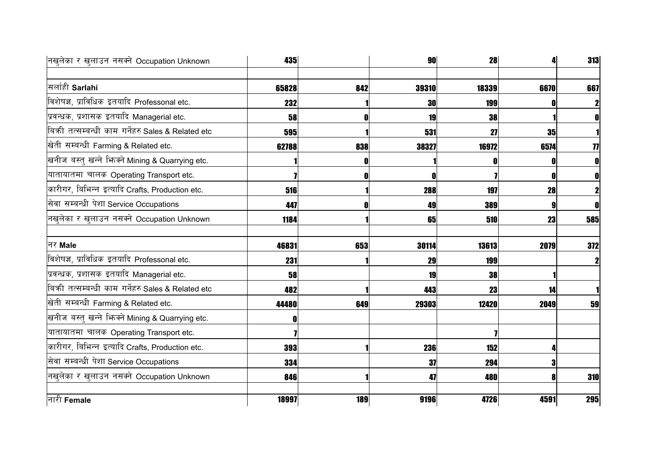| नखलेका र खुलाउन नसक्ने Occupation Unknown         | 435   |     | 90    | 28    |      | 313 |
|---------------------------------------------------|-------|-----|-------|-------|------|-----|
| सर्लाही Sarlahi                                   |       |     |       |       |      |     |
|                                                   | 65828 | 842 | 39310 | 18339 | 6670 | 667 |
| विशेषज्ञ, प्राविधिक इतयादि Professonal etc.       | 232   |     | 30    | 199   |      |     |
| प्रवन्धक, प्रशासक इतयादि Managerial etc.          | 58    | n   | 19    | 38    |      |     |
| बिकी तत्सम्बन्धी काम गर्नेहरु Sales & Related etc | 595   |     | 531   | 27    | 35   |     |
| खेती सम्बन्धी Farming & Related etc.              | 62788 | 838 | 38327 | 16972 | 6574 | 77  |
| खनीज बस्तु खन्ने भिन्क्ने Mining & Quarrying etc. |       |     |       |       |      |     |
| यातायातमा चालक Operating Transport etc.           |       |     |       |       |      |     |
| कारीगर, बिभिन्न इत्यादि Crafts, Production etc.   | 516   |     | 288   | 197   | 28   |     |
| सेवा सम्बन्धी पेशा Service Occupations            | 447   |     | 49    | 389   |      |     |
| नखुलेका र खुलाउन नसक्ने Occupation Unknown        | 1184  |     | 65    | 510   | 23   | 585 |
| नर Male                                           | 46831 | 653 | 30114 | 13613 | 2079 | 372 |
| विशेषज्ञ, प्राविधिक इतयादि Professonal etc.       | 231   |     | 29    | 199   |      |     |
| प्रवन्धक, प्रशासक इतयादि Managerial etc.          | 58    |     | 19    | 38    |      |     |
| बिकी तत्सम्बन्धी काम गर्नेहरु Sales & Related etc | 482   |     | 443   | 23    | 14   |     |
| खेती सम्बन्धी Farming & Related etc.              | 44480 | 649 | 29303 | 12420 | 2049 | 59  |
| खनीज बस्तु खन्ने भिन्क्ने Mining & Quarrying etc. |       |     |       |       |      |     |
| यातायातमा चालक Operating Transport etc.           |       |     |       |       |      |     |
| कारीगर, बिभिन्न इत्यादि Crafts, Production etc.   | 393   |     | 236   | 152   |      |     |
| सेवा सम्बन्धी पेशा Service Occupations            | 334   |     | 37    | 294   |      |     |
| नखुलेका र खुलाउन नसक्ने Occupation Unknown        | 846   |     | 47    | 480   |      | 310 |
| नारी Female                                       | 18997 | 189 | 9196  | 4726  | 4591 | 295 |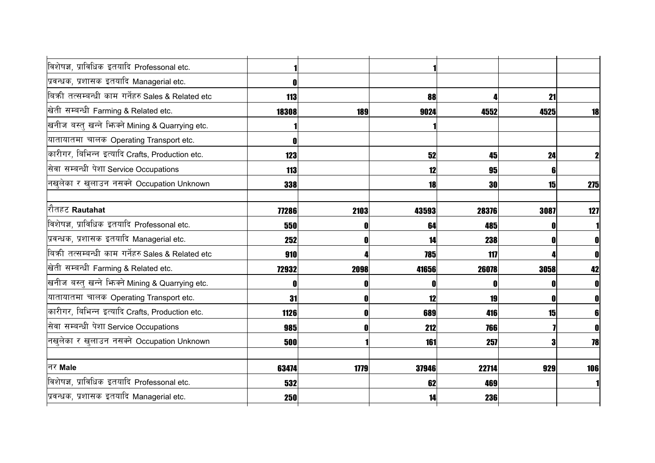| विशेषज्ञ, प्राविधिक इतयादि Professonal etc.         |            |      |       |       |      |              |
|-----------------------------------------------------|------------|------|-------|-------|------|--------------|
| प्रवन्धक, प्रशासक इतयादि Managerial etc.            |            |      |       |       |      |              |
| बिकी तत्सम्बन्धी काम गर्नेहरु Sales & Related etc   | 113        |      | 88    |       | 21   |              |
| खेती सम्बन्धी Farming & Related etc.                | 18308      | 189  | 9024  | 4552  | 4525 | 18           |
| खनीज बस्तु खन्ने भिन्क्ने Mining & Quarrying etc.   |            |      |       |       |      |              |
| यातायातमा चालक Operating Transport etc.             |            |      |       |       |      |              |
| कारीगर, बिभिन्न इत्यादि Crafts, Production etc.     | 123        |      | 52    | 45    | 24   |              |
| सेवा सम्बन्धी पेशा Service Occupations              | <b>113</b> |      | 12    | 95    | 6    |              |
| नखुलेका र खुलाउन नसक्ने Occupation Unknown          | 338        |      | 18    | 30    | 15   | 275          |
|                                                     |            |      |       |       |      |              |
| <mark> </mark> रौतहट <b>Rautahat</b>                | 77286      | 2103 | 43593 | 28376 | 3087 | 127          |
| विशेषज्ञ, प्राविधिक इतयादि Professonal etc.         | 550        | O    | 64    | 485   |      |              |
| प्रवन्धक, प्रशासक इतयादि Managerial etc.            | 252        | 0    | 14    | 238   |      | $\mathbf{0}$ |
| बिक्री तत्सम्बन्धी काम गर्नेहरु Sales & Related etc | 910        |      | 785   | 117   |      | $\mathbf{0}$ |
| खेती सम्बन्धी Farming & Related etc.                | 72932      | 2098 | 41656 | 26078 | 3058 | 42           |
| खनीज बस्तु खन्ने भिज्मे Mining & Quarrying etc.     |            | 0    | O     |       |      | $\mathbf{0}$ |
| यातायातमा चालक Operating Transport etc.             | 31         | O    | 12    | 19    |      | $\mathbf{0}$ |
| कारीगर, बिभिन्न इत्यादि Crafts, Production etc.     | 1126       |      | 689   | 416   | 15   | 6            |
| सेवा सम्बन्धी पेशा Service Occupations              | 985        | O    | 212   | 766   |      | $\mathbf{0}$ |
| नखुलेका र खुलाउन नसक्ने Occupation Unknown          | 500        |      | 161   | 257   | 3    | 78           |
|                                                     |            |      |       |       |      |              |
| नर Male                                             | 63474      | 1779 | 37946 | 22714 | 929  | 106          |
| विशेषज्ञ, प्राविधिक इतयादि Professonal etc.         | 532        |      | 62    | 469   |      |              |
| प्रवन्धक, प्रशासक इतयादि Managerial etc.            | 250        |      | 14    | 236   |      |              |
|                                                     |            |      |       |       |      |              |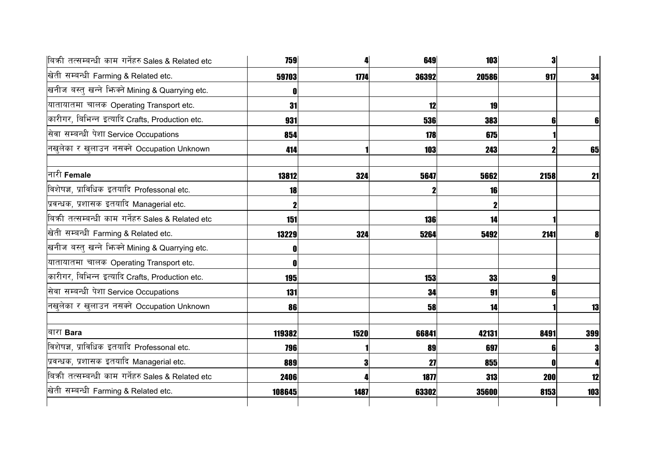| बिकी तत्सम्बन्धी काम गर्नेहरु Sales & Related etc | <b>759</b> |      | 649        | <b>103</b> | 3          |     |
|---------------------------------------------------|------------|------|------------|------------|------------|-----|
| खेती सम्बन्धी Farming & Related etc.              | 59703      | 1774 | 36392      | 20586      | 917        | 34  |
| खनीज बस्तु खन्ने भिज्मे Mining & Quarrying etc.   |            |      |            |            |            |     |
| यातायातमा चालक Operating Transport etc.           | 31         |      | 12         | 19         |            |     |
| कारीगर, बिभिन्न इत्यादि Crafts, Production etc.   | 931        |      | <b>536</b> | 383        | 6l         | 6   |
| सेवा सम्बन्धी पेशा Service Occupations            | 854        |      | 178        | 675        |            |     |
| नखुलेका र खुलाउन नसक्ने Occupation Unknown        | 414        |      | <b>103</b> | 243        |            | 65  |
| नारी Female                                       | 13812      | 324  | 5647       | 5662       | 2158       | 21  |
| विशेषज्ञ, प्राविधिक इतयादि Professonal etc.       | 18         |      |            | 16         |            |     |
| प्रवन्धक, प्रशासक इतयादि Managerial etc.          |            |      |            |            |            |     |
| बिकी तत्सम्बन्धी काम गर्नेहरु Sales & Related etc | 151        |      | 136        | 14         |            |     |
| खेती सम्बन्धी Farming & Related etc.              | 13229      | 324  | 5264       | 5492       | 2141       |     |
| खनीज बस्तु खन्ने फिक्ने Mining & Quarrying etc.   |            |      |            |            |            |     |
| यातायातमा चालक Operating Transport etc.           |            |      |            |            |            |     |
| कारीगर, बिभिन्न इत्यादि Crafts, Production etc.   | <b>195</b> |      | 153        | 33         | 9          |     |
| सेवा सम्बन्धी पेशा Service Occupations            | 131        |      | 34         | 91         |            |     |
| नखुलेका र खुलाउन नसक्ने Occupation Unknown        | 86         |      | 58         | 14         |            | 13  |
| बारा Bara                                         | 119382     | 1520 | 66841      | 42131      | 8491       | 399 |
| विशेषज्ञ, प्राविधिक इतयादि Professonal etc.       | <b>796</b> |      | 89         | 697        | 6          | 3   |
| प्रवन्धक, प्रशासक इतयादि Managerial etc.          | 889        | 3    | 27         | 855        |            |     |
| बिकी तत्सम्बन्धी काम गर्नेहरु Sales & Related etc | 2406       |      | 1877       | 313        | <b>200</b> | 12  |
| खेती सम्बन्धी Farming & Related etc.              | 108645     | 1487 | 63302      | 35600      | 8153       | 103 |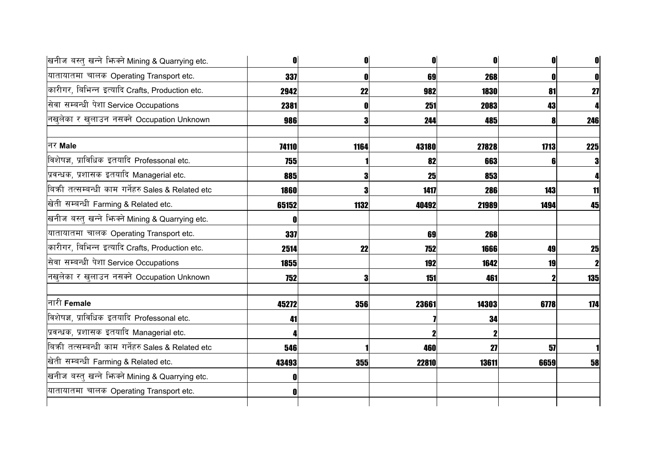| खनीज बस्तु खन्ने भिन्मे Mining & Quarrying etc.   | 0            | 0          | 0         | O     | $\mathbf{0}$ |     |
|---------------------------------------------------|--------------|------------|-----------|-------|--------------|-----|
| यातायातमा चालक Operating Transport etc.           | 337          | 0          | 69        | 268   |              |     |
| कारीगर, बिभिन्न इत्यादि Crafts, Production etc.   | 2942         | 22         | 982       | 1830  | 81           | 27  |
| सेवा सम्बन्धी पेशा Service Occupations            | 2381         | -0         | 251       | 2083  | 43           |     |
| नखुलेका र खुलाउन नसक्ने Occupation Unknown        | 986          | Я          | 244       | 485   |              | 246 |
| नर Male                                           | 74110        | 1164       | 43180     | 27828 | 1713         | 225 |
| विशेषज्ञ, प्राविधिक इतयादि Professonal etc.       | <b>755</b>   |            | 82        | 663   |              |     |
| प्रवन्धक, प्रशासक इतयादि Managerial etc.          | 885          | Я          | <b>25</b> | 853   |              |     |
| बिकी तत्सम्बन्धी काम गर्नेहरु Sales & Related etc | <b>1860</b>  |            | 1417      | 286   | 143          | 11  |
| खेती सम्बन्धी Farming & Related etc.              | 65152        | 1132       | 40492     | 21989 | 1494         | 45  |
| खनीज बस्तु खन्ने भिन्क्ने Mining & Quarrying etc. | <b>n</b>     |            |           |       |              |     |
| यातायातमा चालक Operating Transport etc.           | 337          |            | 69        | 268   |              |     |
| कारीगर, बिभिन्न इत्यादि Crafts, Production etc.   | 2514         | 22         | 752       | 1666  | 49           | 25  |
| सेवा सम्बन्धी पेशा Service Occupations            | 1855         |            | 192       | 1642  | 19           |     |
| नखलेका र खुलाउन नसक्ने Occupation Unknown         | 752          | 3          | 151       | 461   |              | 135 |
| नारी <b>Female</b>                                | 45272        | 356        | 23661     | 14303 | 6778         | 174 |
| विशेषज्ञ, प्राविधिक इतयादि Professonal etc.       | 41           |            |           | 34    |              |     |
| प्रवन्धक, प्रशासक इतयादि Managerial etc.          |              |            |           |       |              |     |
| बिकी तत्सम्बन्धी काम गर्नेहरु Sales & Related etc | 546          |            | 460       | 27    | 57           |     |
| खेती सम्बन्धी Farming & Related etc.              | 43493        | <b>355</b> | 22810     | 13611 | 6659         | 58  |
| खनीज बस्तु खन्ने भिन्क्ने Mining & Quarrying etc. | OI           |            |           |       |              |     |
| यातायातमा चालक Operating Transport etc.           | $\mathbf{0}$ |            |           |       |              |     |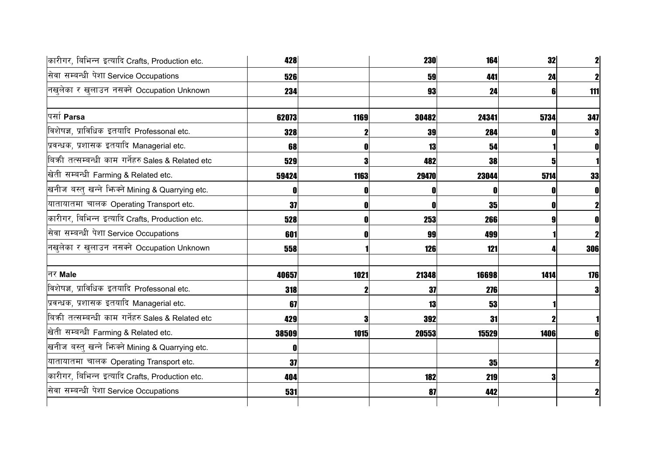| कारीगर, बिभिन्न इत्यादि Crafts, Production etc.   | 428   |      | <b>230</b> | 164   | 32   | $\mathbf{2}$ |
|---------------------------------------------------|-------|------|------------|-------|------|--------------|
| सेवा सम्बन्धी पेशा Service Occupations            | 526   |      | 59         | 441   | 24   | $\mathbf{z}$ |
| नखुलेका र खुलाउन नसक्ने Occupation Unknown        | 234   |      | 93         | 24    |      | 111          |
| पर्सा Parsa                                       | 62073 | 1169 | 30482      | 24341 | 5734 | 347          |
| विशेषज्ञ, प्राविधिक इतयादि Professonal etc.       | 328   |      | 39         | 284   |      | 3            |
| प्रवन्धक, प्रशासक इतयादि Managerial etc.          | 68    |      | 13         | 54    |      | 0            |
| बिकी तत्सम्बन्धी काम गर्नेहरु Sales & Related etc | 529   |      | 482        | 38    |      |              |
| खेती सम्बन्धी Farming & Related etc.              | 59424 | 1163 | 29470      | 23044 | 5714 | 33           |
| खनीज बस्तु खन्ने भिनको Mining & Quarrying etc.    |       |      | 0          |       |      |              |
| यातायातमा चालक Operating Transport etc.           | 37    |      | O          | 35    |      |              |
| कारीगर, बिभिन्न इत्यादि Crafts, Production etc.   | 528   |      | 253        | 266   |      |              |
| सेवा सम्बन्धी पेशा Service Occupations            | 601   |      | 99         | 499   |      | $\mathbf 2$  |
| नखुलेका र खुलाउन नसक्ने Occupation Unknown        | 558   |      | 126        | 121   |      | 306          |
| निर Male                                          | 40657 | 1021 | 21348      | 16698 | 1414 | 176          |
| विशेषज्ञ, प्राविधिक इतयादि Professonal etc.       | 318   |      | 37         | 276   |      | 3            |
| प्रवन्धक, प्रशासक इतयादि Managerial etc.          | 67    |      | 13         | 53    |      |              |
| बिकी तत्सम्बन्धी काम गर्नेहरु Sales & Related etc | 429   |      | 392        | 31    |      |              |
| खेती सम्बन्धी Farming & Related etc.              | 38509 | 1015 | 20553      | 15529 | 1406 | 61           |
| खनीज बस्तु खन्ने भिन्क्ने Mining & Quarrying etc. |       |      |            |       |      |              |
| यातायातमा चालक Operating Transport etc.           | 37    |      |            | 35    |      | $\mathbf{2}$ |
| कारीगर, बिभिन्न इत्यादि Crafts, Production etc.   | 404   |      | 182        | 219   |      |              |
| सेवा सम्बन्धी पेशा Service Occupations            | 531   |      | 87         | 442   |      | $\mathbf{2}$ |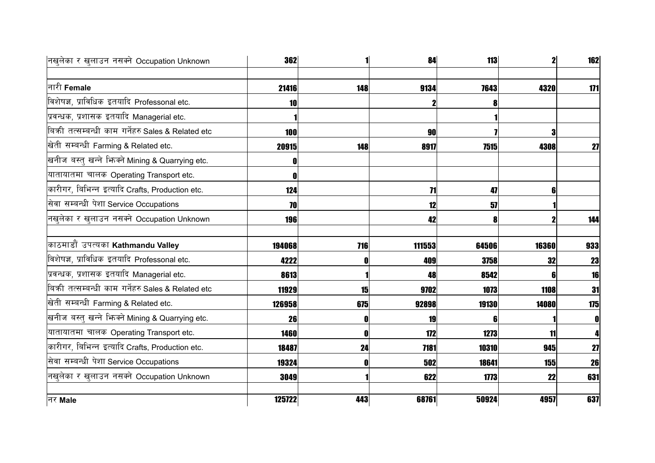| नखुलेका र खुलाउन नसक्ने Occupation Unknown        | <b>362</b> |     | 84     | 113         | $\mathbf{z}$ | 162 |
|---------------------------------------------------|------------|-----|--------|-------------|--------------|-----|
|                                                   |            |     |        |             |              |     |
| नारी Female                                       | 21416      | 148 | 9134   | 7643        | 4320         | 171 |
| विशेषज्ञ, प्राविधिक इतयादि Professonal etc.       | 10         |     |        |             |              |     |
| प्रवन्धक, प्रशासक इतयादि Managerial etc.          |            |     |        |             |              |     |
| बिकी तत्सम्बन्धी काम गर्नेहरु Sales & Related etc | 100        |     | 90     |             | 3            |     |
| खेती सम्बन्धी Farming & Related etc.              | 20915      | 148 | 8917   | <b>7515</b> | 4308         | 27  |
| खनीज बस्तु खन्ने भिज्मे Mining & Quarrying etc.   |            |     |        |             |              |     |
| यातायातमा चालक Operating Transport etc.           |            |     |        |             |              |     |
| कारीगर, बिभिन्न इत्यादि Crafts, Production etc.   | 124        |     | 71     | 47          | 61           |     |
| सेवा सम्बन्धी पेशा Service Occupations            | 70         |     | 12     | 57          |              |     |
| नखुलेका र खुलाउन नसक्ने Occupation Unknown        | <b>196</b> |     | 42     | 8           |              | 144 |
| काठमाडौं उपत्यका Kathmandu Valley                 | 194068     | 716 | 111553 | 64506       | 16360        | 933 |
| विशेषज्ञ, प्राविधिक इतयादि Professonal etc.       | 4222       |     | 409    | <b>3758</b> | 32           | 23  |
| प्रवन्धक, प्रशासक इतयादि Managerial etc.          | 8613       |     | 48     | 8542        | 61           | 16  |
| बिकी तत्सम्बन्धी काम गर्नेहरु Sales & Related etc | 11929      | 15  | 9702   | 1073        | <b>1108</b>  | 31  |
| खेती सम्बन्धी Farming & Related etc.              | 126958     | 675 | 92898  | 19130       | 14080        | 175 |
| खनीज बस्तु खन्ने भिन्क्ने Mining & Quarrying etc. | 26         | 0   | 19     | 6           |              | 0   |
| यातायातमा चालक Operating Transport etc.           | 1460       | N   | 172    | 1273        | 11           |     |
| कारीगर, बिभिन्न इत्यादि Crafts, Production etc.   | 18487      | 24  | 7181   | 10310       | 945          | 27  |
| सेवा सम्बन्धी पेशा Service Occupations            | 19324      |     | 502    | 18641       | <b>155</b>   | 26  |
| नखुलेका र खुलाउन नसक्ने Occupation Unknown        | 3049       |     | 622    | 1773        | 22           | 631 |
| नर Male                                           | 125722     | 443 | 68761  | 50924       | 4957         | 637 |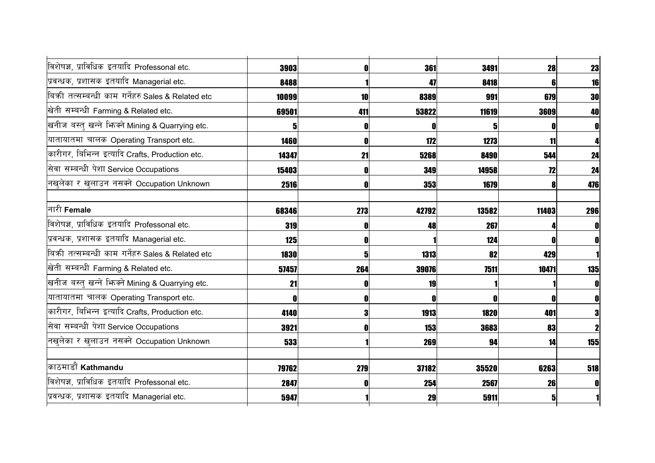| विशेषज्ञ, प्राविधिक इतयादि Professonal etc.       | 3903        | n   | 361   | 3491  | 28    | 23  |
|---------------------------------------------------|-------------|-----|-------|-------|-------|-----|
| प्रवन्धक, प्रशासक इतयादि Managerial etc.          | 8488        |     | 47    | 8418  |       | 16  |
| बिकी तत्सम्बन्धी काम गर्नेहरु Sales & Related etc | 10099       | 10  | 8389  | 991   | 679   | 30  |
| खेती सम्बन्धी Farming & Related etc.              | 69501       | 411 | 53822 | 11619 | 3609  | 40  |
| खनीज बस्तु खन्ने फिक्ने Mining & Quarrying etc.   | 5           | O   |       |       |       |     |
| यातायातमा चालक Operating Transport etc.           | <b>1460</b> |     | 172   | 1273  | 11    |     |
| कारीगर, बिभिन्न इत्यादि Crafts, Production etc.   | 14347       | 21  | 5268  | 8490  | 544   | 24  |
| सेवा सम्बन्धी पेशा Service Occupations            | 15403       |     | 349   | 14958 | 72    | 24  |
| नखुलेका र खुलाउन नसक्ने Occupation Unknown        | 2516        | O   | 353   | 1679  |       | 476 |
| नारी Female                                       | 68346       | 273 | 42792 | 13582 | 11403 | 296 |
| विशेषज्ञ, प्राविधिक इतयादि Professonal etc.       | 319         |     | 48    | 267   |       |     |
| प्रवन्धक, प्रशासक इतयादि Managerial etc.          | 125         | O   |       | 124   |       |     |
| बिकी तत्सम्बन्धी काम गर्नेहरु Sales & Related etc | <b>1830</b> |     | 1313  | 82    | 429   |     |
| खेती सम्बन्धी Farming & Related etc.              | 57457       | 264 | 39076 | 7511  | 10471 | 135 |
| खनीज बस्तु खन्ने भिज्म्ने Mining & Quarrying etc. | 21          |     | 19    |       |       |     |
| यातायातमा चालक Operating Transport etc.           | n           | O   |       |       |       |     |
| कारीगर, बिभिन्न इत्यादि Crafts, Production etc.   | 4140        | 3   | 1913  | 1820  | 401   |     |
| सेवा सम्बन्धी पेशा Service Occupations            | 3921        |     | 153   | 3683  | 83    |     |
| नखुलेका र खुलाउन नसक्ने Occupation Unknown        | 533         |     | 269   | 94    | 14    | 155 |
| काठमाडौं Kathmandu                                | 79762       | 279 | 37182 | 35520 | 6263  | 518 |
| विशेषज्ञ, प्राविधिक इतयादि Professonal etc.       | 2847        | 0   | 254   | 2567  | 26    |     |
| प्रवन्धक, प्रशासक इतयादि Managerial etc.          | 5947        |     | 29    | 5911  | 51    |     |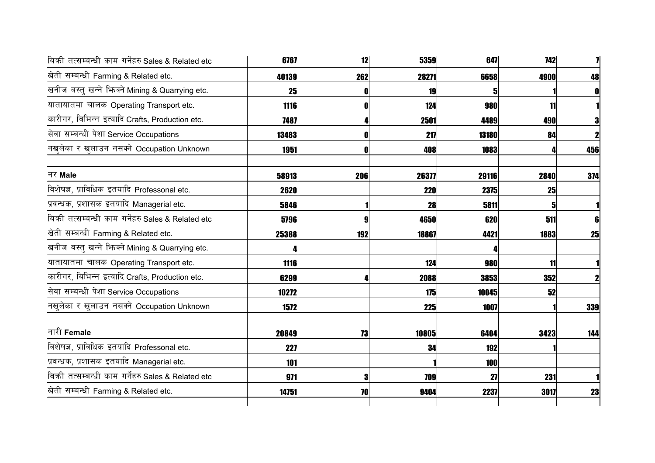| 6767  | 12  | 5359       |       |      |                                                     |
|-------|-----|------------|-------|------|-----------------------------------------------------|
| 40139 | 262 | 28271      |       | 4900 | 48                                                  |
| 25    |     | 19         |       |      | $\mathbf{0}$                                        |
| 1116  |     | 124        | 980   | 11   |                                                     |
| 7487  |     | 2501       | 4489  | 490  | 3                                                   |
| 13483 |     | 217        | 13180 | 84   | $\mathbf{2}$                                        |
| 1951  |     | 408        | 1083  |      | 456                                                 |
| 58913 | 206 | 26377      |       | 2840 | 374                                                 |
| 2620  |     | <b>220</b> |       | 25   |                                                     |
| 5846  |     | 28         | 5811  |      |                                                     |
| 5796  |     | 4650       | 620   | 511  | 6                                                   |
| 25388 | 192 | 18867      | 4421  | 1883 | 25                                                  |
|       |     |            |       |      |                                                     |
| 1116  |     | 124        | 980   | 11   |                                                     |
| 6299  |     | 2088       | 3853  | 352  | $\mathbf{z}$                                        |
| 10272 |     | 175        |       | 52   |                                                     |
| 1572  |     | 225        | 1007  |      | 339                                                 |
| 20849 | 73  | 10805      | 6404  | 3423 | 144                                                 |
| 227   |     | 34         | 192   |      |                                                     |
| 101   |     |            | 100   |      |                                                     |
| 971   |     | 709        | 27    | 231  |                                                     |
| 14751 | 70  | 9404       | 2237  | 3017 | 23                                                  |
|       |     |            |       |      | <b>742</b><br>647<br>6658<br>29116<br>2375<br>10045 |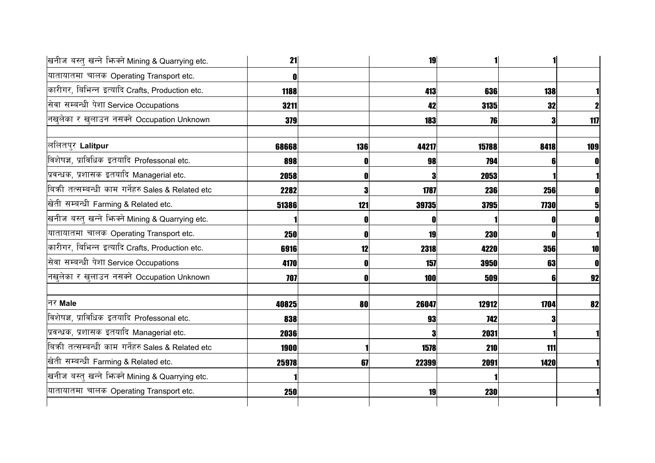| 21    |     | 19    |       |      |                                                                                                                                                                |
|-------|-----|-------|-------|------|----------------------------------------------------------------------------------------------------------------------------------------------------------------|
|       |     |       |       |      |                                                                                                                                                                |
| 1188  |     | 413   |       | 138  |                                                                                                                                                                |
| 3211  |     | 42    |       | 32   |                                                                                                                                                                |
| 379   |     | 183   |       |      | 117                                                                                                                                                            |
| 68668 | 136 | 44217 |       | 8418 | 109                                                                                                                                                            |
| 898   |     | 98    |       |      | 0                                                                                                                                                              |
| 2058  |     | 3     |       |      |                                                                                                                                                                |
| 2282  | 3   | 1787  |       |      |                                                                                                                                                                |
| 51386 | 121 | 39735 |       | 7730 |                                                                                                                                                                |
|       |     | 0     |       |      |                                                                                                                                                                |
| 250   | ſ   | 19    |       | 0    |                                                                                                                                                                |
| 6916  | 12  | 2318  |       |      | 10                                                                                                                                                             |
| 4170  |     | 157   |       | 63   | $\mathbf 0$                                                                                                                                                    |
| 707   |     | 100   |       |      | 92                                                                                                                                                             |
| 40825 | 80  | 26047 | 12912 | 1704 | 82                                                                                                                                                             |
| 838   |     | 93    |       |      |                                                                                                                                                                |
| 2036  |     | 3     |       |      |                                                                                                                                                                |
| 1900  |     | 1578  |       | 111  |                                                                                                                                                                |
| 25978 | 67  | 22399 |       | 1420 |                                                                                                                                                                |
|       |     |       |       |      |                                                                                                                                                                |
| 250   |     | 19    |       |      |                                                                                                                                                                |
|       |     |       |       |      | 636<br>3135<br>76<br>15788<br>794<br>2053<br>236<br>256<br>3795<br><b>230</b><br>4220<br><b>356</b><br>3950<br>509<br>742<br>2031<br>210<br>2091<br><b>230</b> |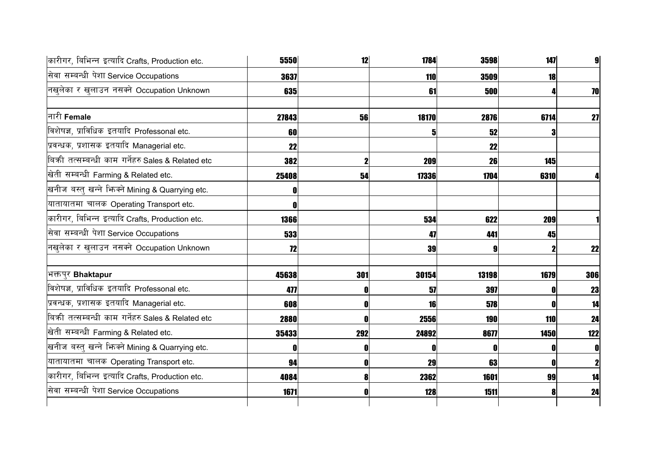| कारीगर, बिभिन्न इत्यादि Crafts, Production etc.   | 5550  | 12  | 1784  | 3598       | 147         | $\mathbf{g}$ |
|---------------------------------------------------|-------|-----|-------|------------|-------------|--------------|
| सेवा सम्बन्धी पेशा Service Occupations            | 3637  |     | 110   | 3509       | 18          |              |
| नखुलेका र खुलाउन नसक्ने Occupation Unknown        | 635   |     | 61    | 500        |             | 70           |
| नारी Female                                       | 27843 | 56  | 18170 | 2876       | 6714        | 27           |
| विशेषज्ञ, प्राविधिक इतयादि Professonal etc.       | 60    |     | 5     | 52         |             |              |
| प्रवन्धक, प्रशासक इतयादि Managerial etc.          | 22    |     |       | 22         |             |              |
| बिकी तत्सम्बन्धी काम गर्नेहरु Sales & Related etc | 382   |     | 209   | 26         | 145         |              |
| खेती सम्बन्धी Farming & Related etc.              | 25408 | 54  | 17336 | 1704       | 6310        |              |
| खनीज बस्तु खन्ने भिन्क्ने Mining & Quarrying etc. |       |     |       |            |             |              |
| यातायातमा चालक Operating Transport etc.           |       |     |       |            |             |              |
| कारीगर, बिभिन्न इत्यादि Crafts, Production etc.   | 1366  |     | 534   | 622        | 209         |              |
| सेवा सम्बन्धी पेशा Service Occupations            | 533   |     | 47    | 441        | 45          |              |
| नखुलेका र खुलाउन नसक्ने Occupation Unknown        | 72    |     | 39    |            |             | 22           |
| भक्तपुर Bhaktapur                                 | 45638 | 301 | 30154 | 13198      | 1679        | 306          |
| विशेषज्ञ, प्राविधिक इतयादि Professonal etc.       | 477   |     | 57    | 397        |             | 23           |
| प्रवन्धक, प्रशासक इतयादि Managerial etc.          | 608   |     | 16    | 578        |             | 14           |
| बिकी तत्सम्बन्धी काम गर्नेहरु Sales & Related etc | 2880  |     | 2556  | <b>190</b> | 110         | 24           |
| खेती सम्बन्धी Farming & Related etc.              | 35433 | 292 | 24892 | 8677       | <b>1450</b> | 122          |
| खनीज बस्तु खन्ने भिनको Mining & Quarrying etc.    |       | N   | O     |            |             | $\mathbf{0}$ |
| यातायातमा चालक Operating Transport etc.           | 94    |     | 29    | 63         |             | $\mathbf{2}$ |
| कारीगर, बिभिन्न इत्यादि Crafts, Production etc.   | 4084  |     | 2362  | 1601       | 99          | 14           |
| सेवा सम्बन्धी पेशा Service Occupations            | 1671  |     | 128   | 1511       |             | 24           |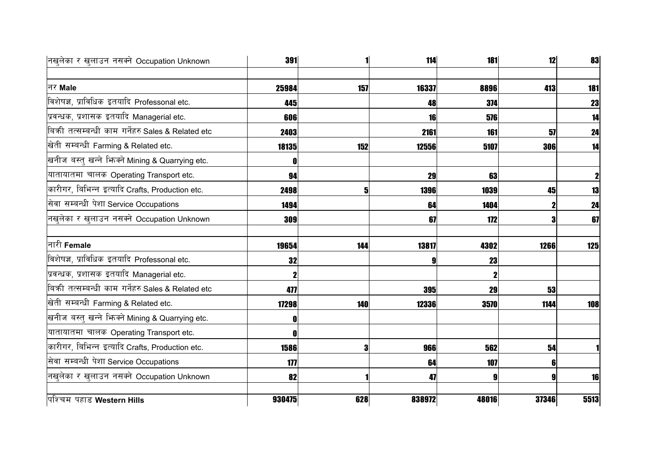| नखुलेका र खुलाउन नसक्ने Occupation Unknown        | 391    |     | 114    | 181   | 12               | 83   |
|---------------------------------------------------|--------|-----|--------|-------|------------------|------|
|                                                   |        |     |        |       |                  |      |
| नर Male                                           | 25984  | 157 | 16337  | 8896  | 413              | 181  |
| विशेषज्ञ, प्राविधिक इतयादि Professonal etc.       | 445    |     | 48     | 374   |                  | 23   |
| प्रवन्धक, प्रशासक इतयादि Managerial etc.          | 606    |     | 16     | 576   |                  | 14   |
| बिकी तत्सम्बन्धी काम गर्नेहरु Sales & Related etc | 2403   |     | 2161   | 161   | 57               | 24   |
| खेती सम्बन्धी Farming & Related etc.              | 18135  | 152 | 12556  | 5107  | 306              | 14   |
| खनीज बस्तु खन्ने भिनक्ने Mining & Quarrying etc.  |        |     |        |       |                  |      |
| यातायातमा चालक Operating Transport etc.           | 94     |     | 29     | 63    |                  | 2    |
| कारीगर, बिभिन्न इत्यादि Crafts, Production etc.   | 2498   | 5   | 1396   | 1039  | 45               | 13   |
| सेवा सम्बन्धी पेशा Service Occupations            | 1494   |     | 64     | 1404  |                  | 24   |
| नखुलेका र खुलाउन नसक्ने Occupation Unknown        | 309    |     | 67     | 172   | 3                | 67   |
| नारी Female                                       | 19654  | 144 | 13817  | 4302  | 1266             | 125  |
| विशेषज्ञ, प्राविधिक इतयादि Professonal etc.       | 32     |     | 9      | 23    |                  |      |
| प्रवन्धक, प्रशासक इतयादि Managerial etc.          |        |     |        |       |                  |      |
| बिकी तत्सम्बन्धी काम गर्नेहरु Sales & Related etc | 477    |     | 395    | 29    | 53               |      |
| खेती सम्बन्धी Farming & Related etc.              | 17298  | 140 | 12336  | 3570  | 1144             | 108  |
| खनीज बस्तु खन्ने भिनको Mining & Quarrying etc.    |        |     |        |       |                  |      |
| यातायातमा चालक Operating Transport etc.           |        |     |        |       |                  |      |
| कारीगर, बिभिन्न इत्यादि Crafts, Production etc.   | 1586   | 3   | 966    | 562   | 54               |      |
| सेवा सम्बन्धी पेशा Service Occupations            | 177    |     | 64     | 107   | 6                |      |
| नखुलेका र खुलाउन नसक्ने Occupation Unknown        | 82     |     | 47     | 9     | $\boldsymbol{9}$ | 16   |
| पश्चिम पहाड Western Hills                         | 930475 | 628 | 838972 | 48016 | 37346            | 5513 |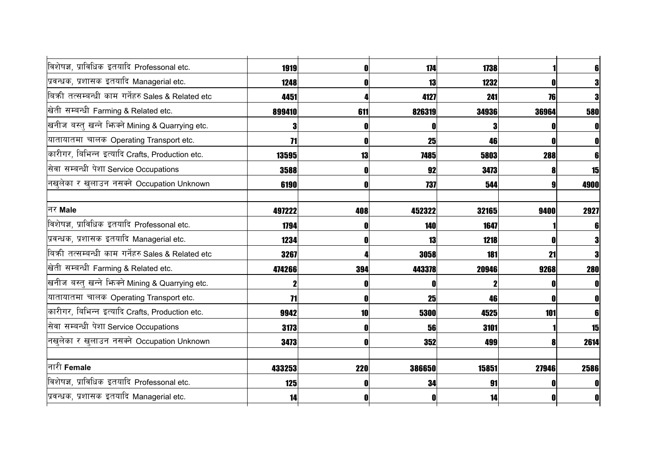| विशेषज्ञ, प्राविधिक इतयादि Professonal etc.       | 1919   |            | 174    | 1738  |       |            |
|---------------------------------------------------|--------|------------|--------|-------|-------|------------|
| प्रवन्धक, प्रशासक इतयादि Managerial etc.          | 1248   |            | 13     | 1232  |       |            |
| बिकी तत्सम्बन्धी काम गर्नेहरु Sales & Related etc | 4451   |            | 4127   | 241   | 76    |            |
| खेती सम्बन्धी Farming & Related etc.              | 899410 | 611        | 826319 | 34936 | 36964 | 580        |
| खनीज बस्तु खन्ने भिनको Mining & Quarrying etc.    |        |            | O      |       |       |            |
| यातायातमा चालक Operating Transport etc.           | 71     |            | 25     | 46    |       |            |
| कारीगर, बिभिन्न इत्यादि Crafts, Production etc.   | 13595  | 13         | 7485   | 5803  | 288   | 6          |
| सेवा सम्बन्धी पेशा Service Occupations            | 3588   |            | 92     | 3473  |       | 15         |
| नखुलेका र खुलाउन नसक्ने Occupation Unknown        | 6190   |            | 737    | 544   |       | 4900       |
|                                                   |        |            |        |       |       |            |
| नर Male                                           | 497222 | 408        | 452322 | 32165 | 9400  | 2927       |
| विशेषज्ञ, प्राविधिक इतयादि Professonal etc.       | 1794   |            | 140    | 1647  |       | 6          |
| प्रवन्धक, प्रशासक इतयादि Managerial etc.          | 1234   |            | 13     | 1218  |       | 3          |
| बिकी तत्सम्बन्धी काम गर्नेहरु Sales & Related etc | 3267   |            | 3058   | 181   | 21    | 3          |
| खेती सम्बन्धी Farming & Related etc.              | 474266 | 394        | 443378 | 20946 | 9268  | <b>280</b> |
| खनीज बस्तु खन्ने भिनको Mining & Quarrying etc.    |        |            |        |       |       |            |
| यातायातमा चालक Operating Transport etc.           | 71     |            | 25     | 46    |       |            |
| कारीगर, बिभिन्न इत्यादि Crafts, Production etc.   | 9942   | 10         | 5300   | 4525  | 101   |            |
| सेवा सम्बन्धी पेशा Service Occupations            | 3173   |            | 56     | 3101  |       | 15         |
| नखुलेका र खुलाउन नसक्ने Occupation Unknown        | 3473   |            | 352    | 499   |       | 2614       |
| नारी Female                                       | 433253 | <b>220</b> | 386650 | 15851 | 27946 | 2586       |
| विशेषज्ञ, प्राविधिक इतयादि Professonal etc.       | 125    |            | 34     | 91    |       |            |
| प्रवन्धक, प्रशासक इतयादि Managerial etc.          | 14     |            | 0      | 14    |       | 0          |
|                                                   |        |            |        |       |       |            |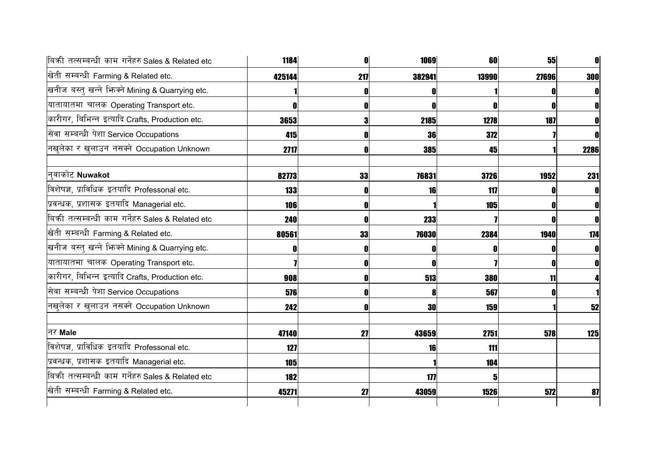| बिकी तत्सम्बन्धी काम गर्नेहरु Sales & Related etc   | 1184       |     | 1069   | 60    | 55    | $\mathbf{0}$ |
|-----------------------------------------------------|------------|-----|--------|-------|-------|--------------|
| खेती सम्बन्धी Farming & Related etc.                | 425144     | 217 | 382941 | 13990 | 27696 | <b>300</b>   |
| खनीज बस्तु खन्ने भिज्म्ने Mining & Quarrying etc.   |            |     |        |       |       | $\mathbf{0}$ |
| यातायातमा चालक Operating Transport etc.             |            |     | 0      |       |       | $\mathbf{0}$ |
| कारीगर, बिभिन्न इत्यादि Crafts, Production etc.     | 3653       |     | 2185   | 1278  | 187   | O            |
| सेवा सम्बन्धी पेशा Service Occupations              | 415        |     | 36     | 372   |       | 0            |
| नखुलेका र खुलाउन नसक्ने Occupation Unknown          | 2717       |     | 385    | 45    |       | 2286         |
| नुवाकोट Nuwakot                                     | 82773      | 33  | 76831  | 3726  | 1952  | 231          |
| विशेषज्ञ, प्राविधिक इतयादि Professonal etc.         | <b>133</b> |     | 16     | 117   |       | 0            |
| प्रवन्धक, प्रशासक इतयादि Managerial etc.            | <b>106</b> |     |        | 105   |       | O            |
| बिक्री तत्सम्बन्धी काम गर्नेहरु Sales & Related etc | 240        |     | 233    |       |       | O            |
| खेती सम्बन्धी Farming & Related etc.                | 80561      | 33  | 76030  | 2384  | 1940  | 174          |
| खनीज बस्तु खन्ने भिज्मे Mining & Quarrying etc.     |            |     | O      |       |       | 0            |
| यातायातमा चालक Operating Transport etc.             |            |     | 0      |       |       | 0            |
| कारीगर, बिभिन्न इत्यादि Crafts, Production etc.     | 908        |     | 513    | 380   | 11    |              |
| सेवा सम्बन्धी पेशा Service Occupations              | 576        |     | 8      | 567   |       |              |
| नखुलेका र खुलाउन नसक्ने Occupation Unknown          | 242        |     | 30     | 159   |       | 52           |
| नर Male                                             | 47140      | 27  | 43659  | 2751  | 578   | 125          |
| विशेषज्ञ, प्राविधिक इतयादि Professonal etc.         | 127        |     | 16     | 111   |       |              |
| प्रवन्धक, प्रशासक इतयादि Managerial etc.            | <b>105</b> |     |        | 104   |       |              |
| बिकी तत्सम्बन्धी काम गर्नेहरु Sales & Related etc   | 182        |     | 177    |       |       |              |
| खेती सम्बन्धी Farming & Related etc.                | 45271      | 27  | 43059  | 1526  | 572   | 87           |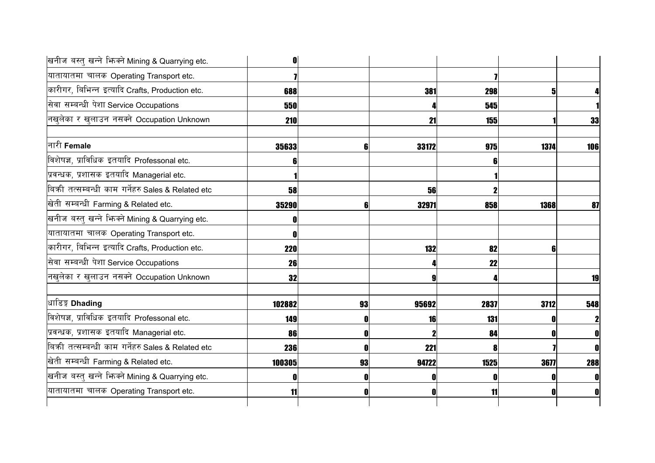| खनीज बस्तु खन्ने भिज्मे Mining & Quarrying etc.   |        |    |       |      |      |              |
|---------------------------------------------------|--------|----|-------|------|------|--------------|
| यातायातमा चालक Operating Transport etc.           |        |    |       |      |      |              |
| कारीगर, बिभिन्न इत्यादि Crafts, Production etc.   | 688    |    | 381   | 298  |      |              |
| सेवा सम्बन्धी पेशा Service Occupations            | 550    |    |       | 545  |      |              |
| नखुलेका र खुलाउन नसक्ने Occupation Unknown        | 210    |    | 21    | 155  |      | 33           |
| नारी Female                                       | 35633  |    | 33172 | 975  | 1374 | 106          |
| विशेषज्ञ, प्राविधिक इतयादि Professonal etc.       |        |    |       |      |      |              |
| प्रवन्धक, प्रशासक इतयादि Managerial etc.          |        |    |       |      |      |              |
| बिकी तत्सम्बन्धी काम गर्नेहरु Sales & Related etc | 58     |    | 56    |      |      |              |
| खेती सम्बन्धी Farming & Related etc.              | 35290  |    | 32971 | 858  | 1368 | 87           |
| खनीज बस्तु खन्ने भिज्मे Mining & Quarrying etc.   |        |    |       |      |      |              |
| यातायातमा चालक Operating Transport etc.           |        |    |       |      |      |              |
| कारीगर, बिभिन्न इत्यादि Crafts, Production etc.   | 220    |    | 132   | 82   |      |              |
| सेवा सम्बन्धी पेशा Service Occupations            | 26     |    |       | 22   |      |              |
| नखुलेका र खुलाउन नसक्ने Occupation Unknown        | 32     |    | я     |      |      | 19           |
| धाडिङ्ग Dhading                                   | 102882 | 93 | 95692 | 2837 | 3712 | 548          |
| विशेषज्ञ, प्राविधिक इतयादि Professonal etc.       | 149    |    | 16    | 131  |      | $\mathbf{2}$ |
| प्रवन्धक, प्रशासक इतयादि Managerial etc.          | 86     |    |       | 84   |      | $\mathbf{0}$ |
| बिकी तत्सम्बन्धी काम गर्नेहरु Sales & Related etc | 236    |    | 221   |      |      | $\mathbf{0}$ |
| खेती सम्बन्धी Farming & Related etc.              | 100305 | 93 | 94722 | 1525 | 3677 | 288          |
| खनीज बस्तु खन्ने भिन्क्ने Mining & Quarrying etc. |        |    |       |      |      | 0            |
| यातायातमा चालक Operating Transport etc.           | 11     |    | 0     | 11   |      | 0            |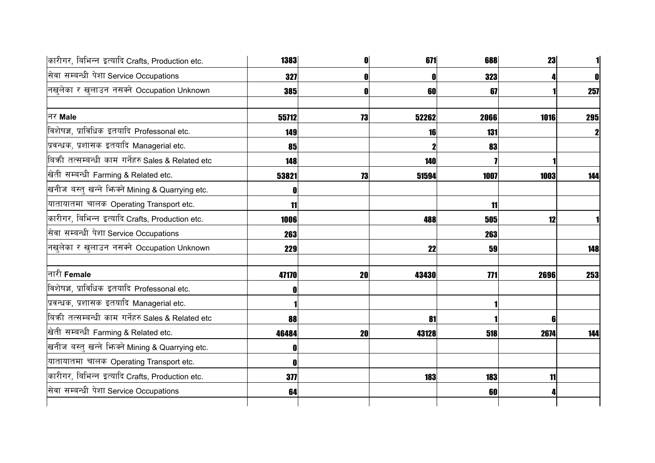| कारीगर, बिभिन्न इत्यादि Crafts, Production etc.   | 1383  |    | 671        | 688        | 23   |              |
|---------------------------------------------------|-------|----|------------|------------|------|--------------|
| सेवा सम्बन्धी पेशा Service Occupations            | 327   |    | O          | 323        |      | $\mathbf{0}$ |
| नखुलेका र खुलाउन नसक्ने Occupation Unknown        | 385   |    | 60         | 67         |      | 257          |
| नर Male                                           | 55712 | 73 | 52262      | 2066       | 1016 | 295          |
| विशेषज्ञ, प्राविधिक इतयादि Professonal etc.       | 149   |    | 16         | 131        |      | $\mathbf{2}$ |
| प्रवन्धक, प्रशासक इतयादि Managerial etc.          | 85    |    |            | 83         |      |              |
| बिकी तत्सम्बन्धी काम गर्नेहरु Sales & Related etc | 148   |    | 140        |            |      |              |
| खेती सम्बन्धी Farming & Related etc.              | 53821 | 73 | 51594      | 1007       | 1003 | 144          |
| खनीज बस्तु खन्ने भिन्क्ने Mining & Quarrying etc. |       |    |            |            |      |              |
| यातायातमा चालक Operating Transport etc.           | 11    |    |            | 11         |      |              |
| कारीगर, बिभिन्न इत्यादि Crafts, Production etc.   | 1006  |    | 488        | 505        | 12   |              |
| सेवा सम्बन्धी पेशा Service Occupations            | 263   |    |            | 263        |      |              |
| नखुलेका र खुलाउन नसक्ने Occupation Unknown        | 229   |    | 22         | 59         |      | 148          |
| नारी Female                                       | 47170 | 20 | 43430      | <b>771</b> | 2696 | 253          |
| विशेषज्ञ, प्राविधिक इतयादि Professonal etc.       |       |    |            |            |      |              |
| प्रवन्धक, प्रशासक इतयादि Managerial etc.          |       |    |            |            |      |              |
| बिकी तत्सम्बन्धी काम गर्नेहरु Sales & Related etc | 88    |    | 81         |            |      |              |
| खेती सम्बन्धी Farming & Related etc.              | 46484 | 20 | 43128      | 518        | 2674 | 144          |
| खनीज बस्तु खन्ने भिज्मे Mining & Quarrying etc.   |       |    |            |            |      |              |
| यातायातमा चालक Operating Transport etc.           |       |    |            |            |      |              |
| कारीगर, बिभिन्न इत्यादि Crafts, Production etc.   | 377   |    | <b>183</b> | <b>183</b> | 11   |              |
| सेवा सम्बन्धी पेशा Service Occupations            | 64    |    |            | 60         |      |              |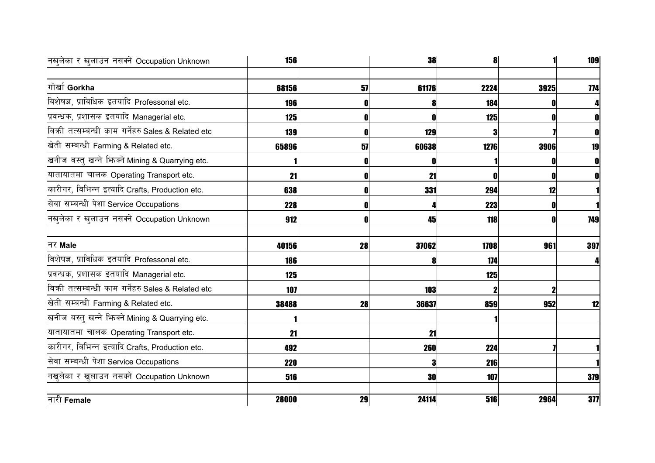| नखुलेका र खुलाउन नसक्ने Occupation Unknown          | <b>156</b> |    | 38    | 8    |      | 109          |
|-----------------------------------------------------|------------|----|-------|------|------|--------------|
| गोर्खा Gorkha                                       |            |    |       |      |      |              |
|                                                     | 68156      | 57 | 61176 | 2224 | 3925 | 774          |
| विशेषज्ञ, प्राविधिक इतयादि Professonal etc.         | 196        |    | 8     | 184  |      | 4            |
| प्रवन्धक, प्रशासक इतयादि Managerial etc.            | 125        |    | 0     | 125  |      | $\mathbf{0}$ |
| बिकी तत्सम्बन्धी काम गर्नेहरु Sales & Related etc   | 139        | Λ  | 129   | 3    |      | $\mathbf{0}$ |
| खेती सम्बन्धी Farming & Related etc.                | 65896      | 57 | 60638 | 1276 | 3906 | 19           |
| खनीज बस्तु खन्ने भिग्क्ने Mining & Quarrying etc.   |            |    |       |      |      | $\mathbf 0$  |
| यातायातमा चालक Operating Transport etc.             | 21         |    | 21    |      |      | $\mathbf 0$  |
| कारीगर, बिभिन्न इत्यादि Crafts, Production etc.     | 638        |    | 331   | 294  | 12   |              |
| सेवा सम्बन्धी पेशा Service Occupations              | 228        |    |       | 223  |      |              |
| नखुलेका र खुलाउन नसक्ने Occupation Unknown          | 912        |    | 45    | 118  |      | 749          |
| नर Male                                             | 40156      | 28 | 37062 | 1708 | 961  | 397          |
| विशेषज्ञ, प्राविधिक इतयादि Professonal etc.         | 186        |    | 8     | 174  |      |              |
| प्रवन्धक, प्रशासक इतयादि Managerial etc.            | 125        |    |       | 125  |      |              |
| बिक्री तत्सम्बन्धी काम गर्नेहरु Sales & Related etc | 107        |    | 103   |      |      |              |
| खेती सम्बन्धी Farming & Related etc.                | 38488      | 28 | 36637 | 859  | 952  | 12           |
| खनीज बस्तु खन्ने भिन्क्ने Mining & Quarrying etc.   |            |    |       |      |      |              |
| यातायातमा चालक Operating Transport etc.             | 21         |    | 21    |      |      |              |
| कारीगर, बिभिन्न इत्यादि Crafts, Production etc.     | 492        |    | 260   | 224  |      |              |
| सेवा सम्बन्धी पेशा Service Occupations              | <b>220</b> |    | и     | 216  |      |              |
| नखुलेका र खुलाउन नसक्ने Occupation Unknown          | 516        |    | 30    | 107  |      | 379          |
| नारी <b>Female</b>                                  | 28000      | 29 | 24114 | 516  | 2964 | 377          |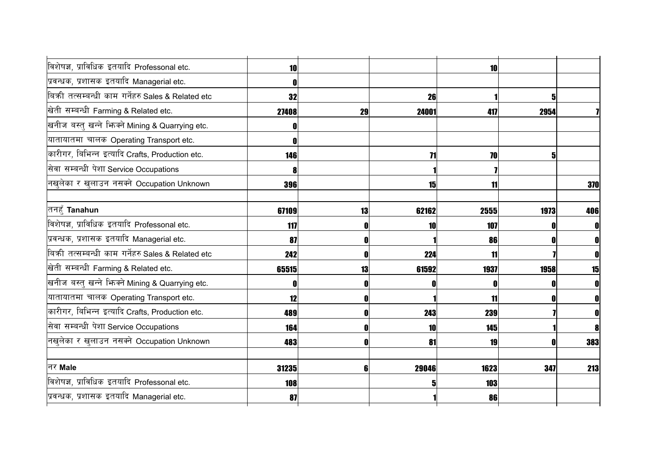| विशेषज्ञ, प्राविधिक इतयादि Professonal etc.       | 10    |    |       | 10   |      |                  |
|---------------------------------------------------|-------|----|-------|------|------|------------------|
| प्रवन्धक, प्रशासक इतयादि Managerial etc.          |       |    |       |      |      |                  |
| बिकी तत्सम्बन्धी काम गर्नेहरु Sales & Related etc | 32    |    | 26    |      | 5    |                  |
| खेती सम्बन्धी Farming & Related etc.              | 27408 | 29 | 24001 | 417  | 2954 |                  |
| खनीज बस्तु खन्ने भिन्क्ने Mining & Quarrying etc. |       |    |       |      |      |                  |
| यातायातमा चालक Operating Transport etc.           |       |    |       |      |      |                  |
| कारीगर, बिभिन्न इत्यादि Crafts, Production etc.   | 146   |    | 71    | 70   |      |                  |
| सेवा सम्बन्धी पेशा Service Occupations            |       |    |       |      |      |                  |
| नखुलेका र खुलाउन नसक्ने Occupation Unknown        | 396   |    | 15    | 11   |      | 370              |
|                                                   |       |    |       |      |      |                  |
| तनहूँ <b>Tanahun</b>                              | 67109 | 13 | 62162 | 2555 | 1973 | 406              |
| विशेषज्ञ, प्राविधिक इतयादि Professonal etc.       | 117   | O  | 10    | 107  |      | $\mathbf{0}$     |
| प्रवन्धक, प्रशासक इतयादि Managerial etc.          | 87    | O  |       | 86   |      | $\mathbf{0}$     |
| बिकी तत्सम्बन्धी काम गर्नेहरु Sales & Related etc | 242   | 0  | 224   | 11   |      | $\mathbf{0}$     |
| खेती सम्बन्धी Farming & Related etc.              | 65515 | 13 | 61592 | 1937 | 1958 | 15               |
| खनीज बस्तु खन्ने भिज्म्ने Mining & Quarrying etc. |       |    | 0     |      |      | $\mathbf{0}$     |
| यातायातमा चालक Operating Transport etc.           | 12    | 0  |       | 11   |      | $\mathbf{0}$     |
| कारीगर, बिभिन्न इत्यादि Crafts, Production etc.   | 489   | 0  | 243   | 239  |      | $\mathbf{0}$     |
| सेवा सम्बन्धी पेशा Service Occupations            | 164   | O  | 10    | 145  |      | $\boldsymbol{8}$ |
| नखुलेका र खुलाउन नसक्ने Occupation Unknown        | 483   | O  | 81    | 19   |      | 383              |
|                                                   |       |    |       |      |      |                  |
| नर Male                                           | 31235 | 6  | 29046 | 1623 | 347  | 213              |
| विशेषज्ञ, प्राविधिक इतयादि Professonal etc.       | 108   |    | 5     | 103  |      |                  |
| प्रवन्धक, प्रशासक इतयादि Managerial etc.          | 87    |    |       | 86   |      |                  |
|                                                   |       |    |       |      |      |                  |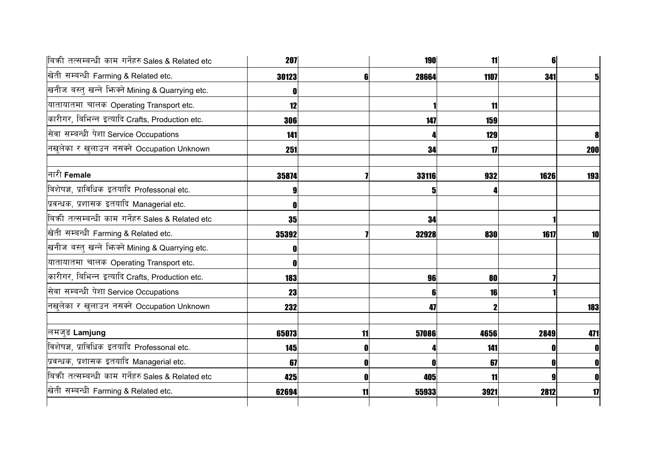| बिकी तत्सम्बन्धी काम गर्नेहरु Sales & Related etc   | <b>207</b> |    | <b>190</b> | 11   | 6    |             |
|-----------------------------------------------------|------------|----|------------|------|------|-------------|
| खेती सम्बन्धी Farming & Related etc.                | 30123      | 6  | 28664      | 1107 | 341  | 5           |
| खनीज बस्तु खन्ने भिज्मे Mining & Quarrying etc.     |            |    |            |      |      |             |
| यातायातमा चालक Operating Transport etc.             | 12         |    |            | 11   |      |             |
| कारीगर, बिभिन्न इत्यादि Crafts, Production etc.     | 306        |    | 147        | 159  |      |             |
| सेवा सम्बन्धी पेशा Service Occupations              | 141        |    |            | 129  |      |             |
| नखुलेका र खुलाउन नसक्ने Occupation Unknown          | 251        |    | 34         | 17   |      | <b>200</b>  |
| नारी Female                                         | 35874      |    | 33116      | 932  | 1626 | 193         |
| विशेषज्ञ, प्राविधिक इतयादि Professonal etc.         |            |    | 5          |      |      |             |
| प्रवन्धक, प्रशासक इतयादि Managerial etc.            |            |    |            |      |      |             |
| बिक्री तत्सम्बन्धी काम गर्नेहरु Sales & Related etc | 35         |    | 34         |      |      |             |
| खेती सम्बन्धी Farming & Related etc.                | 35392      |    | 32928      | 830  | 1617 | 10          |
| खनीज बस्तु खन्ने भिन्क्ने Mining & Quarrying etc.   |            |    |            |      |      |             |
| यातायातमा चालक Operating Transport etc.             |            |    |            |      |      |             |
| कारीगर, बिभिन्न इत्यादि Crafts, Production etc.     | 183        |    | 96         | 80   |      |             |
| सेवा सम्बन्धी पेशा Service Occupations              | 23         |    | 6          | 16   |      |             |
| नखुलेका र खुलाउन नसक्ने Occupation Unknown          | 232        |    | 47         |      |      | 183         |
| लमजुङ Lamjung                                       | 65073      | 11 | 57086      | 4656 | 2849 | 471         |
| विशेषज्ञ, प्राविधिक इतयादि Professonal etc.         | 145        | O  |            | 141  |      | 0           |
| प्रवन्धक, प्रशासक इतयादि Managerial etc.            | 67         | O  | n          | 67   |      | $\mathbf 0$ |
| बिकी तत्सम्बन्धी काम गर्नेहरु Sales & Related etc   | 425        |    | 405        | 11   |      | 0           |
| खेती सम्बन्धी Farming & Related etc.                | 62694      | 11 | 55933      | 3921 | 2812 | 17          |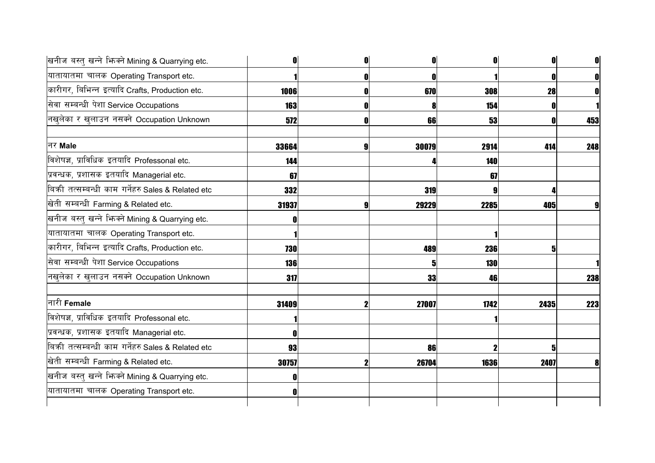| खनीज बस्तु खन्ने भिज्मे Mining & Quarrying etc.   |            | 0     |      |      | $\mathbf{0}$ |
|---------------------------------------------------|------------|-------|------|------|--------------|
| यातायातमा चालक Operating Transport etc.           |            | 0     |      |      | $\mathbf{0}$ |
| कारीगर, बिभिन्न इत्यादि Crafts, Production etc.   | 1006       | 670   | 308  | 28   | 0            |
| सेवा सम्बन्धी पेशा Service Occupations            | <b>163</b> |       | 154  |      |              |
| नखुलेका र खुलाउन नसक्ने Occupation Unknown        | 572        | 66    | 53   |      | 453          |
| नर Male                                           | 33664      | 30079 | 2914 | 414  | 248          |
| विशेषज्ञ, प्राविधिक इतयादि Professonal etc.       | 144        |       | 140  |      |              |
| प्रवन्धक, प्रशासक इतयादि Managerial etc.          | 67         |       | 67   |      |              |
| बिकी तत्सम्बन्धी काम गर्नेहरु Sales & Related etc | 332        | 319   |      |      |              |
| खेती सम्बन्धी Farming & Related etc.              | 31937      | 29229 | 2285 | 405  |              |
| खनीज बस्तु खन्ने भिन्क्ने Mining & Quarrying etc. |            |       |      |      |              |
| यातायातमा चालक Operating Transport etc.           |            |       |      |      |              |
| कारीगर, बिभिन्न इत्यादि Crafts, Production etc.   | 730        | 489   | 236  |      |              |
| सेवा सम्बन्धी पेशा Service Occupations            | <b>136</b> | 5     | 130  |      |              |
| नखुलेका र खुलाउन नसक्ने Occupation Unknown        | 317        | 33    | 46   |      | 238          |
| नारी Female                                       | 31409      | 27007 | 1742 | 2435 | 223          |
| विशेषज्ञ, प्राविधिक इतयादि Professonal etc.       |            |       |      |      |              |
| प्रवन्धक, प्रशासक इतयादि Managerial etc.          |            |       |      |      |              |
| बिकी तत्सम्बन्धी काम गर्नेहरु Sales & Related etc | 93         | 86    |      |      |              |
| खेती सम्बन्धी Farming & Related etc.              | 30757      | 26704 | 1636 | 2407 | 8            |
| खनीज बस्तु खन्ने भिज्म्ने Mining & Quarrying etc. |            |       |      |      |              |
| यातायातमा चालक Operating Transport etc.           |            |       |      |      |              |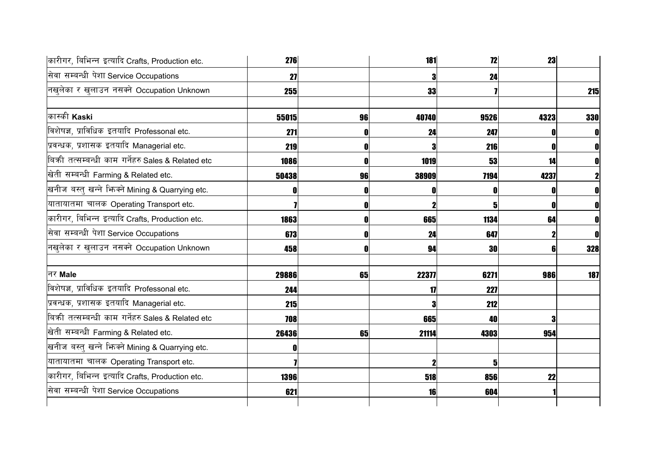| कारीगर, बिभिन्न इत्यादि Crafts, Production etc.   | 276   |    | 181   | 12        | 23   |     |
|---------------------------------------------------|-------|----|-------|-----------|------|-----|
| सेवा सम्बन्धी पेशा Service Occupations            | 27    |    |       | 24        |      |     |
| नखलेका र खुलाउन नसक्ने Occupation Unknown         | 255   |    | 33    |           |      | 215 |
| कास्की Kaski                                      | 55015 | 96 | 40740 | 9526      | 4323 | 330 |
| विशेषज्ञ, प्राविधिक इतयादि Professonal etc.       | 271   |    | 24    | 247       |      |     |
| प्रवन्धक, प्रशासक इतयादि Managerial etc.          | 219   |    |       | 216       |      |     |
| बिकी तत्सम्बन्धी काम गर्नेहरु Sales & Related etc | 1086  |    | 1019  | 53        | 14   |     |
| खेती सम्बन्धी Farming & Related etc.              | 50438 | 96 | 38909 | 7194      | 4237 |     |
| खनीज बस्तु खन्ने भिन्क्ने Mining & Quarrying etc. |       |    |       |           |      |     |
| यातायातमा चालक Operating Transport etc.           |       |    |       |           |      |     |
| कारीगर, बिभिन्न इत्यादि Crafts, Production etc.   | 1863  | 0  | 665   | 1134      | 64   |     |
| सेवा सम्बन्धी पेशा Service Occupations            | 673   |    | 24    | 647       |      |     |
| नखलेका र खुलाउन नसक्ने Occupation Unknown         | 458   | O  | 94    | <b>30</b> | 61   | 328 |
| नर Male                                           | 29886 | 65 | 22377 | 6271      | 986  | 187 |
| विशेषज्ञ, प्राविधिक इतयादि Professonal etc.       | 244   |    | 17    | 227       |      |     |
| प्रवन्धक, प्रशासक इतयादि Managerial etc.          | 215   |    |       | 212       |      |     |
| बिकी तत्सम्बन्धी काम गर्नेहरु Sales & Related etc | 708   |    | 665   | 40        |      |     |
| खेती सम्बन्धी Farming & Related etc.              | 26436 | 65 | 21114 | 4303      | 954  |     |
| खनीज बस्तु खन्ने भिन्क्ने Mining & Quarrying etc. |       |    |       |           |      |     |
| यातायातमा चालक Operating Transport etc.           |       |    |       |           |      |     |
| कारीगर, बिभिन्न इत्यादि Crafts, Production etc.   | 1396  |    | 518   | 856       | 22   |     |
| सेवा सम्बन्धी पेशा Service Occupations            | 621   |    | 16    | 604       |      |     |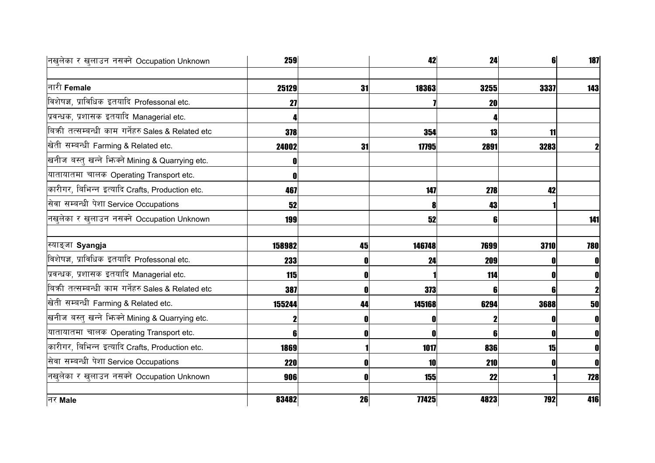| नखुलेका र खुलाउन नसक्ने Occupation Unknown          | 259        |    | 42         | 24   |      | <b>187</b>   |
|-----------------------------------------------------|------------|----|------------|------|------|--------------|
|                                                     |            |    |            |      |      |              |
| नारी Female                                         | 25129      | 31 | 18363      | 3255 | 3337 | 143          |
| विशेषज्ञ, प्राविधिक इतयादि Professonal etc.         | 27         |    |            | 20   |      |              |
| प्रवन्धक, प्रशासक इतयादि Managerial etc.            |            |    |            |      |      |              |
| बिक्री तत्सम्बन्धी काम गर्नेहरु Sales & Related etc | 378        |    | 354        | 13   | 11   |              |
| खेती सम्बन्धी Farming & Related etc.                | 24002      | 31 | 17795      | 2891 | 3283 | $\mathbf{2}$ |
| खनीज बस्तु खन्ने भिज्म्ने Mining & Quarrying etc.   |            |    |            |      |      |              |
| यातायातमा चालक Operating Transport etc.             |            |    |            |      |      |              |
| कारीगर, बिभिन्न इत्यादि Crafts, Production etc.     | 467        |    | 147        | 278  | 42   |              |
| सेवा सम्बन्धी पेशा Service Occupations              | 52         |    | 8          | 43   |      |              |
| नखुलेका र खुलाउन नसक्ने Occupation Unknown          | 199        |    | 52         | 6    |      | 141          |
|                                                     |            |    |            |      |      |              |
| स्याङ्जा Syangja                                    | 158982     | 45 | 146748     | 7699 | 3710 | 780          |
| विशेषज्ञ, प्राविधिक इतयादि Professonal etc.         | 233        |    | 24         | 209  |      | $\mathbf 0$  |
| प्रवन्धक, प्रशासक इतयादि Managerial etc.            | <b>115</b> |    |            | 114  |      | 0            |
| बिकी तत्सम्बन्धी काम गर्नेहरु Sales & Related etc   | 387        |    | 373        | 6    |      | $\mathbf 2$  |
| खेती सम्बन्धी Farming & Related etc.                | 155244     | 44 | 145168     | 6294 | 3688 | 50           |
| खनीज बस्तु खन्ने भिन्क्ने Mining & Quarrying etc.   |            |    | 0          |      |      | OI           |
| यातायातमा चालक Operating Transport etc.             | R          |    | 0          | R    |      | 0            |
| कारीगर, बिभिन्न इत्यादि Crafts, Production etc.     | 1869       |    | 1017       | 836  | 15   | $\mathbf{0}$ |
| सेवा सम्बन्धी पेशा Service Occupations              | <b>220</b> |    | 10         | 210  |      | $\mathbf{0}$ |
| नखुलेका र खुलाउन नसक्ने Occupation Unknown          | 906        |    | <b>155</b> | 22   |      | <b>728</b>   |
| नर Male                                             | 83482      | 26 | 77425      | 4823 | 792  | 416          |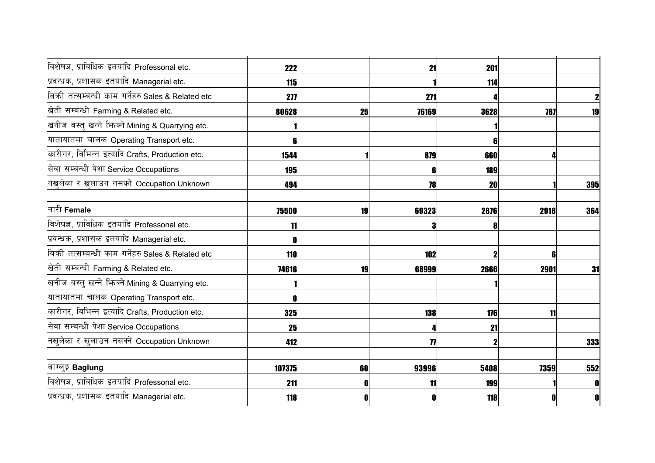| विशेषज्ञ, प्राविधिक इतयादि Professonal etc.         | <b>222</b> |    | 21    | 201        |      |              |
|-----------------------------------------------------|------------|----|-------|------------|------|--------------|
| प्रवन्धक, प्रशासक इतयादि Managerial etc.            | <b>115</b> |    |       | 114        |      |              |
| बिक्री तत्सम्बन्धी काम गर्नेहरु Sales & Related etc | 277        |    | 271   |            |      |              |
| खेती सम्बन्धी Farming & Related etc.                | 80628      | 25 | 76169 | 3628       | 787  | 19           |
| खनीज बस्तु खन्ने भिन्क्ने Mining & Quarrying etc.   |            |    |       |            |      |              |
| यातायातमा चालक Operating Transport etc.             |            |    |       | 6          |      |              |
| कारीगर, बिभिन्न इत्यादि Crafts, Production etc.     | 1544       |    | 879   | 660        |      |              |
| सेवा सम्बन्धी पेशा Service Occupations              | 195        |    | 6     | <b>189</b> |      |              |
| नखुलेका र खुलाउन नसक्ने Occupation Unknown          | 494        |    | 78    | <b>20</b>  |      | 395          |
| नारी Female                                         | 75500      | 19 | 69323 | 2876       | 2918 | 364          |
| विशेषज्ञ, प्राविधिक इतयादि Professonal etc.         | 11         |    | 3     | 8          |      |              |
| प्रवन्धक, प्रशासक इतयादि Managerial etc.            |            |    |       |            |      |              |
| बिकी तत्सम्बन्धी काम गर्नेहरु Sales & Related etc   | 110        |    | 102   | 2          | 6    |              |
| खेती सम्बन्धी Farming & Related etc.                | 74616      | 19 | 68999 | 2666       | 2901 | 31           |
| खनीज बस्तु खन्ने भिज्मे Mining & Quarrying etc.     |            |    |       |            |      |              |
| यातायातमा चालक Operating Transport etc.             |            |    |       |            |      |              |
| कारीगर, बिभिन्न इत्यादि Crafts, Production etc.     | 325        |    | 138   | 176        | 11   |              |
| सेवा सम्बन्धी पेशा Service Occupations              | 25         |    |       | 21         |      |              |
| नखुलेका र खुलाउन नसक्ने Occupation Unknown          | 412        |    | 77    |            |      | 333          |
| बाग्लुङ्ग Baglung                                   | 107375     | 60 | 93996 | 5408       | 7359 | 552          |
| विशेषज्ञ, प्राविधिक इतयादि Professonal etc.         | 211        |    | 11    | 199        |      |              |
| प्रवन्धक, प्रशासक इतयादि Managerial etc.            | 118        |    | O     | 118        |      | $\mathbf{0}$ |
|                                                     |            |    |       |            |      |              |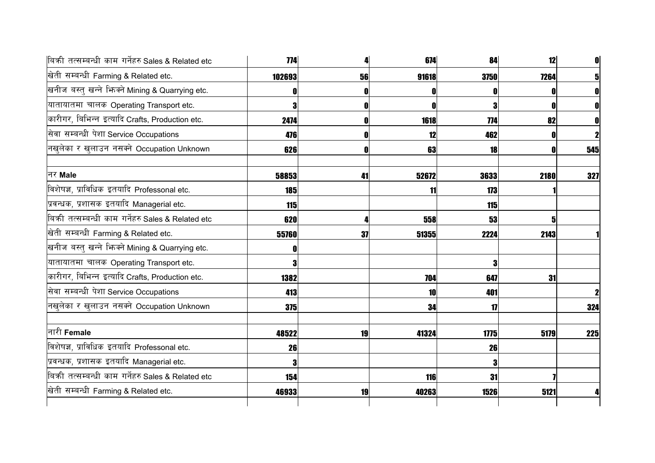| बिकी तत्सम्बन्धी काम गर्नेहरु Sales & Related etc   | 774        |    | 674   | 84          | 12   |             |
|-----------------------------------------------------|------------|----|-------|-------------|------|-------------|
| खेती सम्बन्धी Farming & Related etc.                | 102693     | 56 | 91618 | <b>3750</b> | 7264 |             |
| खनीज बस्तु खन्ने भिज्मे Mining & Quarrying etc.     |            |    |       |             |      |             |
| यातायातमा चालक Operating Transport etc.             |            |    | 0     | 3           |      |             |
| कारीगर, बिभिन्न इत्यादि Crafts, Production etc.     | 2474       |    | 1618  | 774         | 82   |             |
| सेवा सम्बन्धी पेशा Service Occupations              | 476        |    | 12    | 462         |      |             |
| नखुलेका र खुलाउन नसक्ने Occupation Unknown          | 626        |    | 63    | 18          | 0    | 545         |
| नर Male                                             | 58853      | 41 | 52672 | 3633        | 2180 | 327         |
| विशेषज्ञ, प्राविधिक इतयादि Professonal etc.         | 185        |    | 11    | 173         |      |             |
| प्रवन्धक, प्रशासक इतयादि Managerial etc.            | <b>115</b> |    |       | 115         |      |             |
| बिक्री तत्सम्बन्धी काम गर्नेहरु Sales & Related etc | 620        |    | 558   | 53          |      |             |
| खेती सम्बन्धी Farming & Related etc.                | 55760      | 37 | 51355 | 2224        | 2143 |             |
| खनीज बस्तु खन्ने भिन्क्ने Mining & Quarrying etc.   |            |    |       |             |      |             |
| यातायातमा चालक Operating Transport etc.             |            |    |       | 3           |      |             |
| कारीगर, बिभिन्न इत्यादि Crafts, Production etc.     | 1382       |    | 704   | 647         | 31   |             |
| सेवा सम्बन्धी पेशा Service Occupations              | 413        |    | 10    | 401         |      | $\mathbf 2$ |
| नखुलेका र खुलाउन नसक्ने Occupation Unknown          | 375        |    | 34    | 17          |      | 324         |
| नारी Female                                         | 48522      | 19 | 41324 | 1775        | 5179 | 225         |
| विशेषज्ञ, प्राविधिक इतयादि Professonal etc.         | 26         |    |       | 26          |      |             |
| प्रवन्धक, प्रशासक इतयादि Managerial etc.            |            |    |       | 3           |      |             |
| बिकी तत्सम्बन्धी काम गर्नेहरु Sales & Related etc   | 154        |    | 116   | 31          |      |             |
| खेती सम्बन्धी Farming & Related etc.                | 46933      | 19 | 40263 | 1526        | 5121 |             |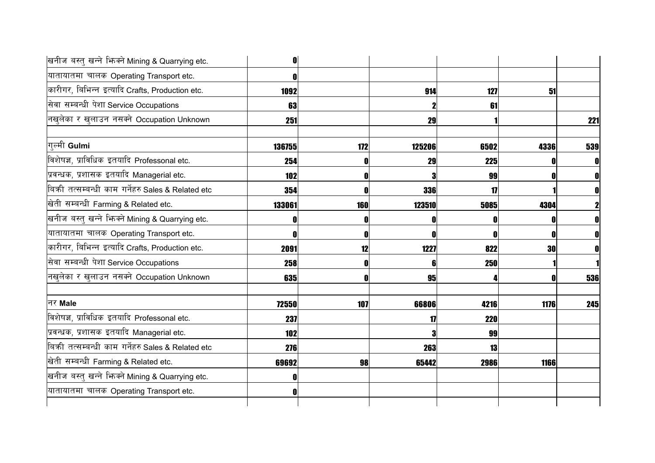| खनीज बस्तु खन्ने भिज्मे Mining & Quarrying etc.     | 0      |     |        |               |           |     |
|-----------------------------------------------------|--------|-----|--------|---------------|-----------|-----|
| यातायातमा चालक Operating Transport etc.             |        |     |        |               |           |     |
| कारीगर, बिभिन्न इत्यादि Crafts, Production etc.     | 1092   |     | 914    | 127           | 51        |     |
| सेवा सम्बन्धी पेशा Service Occupations              | 63     |     |        | 61            |           |     |
| नखुलेका र खुलाउन नसक्ने Occupation Unknown          | 251    |     | 29     |               |           | 221 |
| गल्मी Gulmi                                         | 136755 | 172 | 125206 | 6502          | 4336      | 539 |
| विशेषज्ञ, प्राविधिक इतयादि Professonal etc.         | 254    |     | 29     | <b>225</b>    |           | 0   |
| प्रवन्धक, प्रशासक इतयादि Managerial etc.            | 102    |     | 3      | 99            |           | 0   |
| बिक्री तत्सम्बन्धी काम गर्नेहरु Sales & Related etc | 354    |     | 336    | $\mathbf{17}$ |           |     |
| खेती सम्बन्धी Farming & Related etc.                | 133061 | 160 | 123510 | 5085          | 4304      |     |
| खनीज बस्तु खन्ने भिन्क्ने Mining & Quarrying etc.   |        |     | 0      | O             |           |     |
| यातायातमा चालक Operating Transport etc.             |        | O   | 0      | N             | 0         | 0   |
| कारीगर, बिभिन्न इत्यादि Crafts, Production etc.     | 2091   | 12  | 1227   | 822           | <b>30</b> | 0   |
| सेवा सम्बन्धी पेशा Service Occupations              | 258    | 0   | 6      | 250           |           |     |
| नखुलेका र खुलाउन नसक्ने Occupation Unknown          | 635    |     | 95     |               |           | 536 |
| नर Male                                             | 72550  | 107 | 66806  | 4216          | 1176      | 245 |
| विशेषज्ञ, प्राविधिक इतयादि Professonal etc.         | 237    |     | 17     | <b>220</b>    |           |     |
| प्रवन्धक, प्रशासक इतयादि Managerial etc.            | 102    |     |        | 99            |           |     |
| बिकी तत्सम्बन्धी काम गर्नेहरु Sales & Related etc   | 276    |     | 263    | 13            |           |     |
| खेती सम्बन्धी Farming & Related etc.                | 69692  | 98  | 65442  | 2986          | 1166      |     |
| खनीज बस्तु खन्ने भिज्मे Mining & Quarrying etc.     |        |     |        |               |           |     |
| यातायातमा चालक Operating Transport etc.             |        |     |        |               |           |     |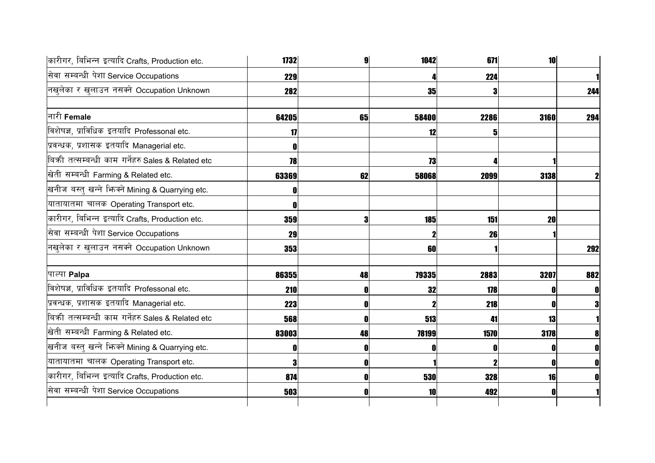| कारीगर, बिभिन्न इत्यादि Crafts, Production etc.     | 1732  |    | 1042  | 671        | 10   |              |
|-----------------------------------------------------|-------|----|-------|------------|------|--------------|
| सेवा सम्बन्धी पेशा Service Occupations              | 229   |    |       | 224        |      |              |
| नखुलेका र खुलाउन नसक्ने Occupation Unknown          | 282   |    | 35    | 3          |      | 244          |
| नारी Female                                         | 64205 | 65 | 58400 | 2286       | 3160 | 294          |
| विशेषज्ञ, प्राविधिक इतयादि Professonal etc.         | 17    |    | 12    | 5          |      |              |
| प्रवन्धक, प्रशासक इतयादि Managerial etc.            |       |    |       |            |      |              |
| बिक्री तत्सम्बन्धी काम गर्नेहरु Sales & Related etc | 78    |    | 73    |            |      |              |
| खेती सम्बन्धी Farming & Related etc.                | 63369 | 62 | 58068 | 2099       | 3138 | $\mathbf 2$  |
| खनीज बस्तु खन्ने भिज्म्ने Mining & Quarrying etc.   |       |    |       |            |      |              |
| यातायातमा चालक Operating Transport etc.             |       |    |       |            |      |              |
| कारीगर, बिभिन्न इत्यादि Crafts, Production etc.     | 359   |    | 185   | 151        | 20   |              |
| सेवा सम्बन्धी पेशा Service Occupations              | 29    |    |       | 26         |      |              |
| नखुलेका र खुलाउन नसक्ने Occupation Unknown          | 353   |    | 60    |            |      | 292          |
| पाल्पा <b>Palpa</b>                                 | 86355 | 48 | 79335 | 2883       | 3207 | 882          |
| विशेषज्ञ, प्राविधिक इतयादि Professonal etc.         | 210   |    | 32    | 178        |      | $\mathbf 0$  |
| प्रवन्धक, प्रशासक इतयादि Managerial etc.            | 223   |    |       | 218        |      |              |
| बिकी तत्सम्बन्धी काम गर्नेहरु Sales & Related etc   | 568   |    | 513   | 41         | 13   |              |
| खेती सम्बन्धी Farming & Related etc.                | 83003 | 48 | 78199 | 1570       | 3178 | 8            |
| खनीज बस्तु खन्ने भिज्मे Mining & Quarrying etc.     |       |    | O     |            |      | $\mathbf{0}$ |
| यातायातमा चालक Operating Transport etc.             |       |    |       |            |      | $\mathbf{0}$ |
| कारीगर, बिभिन्न इत्यादि Crafts, Production etc.     | 874   |    | 530   | <b>328</b> | 16   | $\mathbf{0}$ |
| सेवा सम्बन्धी पेशा Service Occupations              | 503   |    | 10    | 492        |      |              |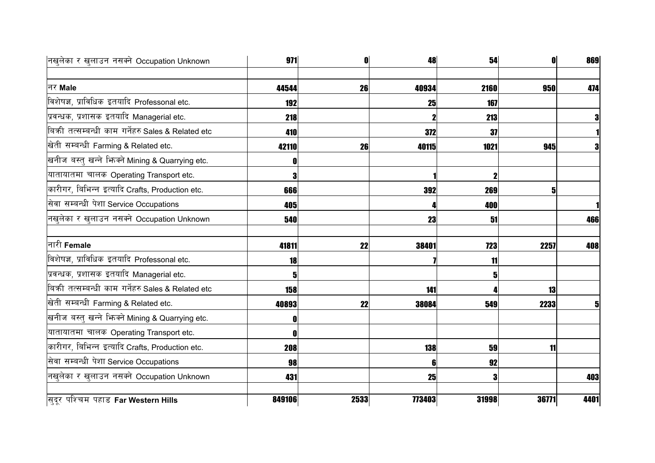| नखुलेका र खुलाउन नसक्ने Occupation Unknown          | 971    | O    | 48          | 54    | $\mathbf{0}$ | 869  |
|-----------------------------------------------------|--------|------|-------------|-------|--------------|------|
| नर Male                                             | 44544  | 26   | 40934       | 2160  | 950          | 474  |
| विशेषज्ञ, प्राविधिक इतयादि Professonal etc.         | 192    |      | 25          | 167   |              |      |
| प्रवन्धक, प्रशासक इतयादि Managerial etc.            | 218    |      | $\mathbf 2$ | 213   |              | 3    |
| बिकी तत्सम्बन्धी काम गर्नेहरु Sales & Related etc   | 410    |      | 372         | 37    |              |      |
| खेती सम्बन्धी Farming & Related etc.                | 42110  | 26   | 40115       | 1021  | 945          | 3    |
| खनीज बस्तु खन्ने भिज्मे Mining & Quarrying etc.     |        |      |             |       |              |      |
| यातायातमा चालक Operating Transport etc.             |        |      |             |       |              |      |
| कारीगर, बिभिन्न इत्यादि Crafts, Production etc.     | 666    |      | 392         | 269   | 5            |      |
| सेवा सम्बन्धी पेशा Service Occupations              | 405    |      |             | 400   |              |      |
| नखुलेका र खुलाउन नसक्ने Occupation Unknown          | 540    |      | 23          | 51    |              | 466  |
| नारी Female                                         | 41811  | 22   | 38401       | 723   | 2257         | 408  |
| विशेषज्ञ, प्राविधिक इतयादि Professonal etc.         | 18     |      |             | 11    |              |      |
| प्रवन्धक, प्रशासक इतयादि Managerial etc.            |        |      |             | 5     |              |      |
| बिक्री तत्सम्बन्धी काम गर्नेहरु Sales & Related etc | 158    |      | 141         |       | 13           |      |
| खेती सम्बन्धी Farming & Related etc.                | 40893  | 22   | 38084       | 549   | 2233         | 5    |
| खनीज बस्तु खन्ने भिन्क्ने Mining & Quarrying etc.   |        |      |             |       |              |      |
| यातायातमा चालक Operating Transport etc.             |        |      |             |       |              |      |
| कारीगर, बिभिन्न इत्यादि Crafts, Production etc.     | 208    |      | 138         | 59    | 11           |      |
| सेवा सम्बन्धी पेशा Service Occupations              | 98     |      | 6           | 92    |              |      |
| नखुलेका र खुलाउन नसक्ने Occupation Unknown          | 431    |      | 25          | 3     |              | 403  |
| सुदुर पश्चिम पहाड Far Western Hills                 | 849106 | 2533 | 773403      | 31998 | 36771        | 4401 |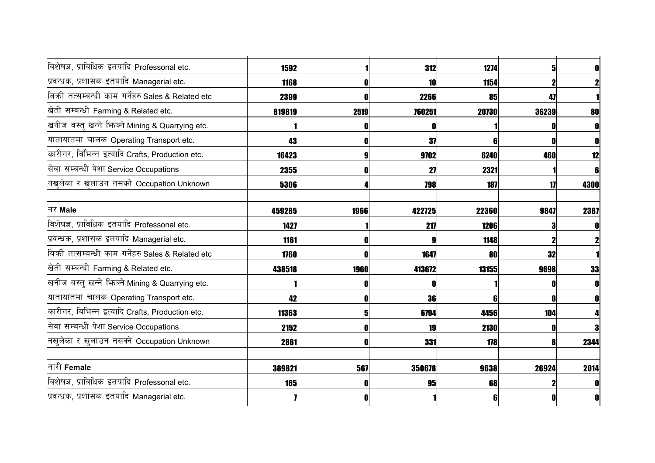| विशेषज्ञ, प्राविधिक इतयादि Professonal etc.       | 1592   |      | 312    | 1274  | 5     | 0    |
|---------------------------------------------------|--------|------|--------|-------|-------|------|
| प्रवन्धक, प्रशासक इतयादि Managerial etc.          | 1168   |      | 10     | 1154  |       |      |
| बिकी तत्सम्बन्धी काम गर्नेहरु Sales & Related etc | 2399   |      | 2266   | 85    | 47    |      |
| खेती सम्बन्धी Farming & Related etc.              | 819819 | 2519 | 760251 | 20730 | 36239 | 80   |
| खनीज बस्तु खन्ने भिन्क्ने Mining & Quarrying etc. |        |      | 0      |       |       |      |
| यातायातमा चालक Operating Transport etc.           | 43     |      | 37     | 6     |       |      |
| कारीगर, बिभिन्न इत्यादि Crafts, Production etc.   | 16423  |      | 9702   | 6240  | 460   | 12   |
| सेवा सम्बन्धी पेशा Service Occupations            | 2355   |      | 27     | 2321  |       | 6    |
| नखुलेका र खुलाउन नसक्ने Occupation Unknown        | 5306   |      | 798    | 187   | 17    | 4300 |
| नर Male                                           | 459285 | 1966 | 422725 | 22360 | 9847  | 2387 |
| विशेषज्ञ, प्राविधिक इतयादि Professonal etc.       | 1427   |      | 217    | 1206  |       | 0    |
| प्रवन्धक, प्रशासक इतयादि Managerial etc.          | 1161   |      | g      | 1148  |       |      |
| बिकी तत्सम्बन्धी काम गर्नेहरु Sales & Related etc | 1760   |      | 1647   | 80    | 32    |      |
| खेती सम्बन्धी Farming & Related etc.              | 438518 | 1960 | 413672 | 13155 | 9698  | 33   |
| खनीज बस्तु खन्ने भिन्क्ने Mining & Quarrying etc. |        |      |        |       |       |      |
| यातायातमा चालक Operating Transport etc.           | 42     |      | 36     |       |       |      |
| कारीगर, बिभिन्न इत्यादि Crafts, Production etc.   | 11363  |      | 6794   | 4456  | 104   |      |
| सेवा सम्बन्धी पेशा Service Occupations            | 2152   |      | 19     | 2130  |       | 3    |
| नखुलेका र खुलाउन नसक्ने Occupation Unknown        | 2861   |      | 331    | 178   |       | 2344 |
| नारी Female                                       | 389821 | 567  | 350678 | 9638  | 26924 | 2014 |
| विशेषज्ञ, प्राविधिक इतयादि Professonal etc.       | 165    |      | 95     | 68    |       |      |
| प्रवन्धक, प्रशासक इतयादि Managerial etc.          |        |      |        |       |       | 0    |
|                                                   |        |      |        |       |       |      |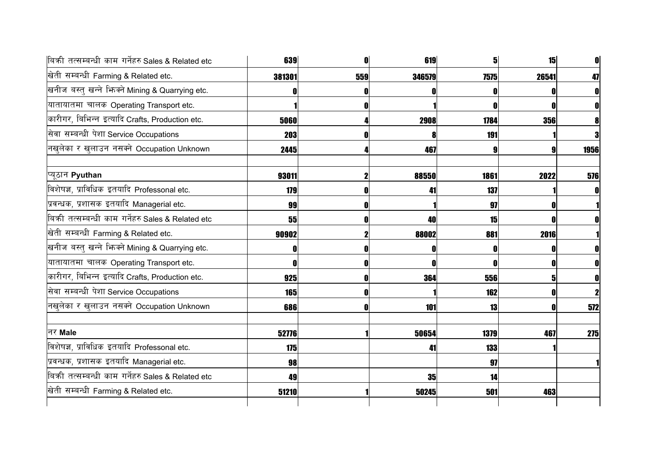| बिकी तत्सम्बन्धी काम गर्नेहरु Sales & Related etc | 639        | 0            | 619    | 5           | 15         |              |
|---------------------------------------------------|------------|--------------|--------|-------------|------------|--------------|
| खेती सम्बन्धी Farming & Related etc.              | 381301     | 559          | 346579 | <b>7575</b> | 26541      | 47           |
| खनीज बस्तु खन्ने भिज्मे Mining & Quarrying etc.   |            |              |        |             |            | 0            |
| यातायातमा चालक Operating Transport etc.           |            |              |        | N           |            |              |
| कारीगर, बिभिन्न इत्यादि Crafts, Production etc.   | 5060       |              | 2908   | 1784        | <b>356</b> |              |
| सेवा सम्बन्धी पेशा Service Occupations            | 203        |              |        | 191         |            |              |
| नखुलेका र खुलाउन नसक्ने Occupation Unknown        | 2445       |              | 467    | 9           |            | 1956         |
| प्यूठान Pyuthan                                   | 93011      | $\mathbf 2$  | 88550  | 1861        | 2022       | 576          |
| विशेषज्ञ, प्राविधिक इतयादि Professonal etc.       | 179        | 0            | 41     | 137         |            |              |
| प्रवन्धक, प्रशासक इतयादि Managerial etc.          | 99         | 0            |        | 97          |            |              |
| बिकी तत्सम्बन्धी काम गर्नेहरु Sales & Related etc | 55         | 0            | 40     | 15          |            |              |
| खेती सम्बन्धी Farming & Related etc.              | 90902      |              | 88002  | 881         | 2016       |              |
| खनीज बस्तु खन्ने भिन्क्ने Mining & Quarrying etc. |            | O            | 0      | 0           |            |              |
| यातायातमा चालक Operating Transport etc.           |            | O            | 0      | 0           | 0          | 0            |
| कारीगर, बिभिन्न इत्यादि Crafts, Production etc.   | 925        | $\mathbf{0}$ | 364    | 556         | 5          | 0            |
| सेवा सम्बन्धी पेशा Service Occupations            | <b>165</b> | 0            |        | 162         |            | $\mathbf{2}$ |
| नखुलेका र खुलाउन नसक्ने Occupation Unknown        | 686        | 0            | 101    | 13          |            | 572          |
| नर Male                                           | 52776      |              | 50654  | 1379        | 467        | 275          |
| विशेषज्ञ, प्राविधिक इतयादि Professonal etc.       | 175        |              | 41     | <b>133</b>  |            |              |
| प्रवन्धक, प्रशासक इतयादि Managerial etc.          | 98         |              |        | 97          |            |              |
| बिकी तत्सम्बन्धी काम गर्नेहरु Sales & Related etc | 49         |              | 35     | 14          |            |              |
| खेती सम्बन्धी Farming & Related etc.              | 51210      |              | 50245  | 501         | 463        |              |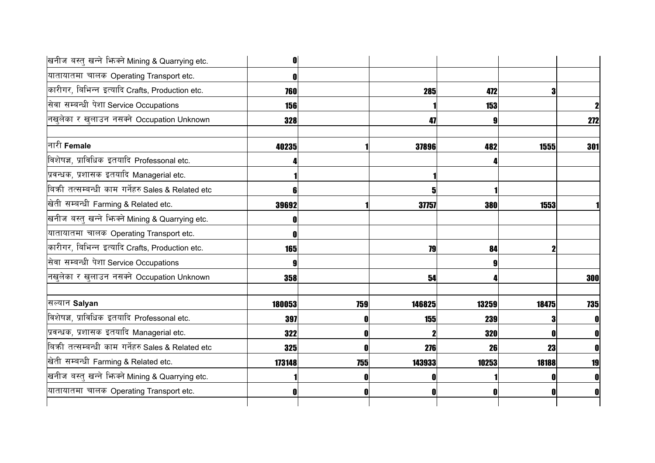| खनीज बस्तु खन्ने भिज्मे Mining & Quarrying etc.     | n          |     |        |       |       |              |
|-----------------------------------------------------|------------|-----|--------|-------|-------|--------------|
| यातायातमा चालक Operating Transport etc.             |            |     |        |       |       |              |
| कारीगर, बिभिन्न इत्यादि Crafts, Production etc.     | 760        |     | 285    | 472   |       |              |
| सेवा सम्बन्धी पेशा Service Occupations              | <b>156</b> |     |        | 153   |       | $\mathbf 2$  |
| नखुलेका र खुलाउन नसक्ने Occupation Unknown          | 328        |     | 47     |       |       | 272          |
| नारी Female                                         | 40235      |     | 37896  | 482   | 1555  | 301          |
| विशेषज्ञ, प्राविधिक इतयादि Professonal etc.         |            |     |        |       |       |              |
| प्रवन्धक, प्रशासक इतयादि Managerial etc.            |            |     |        |       |       |              |
| बिक्री तत्सम्बन्धी काम गर्नेहरु Sales & Related etc |            |     |        |       |       |              |
| खेती सम्बन्धी Farming & Related etc.                | 39692      |     | 37757  | 380   | 1553  |              |
| खनीज बस्तु खन्ने भिन्क्ने Mining & Quarrying etc.   |            |     |        |       |       |              |
| यातायातमा चालक Operating Transport etc.             |            |     |        |       |       |              |
| कारीगर, बिभिन्न इत्यादि Crafts, Production etc.     | 165        |     | 79     | 84    |       |              |
| सेवा सम्बन्धी पेशा Service Occupations              |            |     |        |       |       |              |
| नखुलेका र खुलाउन नसक्ने Occupation Unknown          | 358        |     | 54     |       |       | 300          |
| सल्यान Salyan                                       | 180053     | 759 | 146825 | 13259 | 18475 | 735          |
| विशेषज्ञ, प्राविधिक इतयादि Professonal etc.         | 397        |     | 155    | 239   |       | $\mathbf{0}$ |
| प्रवन्धक, प्रशासक इतयादि Managerial etc.            | 322        |     |        | 320   |       | $\mathbf{0}$ |
| बिकी तत्सम्बन्धी काम गर्नेहरु Sales & Related etc   | 325        |     | 276    | 26    | 23    | $\mathbf{0}$ |
| खेती सम्बन्धी Farming & Related etc.                | 173148     | 755 | 143933 | 10253 | 18188 | 19           |
| खनीज बस्तु खन्ने भिन्क्ने Mining & Quarrying etc.   |            |     |        |       |       |              |
| यातायातमा चालक Operating Transport etc.             |            |     | 0      |       |       | 0            |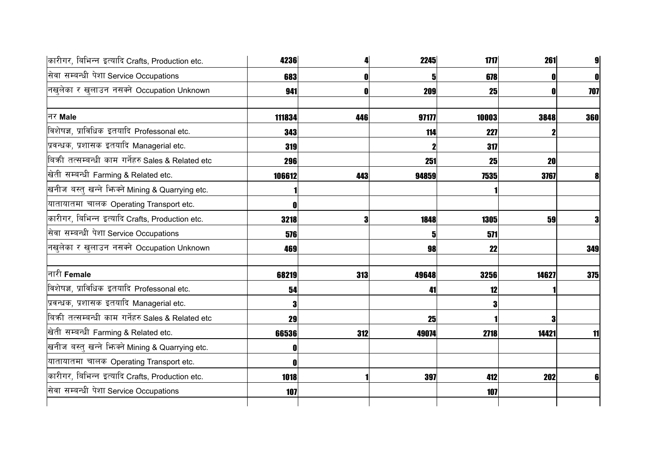| 4236   |     | 2245  | 1717  | 261   | 9 <sub>l</sub>                                      |
|--------|-----|-------|-------|-------|-----------------------------------------------------|
| 683    |     | 51    |       |       | $\mathbf{0}$                                        |
| 941    |     | 209   |       |       | 707                                                 |
| 111834 | 446 | 97177 | 10003 | 3848  | 360                                                 |
| 343    |     | 114   | 227   |       |                                                     |
| 319    |     |       |       |       |                                                     |
| 296    |     | 251   |       | 20    |                                                     |
| 106612 | 443 | 94859 |       | 3767  | 8                                                   |
|        |     |       |       |       |                                                     |
|        |     |       |       |       |                                                     |
| 3218   |     | 1848  | 1305  | 59    | 3                                                   |
| 576    |     | 5     | 571   |       |                                                     |
| 469    |     | 98    |       |       | 349                                                 |
| 68219  | 313 | 49648 |       | 14627 | 375                                                 |
| 54     |     | 41    | 12    |       |                                                     |
|        |     |       |       |       |                                                     |
| 29     |     | 25    |       |       |                                                     |
| 66536  | 312 | 49074 | 2718  | 14421 | 11                                                  |
|        |     |       |       |       |                                                     |
|        |     |       |       |       |                                                     |
| 1018   |     | 397   |       | 202   | 6                                                   |
| 107    |     |       | 107   |       |                                                     |
|        |     |       |       |       | 678<br>25<br>317<br>25<br>7535<br>22<br>3256<br>412 |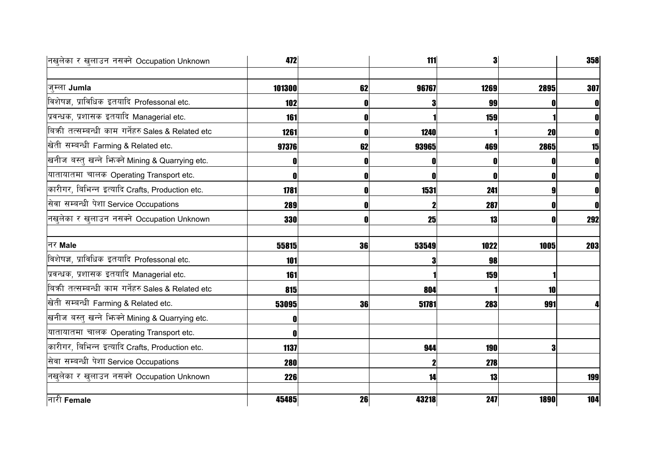| नखलेका र खुलाउन नसक्ने Occupation Unknown         | 472        |    | 111   | 3          |             | 358 |
|---------------------------------------------------|------------|----|-------|------------|-------------|-----|
|                                                   |            |    |       |            |             |     |
| जम्ला Jumla                                       | 101300     | 62 | 96767 | 1269       | 2895        | 307 |
| विशेषज्ञ, प्राविधिक इतयादि Professonal etc.       | 102        |    |       | 99         |             |     |
| प्रवन्धक, प्रशासक इतयादि Managerial etc.          | 161        | -0 |       | 159        |             |     |
| बिकी तत्सम्बन्धी काम गर्नेहरु Sales & Related etc | 1261       | -0 | 1240  |            | 20          |     |
| खेती सम्बन्धी Farming & Related etc.              | 97376      | 62 | 93965 | 469        | 2865        | 15  |
| खनीज बस्तु खन्ने भिन्क्ने Mining & Quarrying etc. | N          |    |       |            |             |     |
| यातायातमा चालक Operating Transport etc.           | N          | 0  |       | N          |             |     |
| कारीगर, बिभिन्न इत्यादि Crafts, Production etc.   | 1781       | 0  | 1531  | 241        |             |     |
| सेवा सम्बन्धी पेशा Service Occupations            | 289        |    |       | 287        |             |     |
| नखुलेका र खुलाउन नसक्ने Occupation Unknown        | 330        | ſ  | 25    | 13         |             | 292 |
| नर Male                                           | 55815      | 36 | 53549 | 1022       | 1005        | 203 |
| विशेषज्ञ, प्राविधिक इतयादि Professonal etc.       | 101        |    |       | 98         |             |     |
| प्रवन्धक, प्रशासक इतयादि Managerial etc.          | 161        |    |       | 159        |             |     |
| बिकी तत्सम्बन्धी काम गर्नेहरु Sales & Related etc | 815        |    | 804   |            | 10          |     |
| खेती सम्बन्धी Farming & Related etc.              | 53095      | 36 | 51781 | 283        | 991         |     |
| खनीज बस्तु खन्ने भिन्क्ने Mining & Quarrying etc. |            |    |       |            |             |     |
| यातायातमा चालक Operating Transport etc.           | O          |    |       |            |             |     |
| कारीगर, बिभिन्न इत्यादि Crafts, Production etc.   | 1137       |    | 944   | <b>190</b> |             |     |
| सेवा सम्बन्धी पेशा Service Occupations            | <b>280</b> |    |       | 278        |             |     |
| नखुलेका र खुलाउन नसक्ने Occupation Unknown        | 226        |    | 14    | 13         |             | 199 |
| नारी Female                                       | 45485      | 26 | 43218 | 247        | <b>1890</b> | 104 |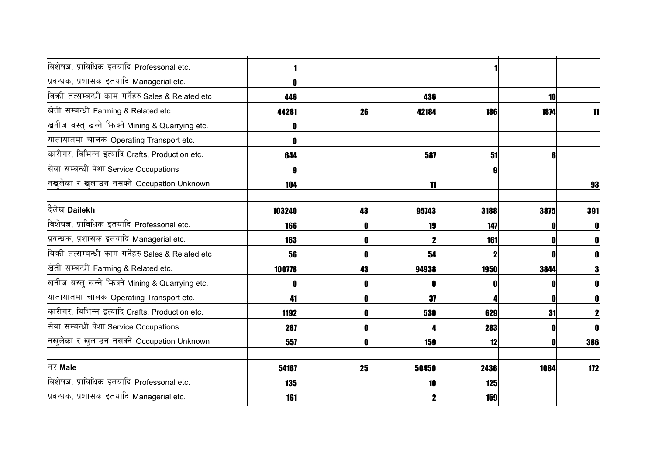| विशेषज्ञ, प्राविधिक इतयादि Professonal etc.       |            |    |       |      |      |              |
|---------------------------------------------------|------------|----|-------|------|------|--------------|
| प्रवन्धक, प्रशासक इतयादि Managerial etc.          |            |    |       |      |      |              |
| बिकी तत्सम्बन्धी काम गर्नेहरु Sales & Related etc | 446        |    | 436   |      | 10   |              |
| खेती सम्बन्धी Farming & Related etc.              | 44281      | 26 | 42184 | 186  | 1874 | 11           |
| खनीज बस्तु खन्ने भिन्क्ने Mining & Quarrying etc. |            |    |       |      |      |              |
| यातायातमा चालक Operating Transport etc.           |            |    |       |      |      |              |
| कारीगर, बिभिन्न इत्यादि Crafts, Production etc.   | 644        |    | 587   | 51   | 6    |              |
| सेवा सम्बन्धी पेशा Service Occupations            |            |    |       |      |      |              |
| नखुलेका र खुलाउन नसक्ने Occupation Unknown        | 104        |    | 11    |      |      | 93           |
|                                                   |            |    |       |      |      |              |
| दैलेख Dailekh                                     | 103240     | 43 | 95743 | 3188 | 3875 | 391          |
| विशेषज्ञ, प्राविधिक इतयादि Professonal etc.       | <b>166</b> | O  | 19    | 147  |      | 0            |
| प्रवन्धक, प्रशासक इतयादि Managerial etc.          | 163        | 0  |       | 161  |      | $\mathbf{0}$ |
| बिकी तत्सम्बन्धी काम गर्नेहरु Sales & Related etc | 56         | 0  | 54    |      |      | $\mathbf{0}$ |
| खेती सम्बन्धी Farming & Related etc.              | 100778     | 43 | 94938 | 1950 | 3844 | 3            |
| खनीज बस्तु खन्ने भिज्मे Mining & Quarrying etc.   |            |    |       |      |      | $\mathbf{0}$ |
| यातायातमा चालक Operating Transport etc.           | 41         | O  | 37    |      |      | $\mathbf{0}$ |
| कारीगर, बिभिन्न इत्यादि Crafts, Production etc.   | 1192       | 0  | 530   | 629  | 31   | $\mathbf{2}$ |
| सेवा सम्बन्धी पेशा Service Occupations            | 287        | 0  |       | 283  |      | $\mathbf{0}$ |
| नखुलेका र खुलाउन नसक्ने Occupation Unknown        | 557        | O  | 159   | 12   |      | 386          |
|                                                   |            |    |       |      |      |              |
| नर Male                                           | 54167      | 25 | 50450 | 2436 | 1084 | 172          |
| विशेषज्ञ, प्राविधिक इतयादि Professonal etc.       | <b>135</b> |    | 10    | 125  |      |              |
| प्रवन्धक, प्रशासक इतयादि Managerial etc.          | 161        |    |       | 159  |      |              |
|                                                   |            |    |       |      |      |              |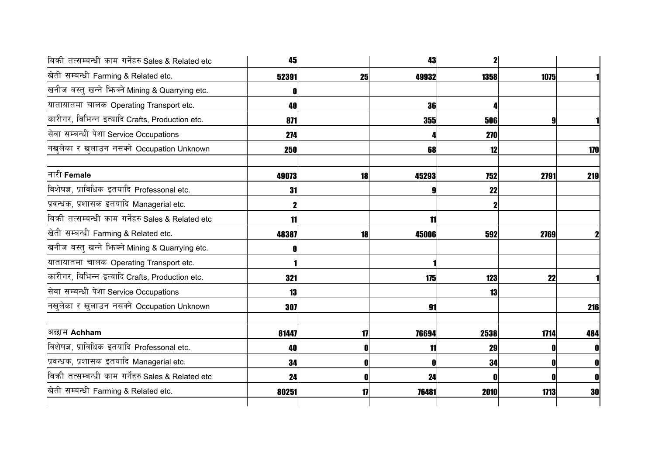| बिकी तत्सम्बन्धी काम गर्नेहरु Sales & Related etc | 45    |              | 43         | $\mathbf{2}$ |      |     |
|---------------------------------------------------|-------|--------------|------------|--------------|------|-----|
| खेती सम्बन्धी Farming & Related etc.              | 52391 | 25           | 49932      | 1358         | 1075 |     |
| खनीज बस्तु खन्ने भिज्मे Mining & Quarrying etc.   |       |              |            |              |      |     |
| यातायातमा चालक Operating Transport etc.           | 40    |              | 36         | 4            |      |     |
| कारीगर, बिभिन्न इत्यादि Crafts, Production etc.   | 871   |              | <b>355</b> | 506          | 9    |     |
| सेवा सम्बन्धी पेशा Service Occupations            | 274   |              |            | <b>270</b>   |      |     |
| नखुलेका र खुलाउन नसक्ने Occupation Unknown        | 250   |              | 68         | 12           |      | 170 |
| नारी Female                                       | 49073 | 18           | 45293      | 752          | 2791 | 219 |
| विशेषज्ञ, प्राविधिक इतयादि Professonal etc.       | 31    |              | 9          | 22           |      |     |
| प्रवन्धक, प्रशासक इतयादि Managerial etc.          |       |              |            |              |      |     |
| बिकी तत्सम्बन्धी काम गर्नेहरु Sales & Related etc | 11    |              | 11         |              |      |     |
| खेती सम्बन्धी Farming & Related etc.              | 48387 | 18           | 45006      | 592          | 2769 |     |
| खनीज बस्तु खन्ने भिन्क्ने Mining & Quarrying etc. |       |              |            |              |      |     |
| यातायातमा चालक Operating Transport etc.           |       |              |            |              |      |     |
| कारीगर, बिभिन्न इत्यादि Crafts, Production etc.   | 321   |              | 175        | 123          | 22   |     |
| सेवा सम्बन्धी पेशा Service Occupations            | 13    |              |            | 13           |      |     |
| नखुलेका र खुलाउन नसक्ने Occupation Unknown        | 307   |              | 91         |              |      | 216 |
| अछाम Achham                                       | 81447 | 17           | 76694      | 2538         | 1714 | 484 |
| विशेषज्ञ, प्राविधिक इतयादि Professonal etc.       | 40    | $\mathbf{0}$ | 11         | 29           |      | 0   |
| प्रवन्धक, प्रशासक इतयादि Managerial etc.          | 34    | 0            | O          | 34           |      | O   |
| बिकी तत्सम्बन्धी काम गर्नेहरु Sales & Related etc | 24    | 0            | 24         | N            |      | 0   |
| खेती सम्बन्धी Farming & Related etc.              | 80251 | 17           | 76481      | 2010         | 1713 | 30  |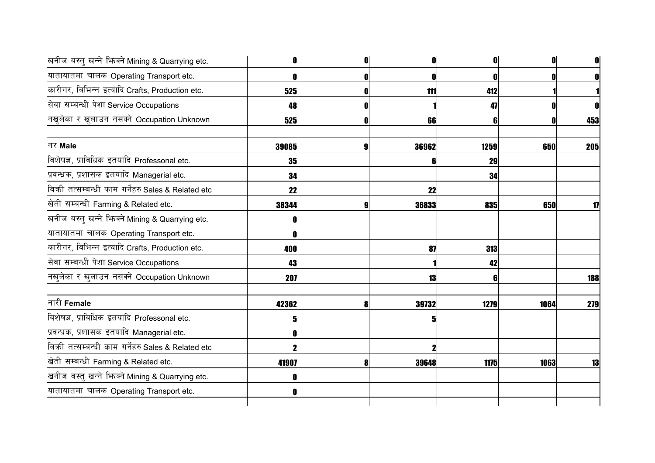| खनीज बस्तु खन्ने भिन्मे Mining & Quarrying etc.   | 0            | 0 | 0     | $\mathbf{0}$ | O    |     |
|---------------------------------------------------|--------------|---|-------|--------------|------|-----|
| यातायातमा चालक Operating Transport etc.           | $\mathbf{0}$ | 0 |       |              |      |     |
| कारीगर, बिभिन्न इत्यादि Crafts, Production etc.   | 525          | n | 111   | 412          |      |     |
| सेवा सम्बन्धी पेशा Service Occupations            | 48           |   |       | 47           |      |     |
| नखुलेका र खुलाउन नसक्ने Occupation Unknown        | 525          |   | 66    |              |      | 453 |
| नर Male                                           | 39085        | 9 | 36962 | 1259         | 650  | 205 |
| विशेषज्ञ, प्राविधिक इतयादि Professonal etc.       | 35           |   |       | 29           |      |     |
| प्रवन्धक, प्रशासक इतयादि Managerial etc.          | 34           |   |       | 34           |      |     |
| बिकी तत्सम्बन्धी काम गर्नेहरु Sales & Related etc | 22           |   | 22    |              |      |     |
| खेती सम्बन्धी Farming & Related etc.              | 38344        |   | 36833 | 835          | 650  | 17  |
| खनीज बस्तु खन्ने भिन्क्ने Mining & Quarrying etc. | $\mathbf{0}$ |   |       |              |      |     |
| यातायातमा चालक Operating Transport etc.           | n            |   |       |              |      |     |
| कारीगर, बिभिन्न इत्यादि Crafts, Production etc.   | 400          |   | 87    | 313          |      |     |
| सेवा सम्बन्धी पेशा Service Occupations            | 43           |   |       | 42           |      |     |
| नखुलेका र खुलाउन नसक्ने Occupation Unknown        | 207          |   | 13    | 6            |      | 188 |
| नारी <b>Female</b>                                | 42362        | 8 | 39732 | 1279         | 1064 | 279 |
| विशेषज्ञ, प्राविधिक इतयादि Professonal etc.       |              |   |       |              |      |     |
| प्रवन्धक, प्रशासक इतयादि Managerial etc.          |              |   |       |              |      |     |
| बिकी तत्सम्बन्धी काम गर्नेहरु Sales & Related etc |              |   |       |              |      |     |
| खेती सम्बन्धी Farming & Related etc.              | 41907        | Я | 39648 | <b>1175</b>  | 1063 | 13  |
| खनीज बस्तु खन्ने भिन्क्ने Mining & Quarrying etc. | N            |   |       |              |      |     |
| यातायातमा चालक Operating Transport etc.           | O            |   |       |              |      |     |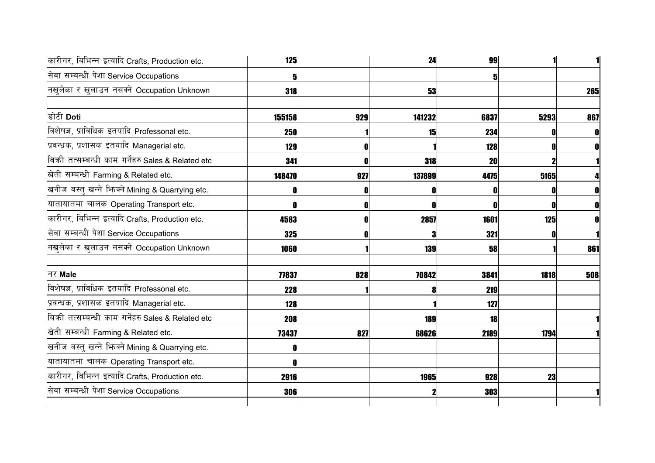| कारीगर, बिभिन्न इत्यादि Crafts, Production etc.   | 125        |     | 24        | 99   |      |     |
|---------------------------------------------------|------------|-----|-----------|------|------|-----|
| सेवा सम्बन्धी पेशा Service Occupations            |            |     |           |      |      |     |
| नखुलेका र खुलाउन नसक्ने Occupation Unknown        | 318        |     | 53        |      |      | 265 |
| डोटी Doti                                         | 155158     | 929 | 141232    | 6837 | 5293 | 867 |
| विशेषज्ञ, प्राविधिक इतयादि Professonal etc.       | 250        |     | <b>15</b> | 234  | 0    |     |
| प्रवन्धक, प्रशासक इतयादि Managerial etc.          | 129        | O   |           | 128  | 0    |     |
| बिकी तत्सम्बन्धी काम गर्नेहरु Sales & Related etc | 341        | Λ   | 318       | 20   |      |     |
| खेती सम्बन्धी Farming & Related etc.              | 148470     | 927 | 137899    | 4475 | 5165 |     |
| खनीज बस्तु खन्ने भिन्क्ने Mining & Quarrying etc. |            | 0   | O         |      |      |     |
| यातायातमा चालक Operating Transport etc.           |            | O   | O         |      | 0    |     |
| कारीगर, बिभिन्न इत्यादि Crafts, Production etc.   | 4583       |     | 2857      | 1601 | 125  |     |
| सेवा सम्बन्धी पेशा Service Occupations            | 325        | 0   | 3         | 321  | 0    |     |
| नखुलेका र खुलाउन नसक्ने Occupation Unknown        | 1060       |     | 139       | 58   |      | 861 |
| नर Male                                           | 77837      | 828 | 70842     | 3841 | 1818 | 508 |
| विशेषज्ञ, प्राविधिक इतयादि Professonal etc.       | <b>228</b> |     | 8         | 219  |      |     |
| प्रवन्धक, प्रशासक इतयादि Managerial etc.          | 128        |     |           | 127  |      |     |
| बिकी तत्सम्बन्धी काम गर्नेहरु Sales & Related etc | 208        |     | 189       | 18   |      |     |
| खेती सम्बन्धी Farming & Related etc.              | 73437      | 827 | 68626     | 2189 | 1794 |     |
| खनीज बस्तु खन्ने भिज्मे Mining & Quarrying etc.   |            |     |           |      |      |     |
| यातायातमा चालक Operating Transport etc.           |            |     |           |      |      |     |
| कारीगर, बिभिन्न इत्यादि Crafts, Production etc.   | 2916       |     | 1965      | 928  | 23   |     |
| सेवा सम्बन्धी पेशा Service Occupations            | 306        |     |           | 303  |      |     |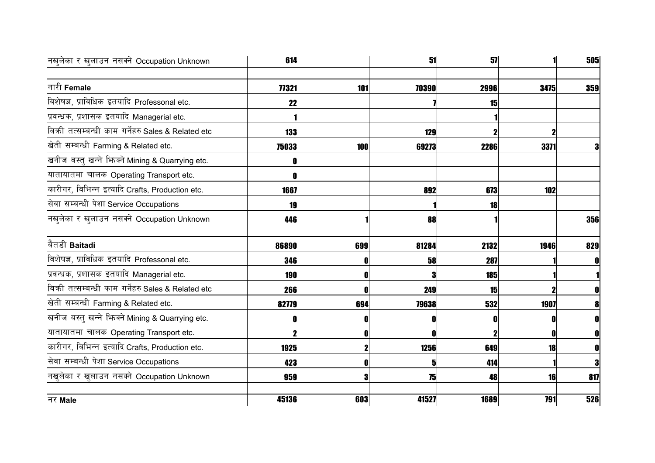| नखुलेका र खुलाउन नसक्ने Occupation Unknown        | 614        |     | 51    | 51         |      | 505            |
|---------------------------------------------------|------------|-----|-------|------------|------|----------------|
|                                                   |            |     |       |            |      |                |
| नारी Female                                       | 77321      | 101 | 70390 | 2996       | 3475 | 359            |
| विशेषज्ञ, प्राविधिक इतयादि Professonal etc.       | 22         |     |       | 15         |      |                |
| प्रवन्धक, प्रशासक इतयादि Managerial etc.          |            |     |       |            |      |                |
| बिकी तत्सम्बन्धी काम गर्नेहरु Sales & Related etc | 133        |     | 129   |            |      |                |
| खेती सम्बन्धी Farming & Related etc.              | 75033      | 100 | 69273 | 2286       | 3371 | 3              |
| खनीज बस्तु खन्ने भिज्म्ने Mining & Quarrying etc. |            |     |       |            |      |                |
| यातायातमा चालक Operating Transport etc.           |            |     |       |            |      |                |
| कारीगर, बिभिन्न इत्यादि Crafts, Production etc.   | 1667       |     | 892   | 673        | 102  |                |
| सेवा सम्बन्धी पेशा Service Occupations            | 19         |     |       | 18         |      |                |
| नखुलेका र खुलाउन नसक्ने Occupation Unknown        | 446        |     | 88    |            |      | <b>356</b>     |
| बितडी Baitadi                                     | 86890      | 699 | 81284 | 2132       | 1946 | 829            |
| विशेषज्ञ, प्राविधिक इतयादि Professonal etc.       | 346        |     | 58    | 287        |      | 0              |
| प्रवन्धक, प्रशासक इतयादि Managerial etc.          | <b>190</b> |     | я     | <b>185</b> |      |                |
| बिकी तत्सम्बन्धी काम गर्नेहरु Sales & Related etc | 266        |     | 249   | 15         |      |                |
| खेती सम्बन्धी Farming & Related etc.              | 82779      | 694 | 79638 | 532        | 1907 |                |
| खनीज बस्तु खन्ने भिन्क्ने Mining & Quarrying etc. |            |     | 0     |            |      | 0              |
| यातायातमा चालक Operating Transport etc.           |            |     | ſ     |            |      | $\mathbf{0}$   |
| कारीगर, बिभिन्न इत्यादि Crafts, Production etc.   | 1925       |     | 1256  | 649        | 18   | $\mathbf{0}$   |
| सेवा सम्बन्धी पेशा Service Occupations            | 423        |     | 5     | 414        |      | 3 <sup>l</sup> |
| नखुलेका र खुलाउन नसक्ने Occupation Unknown        | 959        |     | 75    | 48         | 16   | 817            |
| नर Male                                           | 45136      | 603 | 41527 | 1689       | 791  | 526            |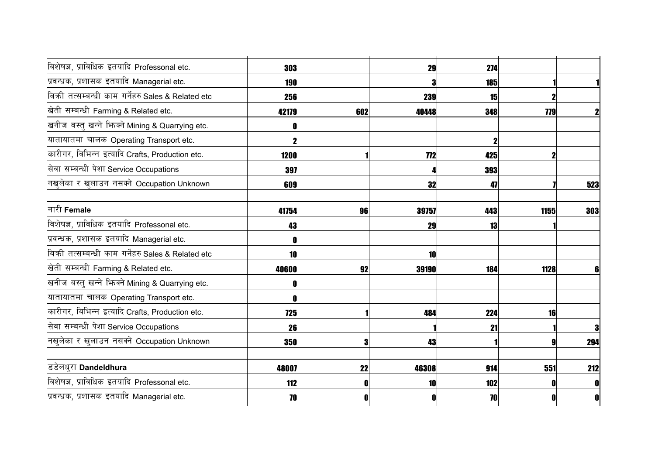| विशेषज्ञ, प्राविधिक इतयादि Professonal etc.         | 303        |     | 29         | 274 |            |                |
|-----------------------------------------------------|------------|-----|------------|-----|------------|----------------|
| प्रवन्धक, प्रशासक इतयादि Managerial etc.            | <b>190</b> |     |            | 185 |            |                |
| बिक्री तत्सम्बन्धी काम गर्नेहरु Sales & Related etc | 256        |     | 239        | 15  |            |                |
| खेती सम्बन्धी Farming & Related etc.                | 42179      | 602 | 40448      | 348 | <b>779</b> | $\mathbf{2}$   |
| खनीज बस्तु खन्ने भिन्क्ने Mining & Quarrying etc.   |            |     |            |     |            |                |
| यातायातमा चालक Operating Transport etc.             |            |     |            |     |            |                |
| कारीगर, बिभिन्न इत्यादि Crafts, Production etc.     | 1200       |     | <b>772</b> | 425 |            |                |
| सेवा सम्बन्धी पेशा Service Occupations              | 397        |     |            | 393 |            |                |
| नखुलेका र खुलाउन नसक्ने Occupation Unknown          | 609        |     | 32         | 47  |            | 523            |
| नारी Female                                         | 41754      | 96  | 39757      | 443 | 1155       | 303            |
| विशेषज्ञ, प्राविधिक इतयादि Professonal etc.         | 43         |     | 29         | 13  |            |                |
| प्रवन्धक, प्रशासक इतयादि Managerial etc.            |            |     |            |     |            |                |
| बिकी तत्सम्बन्धी काम गर्नेहरु Sales & Related etc   | 10         |     | 10         |     |            |                |
| खेती सम्बन्धी Farming & Related etc.                | 40600      | 92  | 39190      | 184 | 1128       |                |
| खनीज बस्तु खन्ने भिज्मे Mining & Quarrying etc.     |            |     |            |     |            |                |
| यातायातमा चालक Operating Transport etc.             |            |     |            |     |            |                |
| कारीगर, बिभिन्न इत्यादि Crafts, Production etc.     | 725        |     | 484        | 224 | 16         |                |
| सेवा सम्बन्धी पेशा Service Occupations              | 26         |     |            | 21  |            | 3 <sup>l</sup> |
| नखुलेका र खुलाउन नसक्ने Occupation Unknown          | 350        | 3   | 43         |     |            | 294            |
| डिडेलधुरा Dandeldhura                               | 48007      | 22  | 46308      | 914 | 551        | <b>212</b>     |
| विशेषज्ञ, प्राविधिक इतयादि Professonal etc.         | 112        |     | 10         | 102 |            | 0              |
| प्रवन्धक, प्रशासक इतयादि Managerial etc.            | 70         |     | O          | 70  |            | $\mathbf{0}$   |
|                                                     |            |     |            |     |            |                |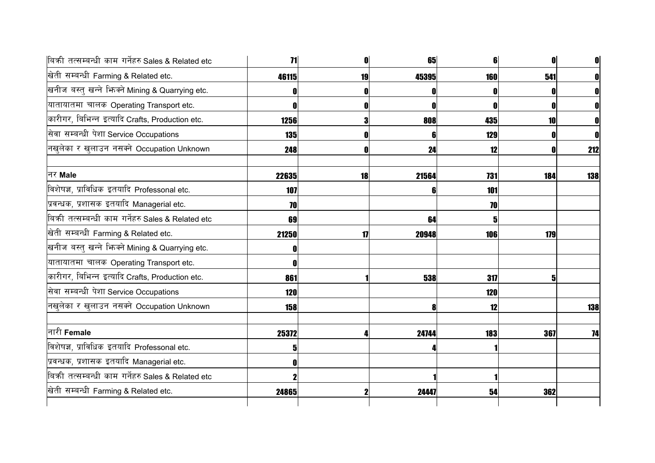| बिकी तत्सम्बन्धी काम गर्नेहरु Sales & Related etc | 11         |    | 65    | 6          |     |     |
|---------------------------------------------------|------------|----|-------|------------|-----|-----|
| खेती सम्बन्धी Farming & Related etc.              | 46115      | 19 | 45395 | 160        | 541 | 0   |
| खनीज बस्तु खन्ने भिज्मे Mining & Quarrying etc.   |            |    |       |            |     |     |
| यातायातमा चालक Operating Transport etc.           |            |    | 0     |            | 0   |     |
| कारीगर, बिभिन्न इत्यादि Crafts, Production etc.   | 1256       | 3  | 808   | 435        | 10  |     |
| सेवा सम्बन्धी पेशा Service Occupations            | 135        |    | 6     | 129        |     |     |
| नखुलेका र खुलाउन नसक्ने Occupation Unknown        | 248        |    | 24    | 12         |     | 212 |
| नर Male                                           | 22635      | 18 | 21564 | 731        | 184 | 138 |
| विशेषज्ञ, प्राविधिक इतयादि Professonal etc.       | 107        |    | 6     | 101        |     |     |
| प्रवन्धक, प्रशासक इतयादि Managerial etc.          | 70         |    |       | 70         |     |     |
| बिकी तत्सम्बन्धी काम गर्नेहरु Sales & Related etc | 69         |    | 64    |            |     |     |
| खेती सम्बन्धी Farming & Related etc.              | 21250      | 17 | 20948 | 106        | 179 |     |
| खनीज बस्तु खन्ने भिन्क्ने Mining & Quarrying etc. |            |    |       |            |     |     |
| यातायातमा चालक Operating Transport etc.           |            |    |       |            |     |     |
| कारीगर, बिभिन्न इत्यादि Crafts, Production etc.   | 861        |    | 538   | 317        |     |     |
| सेवा सम्बन्धी पेशा Service Occupations            | <b>120</b> |    |       | <b>120</b> |     |     |
| नखुलेका र खुलाउन नसक्ने Occupation Unknown        | <b>158</b> |    | 8     | 12         |     | 138 |
| नारी Female                                       | 25372      |    | 24744 | 183        | 367 | 74  |
| विशेषज्ञ, प्राविधिक इतयादि Professonal etc.       | 5          |    |       |            |     |     |
| प्रवन्धक, प्रशासक इतयादि Managerial etc.          |            |    |       |            |     |     |
| बिकी तत्सम्बन्धी काम गर्नेहरु Sales & Related etc |            |    |       |            |     |     |
| खेती सम्बन्धी Farming & Related etc.              | 24865      | 2  | 24447 | 54         | 362 |     |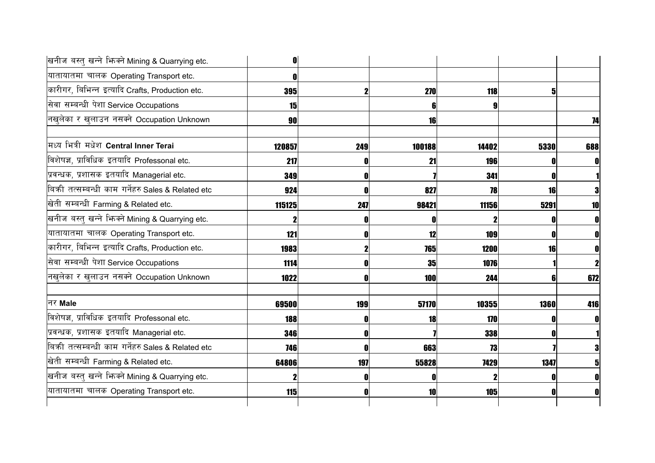| खनीज बस्तु खन्ने भिज्मे Mining & Quarrying etc.   |            |     |           |       |      |     |
|---------------------------------------------------|------------|-----|-----------|-------|------|-----|
| यातायातमा चालक Operating Transport etc.           |            |     |           |       |      |     |
| कारीगर, बिभिन्न इत्यादि Crafts, Production etc.   | 395        |     | 270       | 118   |      |     |
| सेवा सम्बन्धी पेशा Service Occupations            | 15         |     | 6         |       |      |     |
| नखुलेका र खुलाउन नसक्ने Occupation Unknown        | 90         |     | 16        |       |      | 74  |
| मध्य भित्री मधेश Central Inner Terai              | 120857     | 249 | 100188    | 14402 | 5330 | 688 |
| विशेषज्ञ, प्राविधिक इतयादि Professonal etc.       | 217        |     | 21        | 196   |      |     |
| प्रवन्धक, प्रशासक इतयादि Managerial etc.          | 349        |     |           | 341   |      |     |
| बिकी तत्सम्बन्धी काम गर्नेहरु Sales & Related etc | 924        |     | 827       | 78    | 16   |     |
| खेती सम्बन्धी Farming & Related etc.              | 115125     | 247 | 98421     | 11156 | 5291 | 10  |
| खनीज बस्तु खन्ने भिज्मे Mining & Quarrying etc.   |            |     | 0         |       |      |     |
| यातायातमा चालक Operating Transport etc.           | 121        |     | 12        | 109   |      |     |
| कारीगर, बिभिन्न इत्यादि Crafts, Production etc.   | 1983       |     | 765       | 1200  | 16   |     |
| सेवा सम्बन्धी पेशा Service Occupations            | 1114       |     | <b>35</b> | 1076  |      |     |
| नखुलेका र खुलाउन नसक्ने Occupation Unknown        | 1022       |     | 100       | 244   |      | 672 |
| नर Male                                           | 69500      | 199 | 57170     | 10355 | 1360 | 416 |
| विशेषज्ञ, प्राविधिक इतयादि Professonal etc.       | 188        |     | 18        | 170   |      |     |
| प्रवन्धक, प्रशासक इतयादि Managerial etc.          | 346        |     |           | 338   |      |     |
| बिकी तत्सम्बन्धी काम गर्नेहरु Sales & Related etc | <b>746</b> |     | 663       | 73    |      |     |
| खेती सम्बन्धी Farming & Related etc.              | 64806      | 197 | 55828     | 7429  | 1347 |     |
| खनीज बस्तु खन्ने भिज्मे Mining & Quarrying etc.   |            |     |           |       |      |     |
| यातायातमा चालक Operating Transport etc.           | 115        |     | 10        | 105   |      |     |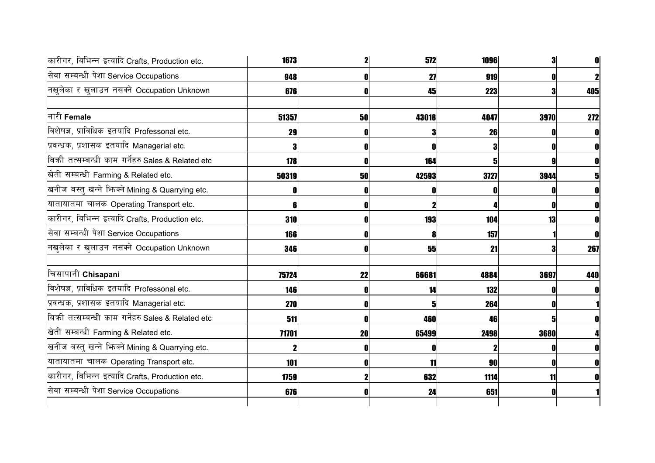| कारीगर, बिभिन्न इत्यादि Crafts, Production etc.   | 1673       |    | 572   | 1096 |      | $\mathbf{0}$ |
|---------------------------------------------------|------------|----|-------|------|------|--------------|
| सेवा सम्बन्धी पेशा Service Occupations            | 948        |    | 27    | 919  |      | $\mathbf{2}$ |
| नखुलेका र खुलाउन नसक्ने Occupation Unknown        | 676        |    | 45    | 223  |      | 405          |
| नारी Female                                       | 51357      | 50 | 43018 | 4047 | 3970 | 272          |
| विशेषज्ञ, प्राविधिक इतयादि Professonal etc.       | 29         |    | 3     | 26   |      | OI           |
| प्रवन्धक, प्रशासक इतयादि Managerial etc.          |            |    | n     |      |      | 0            |
| बिकी तत्सम्बन्धी काम गर्नेहरु Sales & Related etc | 178        |    | 164   |      |      | $\mathbf{0}$ |
| खेती सम्बन्धी Farming & Related etc.              | 50319      | 50 | 42593 | 3727 | 3944 |              |
| खनीज बस्तु खन्ने भिज्मे Mining & Quarrying etc.   |            |    |       |      |      |              |
| यातायातमा चालक Operating Transport etc.           |            |    |       |      |      |              |
| कारीगर, बिभिन्न इत्यादि Crafts, Production etc.   | 310        |    | 193   | 104  | 13   |              |
| सेवा सम्बन्धी पेशा Service Occupations            | <b>166</b> |    | 8     | 157  |      | 0            |
| नखुलेका र खुलाउन नसक्ने Occupation Unknown        | 346        |    | 55    | 21   |      | 267          |
| चिसापानी Chisapani                                | 75724      | 22 | 66681 | 4884 | 3697 | 440          |
| विशेषज्ञ, प्राविधिक इतयादि Professonal etc.       | 146        |    | 14    | 132  |      |              |
| प्रवन्धक, प्रशासक इतयादि Managerial etc.          | 270        |    |       | 264  |      |              |
| बिकी तत्सम्बन्धी काम गर्नेहरु Sales & Related etc | 511        |    | 460   | 46   |      |              |
| खेती सम्बन्धी Farming & Related etc.              | 71701      | 20 | 65499 | 2498 | 3680 |              |
| खनीज बस्तु खन्ने भिज्म्ने Mining & Quarrying etc. |            |    | ſ     |      |      | O            |
| यातायातमा चालक Operating Transport etc.           | <b>101</b> |    | 11    | 90   |      | 0            |
| कारीगर, बिभिन्न इत्यादि Crafts, Production etc.   | 1759       |    | 632   | 1114 | 11   |              |
| सेवा सम्बन्धी पेशा Service Occupations            | 676        |    | 24    | 651  |      |              |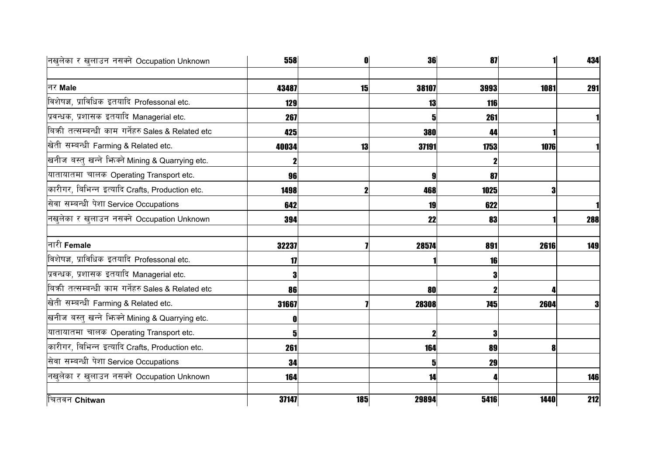| नखुलेका र खुलाउन नसक्ने Occupation Unknown        | 558   | 0   | 36                      | 87          |      | 434 |
|---------------------------------------------------|-------|-----|-------------------------|-------------|------|-----|
|                                                   |       |     |                         |             |      |     |
| नर Male                                           | 43487 | 15  | 38107                   | 3993        | 1081 | 291 |
| विशेषज्ञ, प्राविधिक इतयादि Professonal etc.       | 129   |     | 13                      | 116         |      |     |
| प्रवन्धक, प्रशासक इतयादि Managerial etc.          | 267   |     | $\overline{\mathbf{5}}$ | 261         |      |     |
| बिकी तत्सम्बन्धी काम गर्नेहरु Sales & Related etc | 425   |     | 380                     | 44          |      |     |
| खेती सम्बन्धी Farming & Related etc.              | 40034 | 13  | 37191                   | 1753        | 1076 |     |
| खनीज बस्तु खन्ने भिज्मे Mining & Quarrying etc.   |       |     |                         |             |      |     |
| यातायातमा चालक Operating Transport etc.           | 96    |     | 9                       | 87          |      |     |
| कारीगर, बिभिन्न इत्यादि Crafts, Production etc.   | 1498  |     | 468                     | <b>1025</b> | 3    |     |
| सेवा सम्बन्धी पेशा Service Occupations            | 642   |     | 19                      | 622         |      |     |
| नखुलेका र खुलाउन नसक्ने Occupation Unknown        | 394   |     | 22                      | 83          |      | 288 |
|                                                   |       |     |                         |             |      |     |
| नारी Female                                       | 32237 |     | 28574                   | 891         | 2616 | 149 |
| विशेषज्ञ, प्राविधिक इतयादि Professonal etc.       | 17    |     |                         | <b>16</b>   |      |     |
| प्रवन्धक, प्रशासक इतयादि Managerial etc.          |       |     |                         | 3           |      |     |
| बिकी तत्सम्बन्धी काम गर्नेहरु Sales & Related etc | 86    |     | 80                      |             |      |     |
| खेती सम्बन्धी Farming & Related etc.              | 31667 |     | 28308                   | <b>745</b>  | 2604 | 3   |
| खनीज बस्तु खन्ने भिन्क्ने Mining & Quarrying etc. |       |     |                         |             |      |     |
| यातायातमा चालक Operating Transport etc.           | 5     |     | $\mathbf 2$             | 3           |      |     |
| कारीगर, बिभिन्न इत्यादि Crafts, Production etc.   | 261   |     | 164                     | 89          | 8    |     |
| सेवा सम्बन्धी पेशा Service Occupations            | 34    |     | 5                       | 29          |      |     |
| नखुलेका र खुलाउन नसक्ने Occupation Unknown        | 164   |     | 14                      |             |      | 146 |
| चितवन Chitwan                                     | 37147 | 185 | 29894                   | 5416        | 1440 | 212 |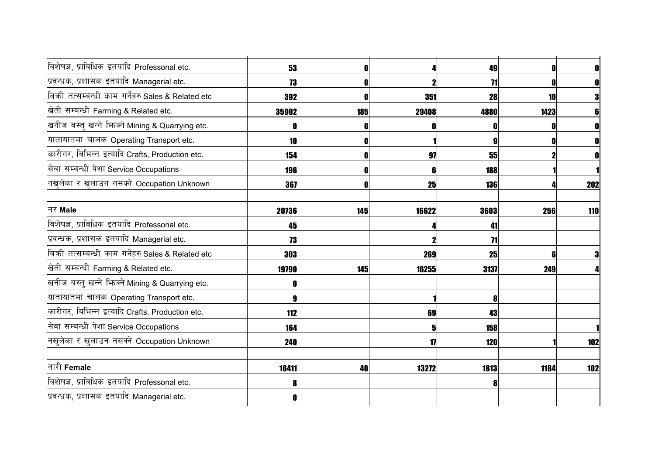| विशेषज्ञ, प्राविधिक इतयादि Professonal etc.       | 53         | 0   |                         | 49         | 0    | $\mathbf{0}$ |
|---------------------------------------------------|------------|-----|-------------------------|------------|------|--------------|
| प्रवन्धक, प्रशासक इतयादि Managerial etc.          | 73         |     |                         | 71         |      | $\mathbf{0}$ |
| बिकी तत्सम्बन्धी काम गर्नेहरु Sales & Related etc | 392        | 0   | 351                     | 28         | 10   | 3            |
| खेती सम्बन्धी Farming & Related etc.              | 35902      | 185 | 29408                   | 4880       | 1423 |              |
| खनीज बस्तु खन्ने भिन्क्ने Mining & Quarrying etc. |            |     |                         |            |      |              |
| यातायातमा चालक Operating Transport etc.           | 10         | 0   |                         | 9          | 0    | $\mathbf 0$  |
| कारीगर, बिभिन्न इत्यादि Crafts, Production etc.   | 154        | O   | 97                      | 55         |      | OI           |
| सेवा सम्बन्धी पेशा Service Occupations            | 196        | 0   | 6                       | 188        |      |              |
| नखुलेका र खुलाउन नसक्ने Occupation Unknown        | 367        | 0   | 25                      | 136        |      | 202          |
| नर Male                                           | 20736      | 145 | 16622                   | 3603       | 256  | 110          |
| विशेषज्ञ, प्राविधिक इतयादि Professonal etc.       | 45         |     |                         | 41         |      |              |
| प्रवन्धक, प्रशासक इतयादि Managerial etc.          | 73         |     |                         | 71         |      |              |
| बिकी तत्सम्बन्धी काम गर्नेहरु Sales & Related etc | 303        |     | 269                     | 25         | 6    | 3            |
| खेती सम्बन्धी Farming & Related etc.              | 19790      | 145 | 16255                   | 3137       | 249  |              |
| खनीज बस्तु खन्ने भिन्क्ने Mining & Quarrying etc. |            |     |                         |            |      |              |
| यातायातमा चालक Operating Transport etc.           |            |     |                         | 8          |      |              |
| कारीगर, बिभिन्न इत्यादि Crafts, Production etc.   | 112        |     | 69                      | 43         |      |              |
| सेवा सम्बन्धी पेशा Service Occupations            | 164        |     | $\overline{\mathbf{5}}$ | 158        |      |              |
| नखुलेका र खुलाउन नसक्ने Occupation Unknown        | <b>240</b> |     | 17                      | <b>120</b> |      | 102          |
| नारी Female                                       | 16411      | 40  | 13272                   | 1813       | 1184 | 102          |
| विशेषज्ञ, प्राविधिक इतयादि Professonal etc.       |            |     |                         | 8          |      |              |
| प्रवन्धक, प्रशासक इतयादि Managerial etc.          |            |     |                         |            |      |              |
|                                                   |            |     |                         |            |      |              |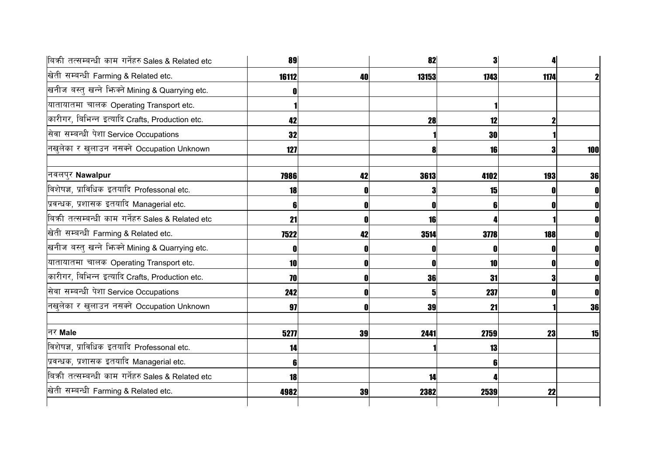| बिकी तत्सम्बन्धी काम गर्नेहरु Sales & Related etc | 89    |              | 82           | 31          |            |     |
|---------------------------------------------------|-------|--------------|--------------|-------------|------------|-----|
| खेती सम्बन्धी Farming & Related etc.              | 16112 | 40           | 13153        | 1743        | 1174       |     |
| खनीज बस्तु खन्ने भिज्मे Mining & Quarrying etc.   |       |              |              |             |            |     |
| यातायातमा चालक Operating Transport etc.           |       |              |              |             |            |     |
| कारीगर, बिभिन्न इत्यादि Crafts, Production etc.   | 42    |              | <b>28</b>    | 12          |            |     |
| सेवा सम्बन्धी पेशा Service Occupations            | 32    |              |              | <b>30</b>   |            |     |
| नखुलेका र खुलाउन नसक्ने Occupation Unknown        | 127   |              | 8            | 16          | 3          | 100 |
| नवलपुर Nawalpur                                   | 7986  | 42           | 3613         | 4102        | <b>193</b> | 36  |
| विशेषज्ञ, प्राविधिक इतयादि Professonal etc.       | 18    |              | 3            | 15          |            |     |
| प्रवन्धक, प्रशासक इतयादि Managerial etc.          |       | O            | $\mathbf{0}$ |             |            |     |
| बिकी तत्सम्बन्धी काम गर्नेहरु Sales & Related etc | 21    |              | 16           |             |            |     |
| खेती सम्बन्धी Farming & Related etc.              | 7522  | 42           | 3514         | <b>3778</b> | <b>188</b> |     |
| खनीज बस्तु खन्ने भिन्क्ने Mining & Quarrying etc. |       | 0            | O            |             |            |     |
| यातायातमा चालक Operating Transport etc.           | 10    | 0            | O            | <b>10</b>   |            | 0   |
| कारीगर, बिभिन्न इत्यादि Crafts, Production etc.   | 70    | $\mathbf{0}$ | 36           | 31          | 3          | 0   |
| सेवा सम्बन्धी पेशा Service Occupations            | 242   | 0            | $\mathbf{5}$ | 237         |            | 0   |
| नखुलेका र खुलाउन नसक्ने Occupation Unknown        | 97    | O            | 39           | 21          |            | 36  |
| नर Male                                           | 5277  | 39           | 2441         | 2759        | 23         | 15  |
| विशेषज्ञ, प्राविधिक इतयादि Professonal etc.       | 14    |              |              | 13          |            |     |
| प्रवन्धक, प्रशासक इतयादि Managerial etc.          |       |              |              |             |            |     |
| बिकी तत्सम्बन्धी काम गर्नेहरु Sales & Related etc | 18    |              | 14           |             |            |     |
| खेती सम्बन्धी Farming & Related etc.              | 4982  | 39           | 2382         | 2539        | 22         |     |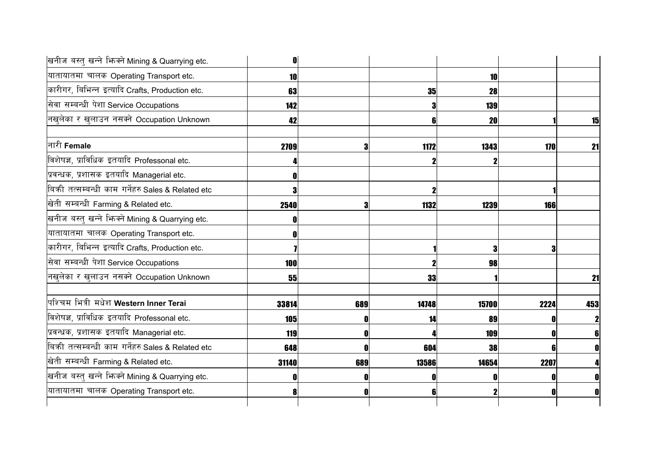|                | 10    |       |     | <b>10</b>  | यातायातमा चालक Operating Transport etc.             |
|----------------|-------|-------|-----|------------|-----------------------------------------------------|
|                | 28    | 35    |     | 63         | कारीगर, बिभिन्न इत्यादि Crafts, Production etc.     |
|                | 139   | 3     |     | 142        | सेवा सम्बन्धी पेशा Service Occupations              |
| 15             | 20    | 6     |     | 42         | नखुलेका र खुलाउन नसक्ने Occupation Unknown          |
| 170<br>21      | 1343  | 1172  | 3   | 2709       | नारी Female                                         |
|                |       |       |     |            | विशेषज्ञ, प्राविधिक इतयादि Professonal etc.         |
|                |       |       |     |            | प्रवन्धक, प्रशासक इतयादि Managerial etc.            |
|                |       |       |     |            | बिकी तत्सम्बन्धी काम गर्नेहरु Sales & Related etc   |
| 166            | 1239  | 1132  |     | 2540       | खेती सम्बन्धी Farming & Related etc.                |
|                |       |       |     |            | खनीज बस्तु खन्ने भिज्म्ने Mining & Quarrying etc.   |
|                |       |       |     |            | यातायातमा चालक Operating Transport etc.             |
|                |       |       |     |            | कारीगर, बिभिन्न इत्यादि Crafts, Production etc.     |
|                | 98    |       |     | <b>100</b> | सेवा सम्बन्धी पेशा Service Occupations              |
| 21             |       | 33    |     | 55         | नखुलेका र खुलाउन नसक्ने Occupation Unknown          |
| 2224<br>453    | 15700 | 14748 | 689 | 33814      | पश्चिम भित्री मधेश Western Inner Terai              |
| $\mathbf{z}$   | 89    | 14    |     | <b>105</b> | विशेषज्ञ, प्राविधिक इतयादि Professonal etc.         |
| 6 <sup>1</sup> | 109   |       |     | 119        | प्रवन्धक, प्रशासक इतयादि Managerial etc.            |
| $\mathbf{0}$   | 38    | 604   |     | 648        | बिक्री तत्सम्बन्धी काम गर्नेहरु Sales & Related etc |
| 2207           | 14654 | 13586 | 689 | 31140      | खेती सम्बन्धी Farming & Related etc.                |
|                |       |       |     |            | खनीज बस्तु खन्ने भिज्मे Mining & Quarrying etc.     |
| 0              |       | 6     |     |            | यातायातमा चालक Operating Transport etc.             |
|                |       |       |     |            |                                                     |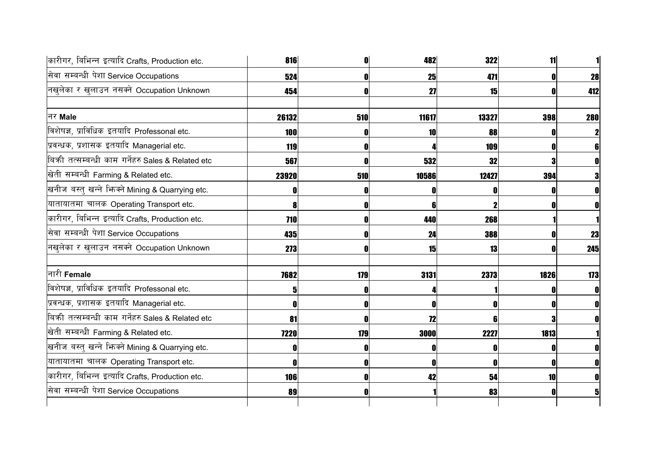| कारीगर, बिभिन्न इत्यादि Crafts, Production etc.   | 816         |     | 482   | 322   | 11   |              |
|---------------------------------------------------|-------------|-----|-------|-------|------|--------------|
| सेवा सम्बन्धी पेशा Service Occupations            | 524         |     | 25    | 471   |      | 28           |
| नखुलेका र खुलाउन नसक्ने Occupation Unknown        | 454         |     | 27    | 15    |      | 412          |
| नर Male                                           | 26132       | 510 | 11617 | 13327 | 398  | <b>280</b>   |
| विशेषज्ञ, प्राविधिक इतयादि Professonal etc.       | 100         |     | 10    | 88    |      | $\mathbf{2}$ |
| प्रवन्धक, प्रशासक इतयादि Managerial etc.          | 119         |     |       | 109   |      | 61           |
| बिकी तत्सम्बन्धी काम गर्नेहरु Sales & Related etc | 567         |     | 532   | 32    |      | $\mathbf{0}$ |
| खेती सम्बन्धी Farming & Related etc.              | 23920       | 510 | 10586 | 12427 | 394  | 3            |
| खनीज बस्तु खन्ने भिनको Mining & Quarrying etc.    |             |     |       |       |      |              |
| यातायातमा चालक Operating Transport etc.           |             |     | 6     |       |      |              |
| कारीगर, बिभिन्न इत्यादि Crafts, Production etc.   | 710         |     | 440   | 268   |      |              |
| सेवा सम्बन्धी पेशा Service Occupations            | 435         |     | 24    | 388   |      | 23           |
| नखुलेका र खुलाउन नसक्ने Occupation Unknown        | 273         |     | 15    | 13    |      | 245          |
| नारी Female                                       | 7682        | 179 | 3131  | 2373  | 1826 | 173          |
| विशेषज्ञ, प्राविधिक इतयादि Professonal etc.       |             |     |       |       |      |              |
| प्रवन्धक, प्रशासक इतयादि Managerial etc.          |             |     |       |       |      |              |
| बिकी तत्सम्बन्धी काम गर्नेहरु Sales & Related etc | 81          |     | 72    | R     |      |              |
| खेती सम्बन्धी Farming & Related etc.              | <b>7220</b> | 179 | 3000  | 2227  | 1813 |              |
| खनीज बस्तु खन्ने भिज्मे Mining & Quarrying etc.   |             |     |       |       |      | 0            |
| यातायातमा चालक Operating Transport etc.           |             |     |       |       |      | N            |
| कारीगर, बिभिन्न इत्यादि Crafts, Production etc.   | 106         |     | 42    | 54    | 10   |              |
| सेवा सम्बन्धी पेशा Service Occupations            | 89          |     |       | 83    |      |              |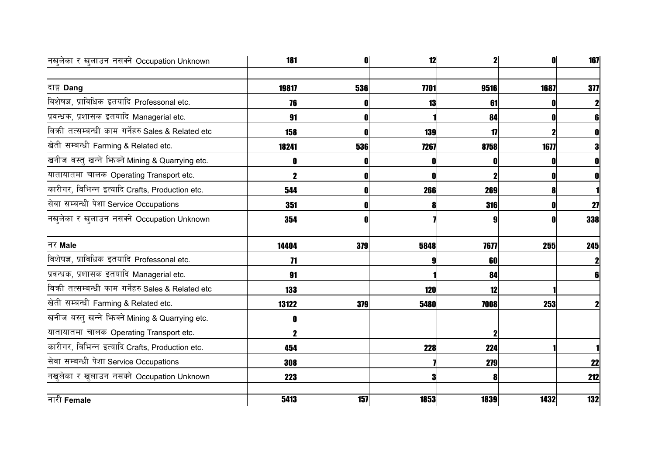| नखुलेका र खुलाउन नसक्ने Occupation Unknown        | <b>181</b> |     | 12   | 2            |      | 167            |
|---------------------------------------------------|------------|-----|------|--------------|------|----------------|
|                                                   |            |     |      |              |      |                |
| दाङ्ग Dang                                        | 19817      | 536 | 7701 | 9516         | 1687 | 377            |
| विशेषज्ञ, प्राविधिक इतयादि Professonal etc.       | 76         |     | 13   | 61           |      | $\mathbf{2}$   |
| प्रवन्धक, प्रशासक इतयादि Managerial etc.          | 91         |     |      | 84           |      | 6 <sup>1</sup> |
| बिकी तत्सम्बन्धी काम गर्नेहरु Sales & Related etc | 158        |     | 139  | $\mathbf{1}$ |      | 0              |
| खेती सम्बन्धी Farming & Related etc.              | 18241      | 536 | 7267 | 8758         | 1677 | 3              |
| खनीज बस्तु खन्ने भिज्मे Mining & Quarrying etc.   |            |     | ſ    |              |      | $\mathbf 0$    |
| यातायातमा चालक Operating Transport etc.           |            |     |      |              |      | $\mathbf 0$    |
| कारीगर, बिभिन्न इत्यादि Crafts, Production etc.   | 544        |     | 266  | 269          |      |                |
| सेवा सम्बन्धी पेशा Service Occupations            | 351        |     | Я    | 316          |      | 27             |
| नखुलेका र खुलाउन नसक्ने Occupation Unknown        | 354        |     |      |              |      | 338            |
| नर Male                                           | 14404      | 379 | 5848 | 7677         | 255  | 245            |
| विशेषज्ञ, प्राविधिक इतयादि Professonal etc.       | 71         |     |      | 60           |      | $\mathbf{2}$   |
| प्रवन्धक, प्रशासक इतयादि Managerial etc.          | 91         |     |      | 84           |      | 6 <sup>1</sup> |
| बिकी तत्सम्बन्धी काम गर्नेहरु Sales & Related etc | 133        |     | 120  | 12           |      |                |
| खेती सम्बन्धी Farming & Related etc.              | 13122      | 379 | 5480 | 7008         | 253  | $\mathbf 2$    |
| खनीज बस्तु खन्ने भिन्क्ने Mining & Quarrying etc. |            |     |      |              |      |                |
| यातायातमा चालक Operating Transport etc.           |            |     |      |              |      |                |
| कारीगर, बिभिन्न इत्यादि Crafts, Production etc.   | 454        |     | 228  | 224          |      |                |
| सेवा सम्बन्धी पेशा Service Occupations            | 308        |     |      | 279          |      | 22             |
| नखुलेका र खुलाउन नसक्ने Occupation Unknown        | 223        |     | 3    | 8            |      | 212            |
| नारी Female                                       | 5413       | 157 | 1853 | 1839         | 1432 | 132            |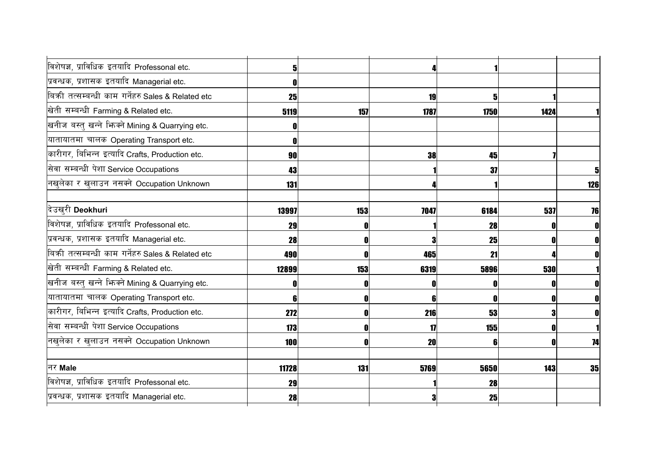| विशेषज्ञ, प्राविधिक इतयादि Professonal etc.       |       |     |      |      |      |              |
|---------------------------------------------------|-------|-----|------|------|------|--------------|
| प्रवन्धक, प्रशासक इतयादि Managerial etc.          |       |     |      |      |      |              |
| बिकी तत्सम्बन्धी काम गर्नेहरु Sales & Related etc | 25    |     | 19   | 5    |      |              |
| खेती सम्बन्धी Farming & Related etc.              | 5119  | 157 | 1787 | 1750 | 1424 |              |
| खनीज बस्तु खन्ने भिन्क्ने Mining & Quarrying etc. |       |     |      |      |      |              |
| यातायातमा चालक Operating Transport etc.           |       |     |      |      |      |              |
| कारीगर, बिभिन्न इत्यादि Crafts, Production etc.   | 90    |     | 38   | 45   |      |              |
| सेवा सम्बन्धी पेशा Service Occupations            | 43    |     |      | 37   |      | $\mathbf{5}$ |
| नखुलेका र खुलाउन नसक्ने Occupation Unknown        | 131   |     |      |      |      | 126          |
|                                                   |       |     |      |      |      |              |
| दिउखरी Deokhuri                                   | 13997 | 153 | 7047 | 6184 | 537  | 76           |
| विशेषज्ञ, प्राविधिक इतयादि Professonal etc.       | 29    | O   |      | 28   |      | $\mathbf{0}$ |
| प्रवन्धक, प्रशासक इतयादि Managerial etc.          | 28    | O   |      | 25   |      | $\mathbf{0}$ |
| बिकी तत्सम्बन्धी काम गर्नेहरु Sales & Related etc | 490   | 0   | 465  | 21   |      | $\mathbf{0}$ |
| खेती सम्बन्धी Farming & Related etc.              | 12899 | 153 | 6319 | 5896 | 530  |              |
| खनीज बस्तु खन्ने भिन्क्ने Mining & Quarrying etc. |       |     | 0    |      |      | 0            |
| यातायातमा चालक Operating Transport etc.           |       | 0   | 6    |      |      | $\mathbf{0}$ |
| कारीगर, बिभिन्न इत्यादि Crafts, Production etc.   | 272   |     | 216  | 53   |      |              |
| सेवा सम्बन्धी पेशा Service Occupations            | 173   | 0   | 17   | 155  |      |              |
| नखुलेका र खुलाउन नसक्ने Occupation Unknown        | 100   | O   | 20   | 6    |      | 74           |
|                                                   |       |     |      |      |      |              |
| नर Male                                           | 11728 | 131 | 5769 | 5650 | 143  | 35           |
| विशेषज्ञ, प्राविधिक इतयादि Professonal etc.       | 29    |     |      | 28   |      |              |
| प्रवन्धक, प्रशासक इतयादि Managerial etc.          | 28    |     |      | 25   |      |              |
|                                                   |       |     |      |      |      |              |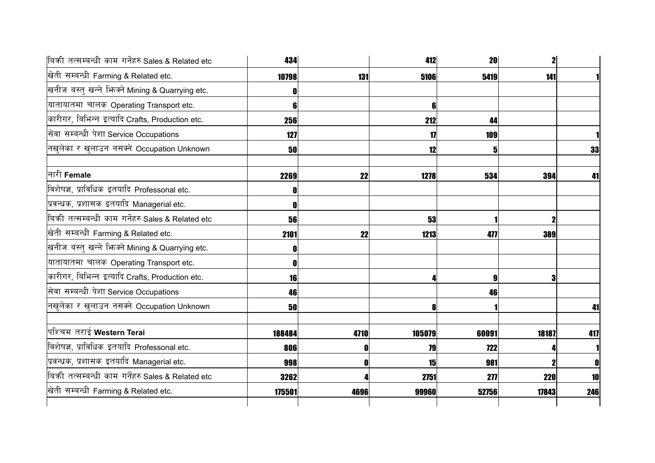| बिकी तत्सम्बन्धी काम गर्नेहरु Sales & Related etc | 434    |      | 412            | <b>20</b>  | $\mathbf{2}$ |     |
|---------------------------------------------------|--------|------|----------------|------------|--------------|-----|
| खेती सम्बन्धी Farming & Related etc.              | 10798  | 131  | 5106           | 5419       | 141          |     |
| खनीज बस्तु खन्ने भिनको Mining & Quarrying etc.    |        |      |                |            |              |     |
| यातायातमा चालक Operating Transport etc.           | R      |      | 6 <sup>1</sup> |            |              |     |
| कारीगर, बिभिन्न इत्यादि Crafts, Production etc.   | 256    |      | 212            | 44         |              |     |
| सेवा सम्बन्धी पेशा Service Occupations            | 127    |      | 17             | 109        |              |     |
| नखुलेका र खुलाउन नसक्ने Occupation Unknown        | 50     |      | 12             | 5          |              | 33  |
| नारी Female                                       | 2269   | 22   | 1278           | 534        | 394          | 41  |
| विशेषज्ञ, प्राविधिक इतयादि Professonal etc.       |        |      |                |            |              |     |
| प्रवन्धक, प्रशासक इतयादि Managerial etc.          |        |      |                |            |              |     |
| बिकी तत्सम्बन्धी काम गर्नेहरु Sales & Related etc | 56     |      | 53             |            |              |     |
| खेती सम्बन्धी Farming & Related etc.              | 2101   | 22   | 1213           | 477        | 389          |     |
| खनीज बस्तु खन्ने भिन्क्ने Mining & Quarrying etc. |        |      |                |            |              |     |
| यातायातमा चालक Operating Transport etc.           |        |      |                |            |              |     |
| कारीगर, बिभिन्न इत्यादि Crafts, Production etc.   | 16     |      |                | 9          |              |     |
| सेवा सम्बन्धी पेशा Service Occupations            | 46     |      |                | 46         |              |     |
| नखुलेका र खुलाउन नसक्ने Occupation Unknown        | 50     |      | 8              |            |              | 41  |
| पश्चिम तराई Western Terai                         | 188484 | 4710 | 105079         | 60091      | 18187        | 417 |
| विशेषज्ञ, प्राविधिक इतयादि Professonal etc.       | 806    |      | 79             | <b>722</b> |              |     |
| प्रवन्धक, प्रशासक इतयादि Managerial etc.          | 998    |      | 15             | 981        |              | 0   |
| बिकी तत्सम्बन्धी काम गर्नेहरु Sales & Related etc | 3262   |      | 2751           | 277        | <b>220</b>   | 10  |
| खेती सम्बन्धी Farming & Related etc.              | 175501 | 4696 | 99960          | 52756      | 17843        | 246 |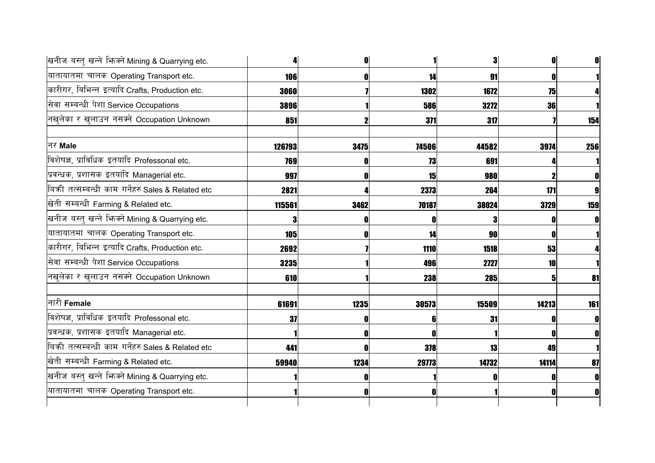| खनीज बस्तु खन्ने भिन्मे Mining & Quarrying etc.   |        | n    |       | 3          | O     |     |
|---------------------------------------------------|--------|------|-------|------------|-------|-----|
| यातायातमा चालक Operating Transport etc.           | 106    | ſ    | 14    | 91         |       |     |
| कारीगर, बिभिन्न इत्यादि Crafts, Production etc.   | 3060   |      | 1302  | 1672       | 75    |     |
| सेवा सम्बन्धी पेशा Service Occupations            | 3896   |      | 586   | 3272       | 36    |     |
| नखुलेका र खुलाउन नसक्ने Occupation Unknown        | 851    |      | 371   | 317        |       | 154 |
| नर Male                                           | 126793 | 3475 | 74506 | 44582      | 3974  | 256 |
| विशेषज्ञ, प्राविधिक इतयादि Professonal etc.       | 769    |      | 73    | 691        |       |     |
| प्रवन्धक, प्रशासक इतयादि Managerial etc.          | 997    |      | 15    | 980        |       |     |
| बिकी तत्सम्बन्धी काम गर्नेहरु Sales & Related etc | 2821   |      | 2373  | 264        | 171   |     |
| खेती सम्बन्धी Farming & Related etc.              | 115561 | 3462 | 70187 | 38024      | 3729  | 159 |
| खनीज बस्तु खन्ने भिन्क्ने Mining & Quarrying etc. | 3      |      |       |            |       |     |
| यातायातमा चालक Operating Transport etc.           | 105    |      | 14    | 90         |       |     |
| कारीगर, बिभिन्न इत्यादि Crafts, Production etc.   | 2692   |      | 1110  | 1518       | 53    |     |
| सेवा सम्बन्धी पेशा Service Occupations            | 3235   |      | 496   | 2727       | 10    |     |
| नखुलेका र खुलाउन नसक्ने Occupation Unknown        | 610    |      | 238   | <b>285</b> |       | 81  |
| नारी <b>Female</b>                                | 61691  | 1235 | 30573 | 15509      | 14213 | 161 |
| विशेषज्ञ, प्राविधिक इतयादि Professonal etc.       | 37     |      |       | 31         |       |     |
| प्रवन्धक, प्रशासक इतयादि Managerial etc.          |        |      |       |            |       |     |
| बिकी तत्सम्बन्धी काम गर्नेहरु Sales & Related etc | 441    |      | 378   | 13         | 49    |     |
| खेती सम्बन्धी Farming & Related etc.              | 59940  | 1234 | 29773 | 14732      | 14114 | 87  |
| खनीज बस्तु खन्ने भिज्मे Mining & Quarrying etc.   |        |      |       |            |       |     |
| यातायातमा चालक Operating Transport etc.           |        | O    |       |            |       |     |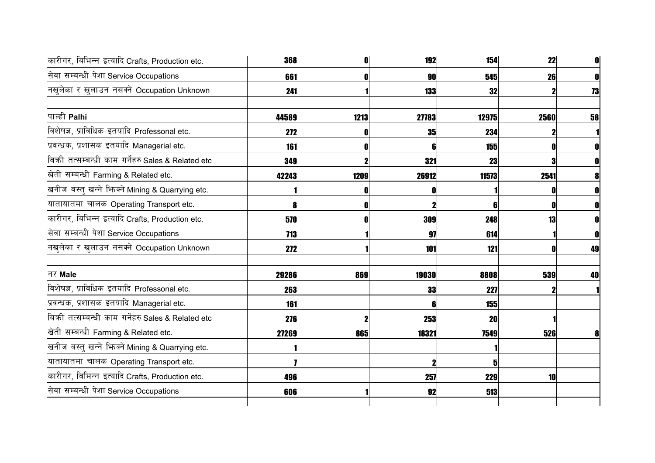| कारीगर, बिभिन्न इत्यादि Crafts, Production etc.     | 368        |      | 192   | 154   | 22   | 0  |
|-----------------------------------------------------|------------|------|-------|-------|------|----|
| सेवा सम्बन्धी पेशा Service Occupations              | 661        |      | 90    | 545   | 26   | 0  |
| नखुलेका र खुलाउन नसक्ने Occupation Unknown          | 241        |      | 133   | 32    |      | 73 |
| पाल्ही Palhi                                        | 44589      | 1213 | 27783 | 12975 | 2560 | 58 |
| विशेषज्ञ, प्राविधिक इतयादि Professonal etc.         | 272        |      | 35    | 234   |      |    |
| प्रवन्धक, प्रशासक इतयादि Managerial etc.            | 161        |      | ĥ     | 155   |      |    |
| बिक्री तत्सम्बन्धी काम गर्नेहरु Sales & Related etc | 349        |      | 321   | 23    |      | 0  |
| खेती सम्बन्धी Farming & Related etc.                | 42243      | 1209 | 26912 | 11573 | 2541 |    |
| खनीज बस्तु खन्ने भिन्क्ने Mining & Quarrying etc.   |            |      |       |       |      |    |
| यातायातमा चालक Operating Transport etc.             |            |      |       |       |      |    |
| कारीगर, बिभिन्न इत्यादि Crafts, Production etc.     | 570        |      | 309   | 248   | 13   |    |
| सेवा सम्बन्धी पेशा Service Occupations              | <b>713</b> |      | 97    | 614   |      |    |
| नखुलेका र खुलाउन नसक्ने Occupation Unknown          | 272        |      | 101   | 121   |      | 49 |
| नर Male                                             | 29286      | 869  | 19030 | 8808  | 539  | 40 |
| विशेषज्ञ, प्राविधिक इतयादि Professonal etc.         | 263        |      | 33    | 227   |      |    |
| प्रवन्धक, प्रशासक इतयादि Managerial etc.            | 161        |      | 6     | 155   |      |    |
| बिकी तत्सम्बन्धी काम गर्नेहरु Sales & Related etc   | 276        |      | 253   | 20    |      |    |
| खेती सम्बन्धी Farming & Related etc.                | 27269      | 865  | 18321 | 7549  | 526  |    |
| खनीज बस्तु खन्ने भिन्क्ने Mining & Quarrying etc.   |            |      |       |       |      |    |
| यातायातमा चालक Operating Transport etc.             |            |      |       | 5     |      |    |
| कारीगर, बिभिन्न इत्यादि Crafts, Production etc.     | 496        |      | 257   | 229   | 10   |    |
| सेवा सम्बन्धी पेशा Service Occupations              | 606        |      | 92    | 513   |      |    |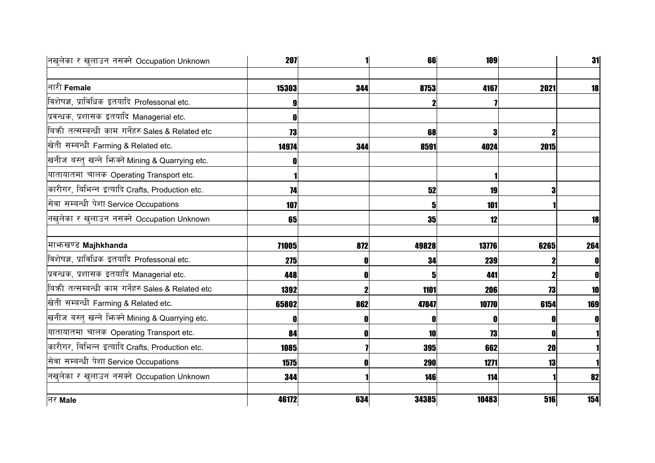| नखुलेका र खुलाउन नसक्ने Occupation Unknown        | <b>207</b> |     | 66    | <b>109</b> |           | 31  |
|---------------------------------------------------|------------|-----|-------|------------|-----------|-----|
|                                                   |            |     |       |            |           |     |
| नारी Female                                       | 15303      | 344 | 8753  | 4167       | 2021      | 18  |
| विशेषज्ञ, प्राविधिक इतयादि Professonal etc.       |            |     |       |            |           |     |
| प्रवन्धक, प्रशासक इतयादि Managerial etc.          |            |     |       |            |           |     |
| बिकी तत्सम्बन्धी काम गर्नेहरु Sales & Related etc | 73         |     | 68    | 3          |           |     |
| खेती सम्बन्धी Farming & Related etc.              | 14974      | 344 | 8591  | 4024       | 2015      |     |
| खनीज बस्तु खन्ने भिज्मे Mining & Quarrying etc.   |            |     |       |            |           |     |
| यातायातमा चालक Operating Transport etc.           |            |     |       |            |           |     |
| कारीगर, बिभिन्न इत्यादि Crafts, Production etc.   | 74         |     | 52    | <b>19</b>  | 3         |     |
| सेवा सम्बन्धी पेशा Service Occupations            | 107        |     | 5     | 101        |           |     |
| नखुलेका र खुलाउन नसक्ने Occupation Unknown        | 65         |     | 35    | 12         |           | 18  |
|                                                   |            |     |       |            |           |     |
| माभ्रुखण्ड Majhkhanda                             | 71005      | 872 | 49828 | 13776      | 6265      | 264 |
| विशेषज्ञ, प्राविधिक इतयादि Professonal etc.       | 275        |     | 34    | 239        |           | 0   |
| प्रवन्धक, प्रशासक इतयादि Managerial etc.          | 448        |     | 5     | 441        |           |     |
| बिकी तत्सम्बन्धी काम गर्नेहरु Sales & Related etc | 1392       |     | 1101  | 206        | 73        | 10  |
| खेती सम्बन्धी Farming & Related etc.              | 65802      | 862 | 47847 | 10770      | 6154      | 169 |
| खनीज बस्तु खन्ने भिन्क्ने Mining & Quarrying etc. |            |     | O     | O          | 0         | 0   |
| यातायातमा चालक Operating Transport etc.           | 84         | 0   | 10    | 73         | O         |     |
| कारीगर, बिभिन्न इत्यादि Crafts, Production etc.   | 1085       |     | 395   | 662        | <b>20</b> |     |
| सेवा सम्बन्धी पेशा Service Occupations            | 1575       |     | 290   | 1271       | 13        |     |
| नखुलेका र खुलाउन नसक्ने Occupation Unknown        | 344        |     | 146   | 114        |           | 82  |
| नर Male                                           | 46172      | 634 | 34385 | 10483      | 516       | 154 |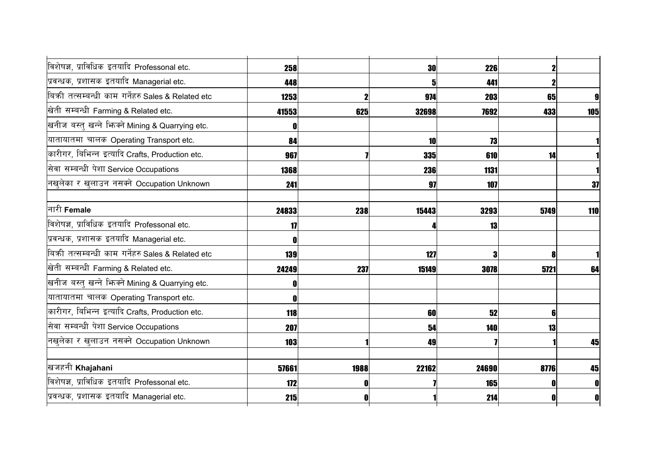| विशेषज्ञ, प्राविधिक इतयादि Professonal etc.       | 258        |      | <b>30</b> | 226   |      |     |
|---------------------------------------------------|------------|------|-----------|-------|------|-----|
| प्रवन्धक, प्रशासक इतयादि Managerial etc.          | 448        |      | 5         | 441   |      |     |
| बिकी तत्सम्बन्धी काम गर्नेहरु Sales & Related etc | 1253       |      | 974       | 203   | 65   | 9   |
| खेती सम्बन्धी Farming & Related etc.              | 41553      | 625  | 32698     | 7692  | 433  | 105 |
| खनीज बस्तु खन्ने भिन्क्ने Mining & Quarrying etc. |            |      |           |       |      |     |
| यातायातमा चालक Operating Transport etc.           | 84         |      | 10        | 73    |      |     |
| कारीगर, बिभिन्न इत्यादि Crafts, Production etc.   | 967        |      | 335       | 610   | 14   |     |
| सेवा सम्बन्धी पेशा Service Occupations            | 1368       |      | 236       | 1131  |      |     |
| नखुलेका र खुलाउन नसक्ने Occupation Unknown        | 241        |      | 97        | 107   |      | 37  |
| नारी Female                                       | 24833      | 238  | 15443     | 3293  | 5749 | 110 |
| विशेषज्ञ, प्राविधिक इतयादि Professonal etc.       | 17         |      |           | 13    |      |     |
| प्रवन्धक, प्रशासक इतयादि Managerial etc.          |            |      |           |       |      |     |
| बिकी तत्सम्बन्धी काम गर्नेहरु Sales & Related etc | 139        |      | 127       | 3     |      |     |
| खेती सम्बन्धी Farming & Related etc.              | 24249      | 237  | 15149     | 3078  | 5721 | 64  |
| खनीज बस्तु खन्ने भिन्क्ने Mining & Quarrying etc. |            |      |           |       |      |     |
| यातायातमा चालक Operating Transport etc.           |            |      |           |       |      |     |
| कारीगर, बिभिन्न इत्यादि Crafts, Production etc.   | 118        |      | 60        | 52    |      |     |
| सेवा सम्बन्धी पेशा Service Occupations            | 207        |      | 54        | 140   | 13   |     |
| नखुलेका र खुलाउन नसक्ने Occupation Unknown        | <b>103</b> |      | 49        |       |      | 45  |
| खजहनी Khajahani                                   | 57661      | 1988 | 22162     | 24690 | 8776 | 45  |
| विशेषज्ञ, प्राविधिक इतयादि Professonal etc.       | 172        |      |           | 165   |      | O   |
| प्रवन्धक, प्रशासक इतयादि Managerial etc.          | 215        |      |           | 214   |      | 0   |
|                                                   |            |      |           |       |      |     |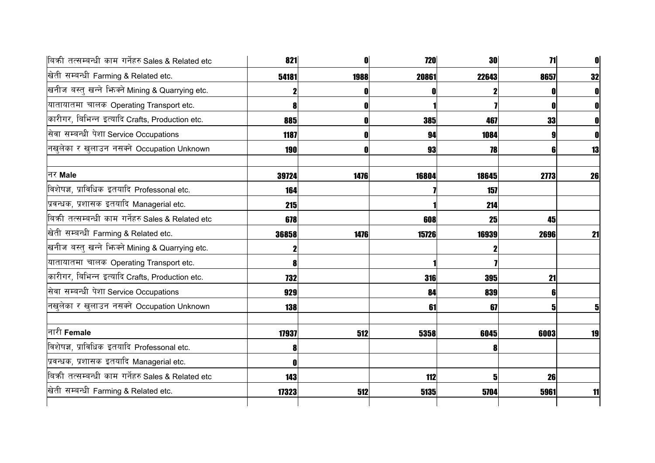| 821        |      | <b>720</b> |      | 71                        |                                                                                          |
|------------|------|------------|------|---------------------------|------------------------------------------------------------------------------------------|
| 54181      | 1988 | 20861      |      | 8657                      | 32                                                                                       |
|            |      |            |      |                           | 0                                                                                        |
|            |      |            |      |                           | 0                                                                                        |
| 885        |      |            | 467  | 33                        |                                                                                          |
| 1187       |      | 94         | 1084 |                           |                                                                                          |
| <b>190</b> |      |            |      |                           | 13                                                                                       |
| 39724      | 1476 | 16804      |      | 2773                      | 26                                                                                       |
| 164        |      |            | 157  |                           |                                                                                          |
| 215        |      |            |      |                           |                                                                                          |
| 678        |      | 608        |      | 45                        |                                                                                          |
| 36858      | 1476 |            |      | 2696                      | 21                                                                                       |
|            |      |            |      |                           |                                                                                          |
|            |      |            |      |                           |                                                                                          |
| 732        |      | 316        |      | 21                        |                                                                                          |
| 929        |      | 84         | 839  |                           |                                                                                          |
| <b>138</b> |      | 61         |      |                           | 5                                                                                        |
| 17937      | 512  | 5358       |      | 6003                      | 19                                                                                       |
|            |      |            | 8    |                           |                                                                                          |
|            |      |            |      |                           |                                                                                          |
| 143        |      | 112        |      | 26                        |                                                                                          |
| 17323      | 512  | 5135       | 5704 | 5961                      | 11                                                                                       |
|            |      |            |      | <b>385</b><br>93<br>15726 | <b>30</b><br>22643<br>78<br>18645<br>214<br>25<br>16939<br><b>395</b><br>67<br>6045<br>5 |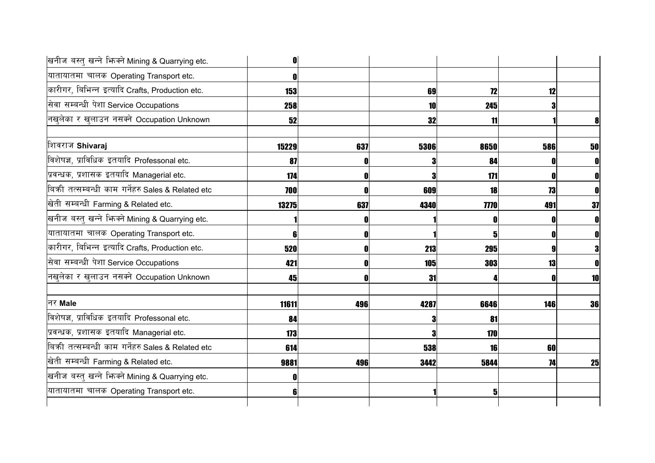| 0     |     |      |     |                                                                                                                                                                  |
|-------|-----|------|-----|------------------------------------------------------------------------------------------------------------------------------------------------------------------|
|       |     |      |     |                                                                                                                                                                  |
| 153   |     | 69   |     |                                                                                                                                                                  |
| 258   |     | 10   |     |                                                                                                                                                                  |
| 52    |     | 32   |     |                                                                                                                                                                  |
| 15229 | 637 | 5306 |     | 50                                                                                                                                                               |
| 87    |     | 3    |     | 0                                                                                                                                                                |
| 174   |     | 3    |     | O                                                                                                                                                                |
| 700   |     | 609  |     |                                                                                                                                                                  |
| 13275 | 637 | 4340 | 491 | 37                                                                                                                                                               |
|       |     |      | 0   | 0                                                                                                                                                                |
| 61    | O   |      | 0   | 0                                                                                                                                                                |
| 520   | O   | 213  | 9   | 3                                                                                                                                                                |
| 421   |     | 105  |     | 0                                                                                                                                                                |
| 45    |     | 31   |     | 10                                                                                                                                                               |
| 11611 | 496 | 4287 |     | 36                                                                                                                                                               |
| 84    |     | 3    |     |                                                                                                                                                                  |
| 173   |     | 3    |     |                                                                                                                                                                  |
| 614   |     | 538  | 60  |                                                                                                                                                                  |
| 9881  | 496 | 3442 |     | 25                                                                                                                                                               |
|       |     |      |     |                                                                                                                                                                  |
|       |     |      |     |                                                                                                                                                                  |
|       |     |      |     | 12<br>12<br>245<br>11<br>8650<br>586<br>84<br>171<br>18<br>73<br><b>7770</b><br>0<br>51<br>295<br>303<br>13<br>6646<br>146<br>81<br>170<br>16<br>5844<br>74<br>5 |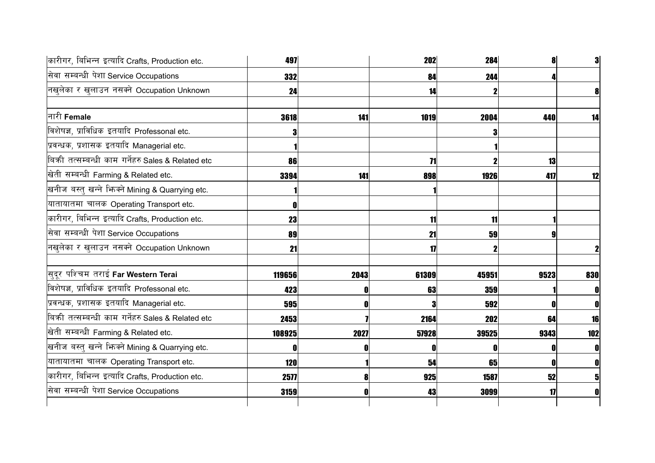| कारीगर, बिभिन्न इत्यादि Crafts, Production etc.   | 497        |      | 202   | 284   |      | 3              |
|---------------------------------------------------|------------|------|-------|-------|------|----------------|
| सेवा सम्बन्धी पेशा Service Occupations            | 332        |      | 84    | 244   |      |                |
| नखुलेका र खुलाउन नसक्ने Occupation Unknown        | 24         |      | 14    |       |      | 8              |
| नारी Female                                       | 3618       | 141  | 1019  | 2004  | 440  | 14             |
| विशेषज्ञ, प्राविधिक इतयादि Professonal etc.       |            |      |       |       |      |                |
| प्रवन्धक, प्रशासक इतयादि Managerial etc.          |            |      |       |       |      |                |
| बिकी तत्सम्बन्धी काम गर्नेहरु Sales & Related etc | 86         |      | 71    |       | 13   |                |
| खेती सम्बन्धी Farming & Related etc.              | 3394       | 141  | 898   | 1926  | 417  | 12             |
| खनीज बस्तु खन्ने भिनको Mining & Quarrying etc.    |            |      |       |       |      |                |
| यातायातमा चालक Operating Transport etc.           |            |      |       |       |      |                |
| कारीगर, बिभिन्न इत्यादि Crafts, Production etc.   | 23         |      | 11    | 11    |      |                |
| सेवा सम्बन्धी पेशा Service Occupations            | 89         |      | 21    | 59    |      |                |
| नखुलेका र खुलाउन नसक्ने Occupation Unknown        | 21         |      | 17    |       |      |                |
| सुदूर पश्चिम तराई Far Western Terai               | 119656     | 2043 | 61309 | 45951 | 9523 | 830            |
| विशेषज्ञ, प्राविधिक इतयादि Professonal etc.       | 423        |      | 63    | 359   |      | 0              |
| प्रवन्धक, प्रशासक इतयादि Managerial etc.          | 595        |      | 3     | 592   |      | 0              |
| बिकी तत्सम्बन्धी काम गर्नेहरु Sales & Related etc | 2453       |      | 2164  | 202   | 64   | 16             |
| खेती सम्बन्धी Farming & Related etc.              | 108925     | 2027 | 57928 | 39525 | 9343 | 102            |
| खनीज बस्तु खन्ने भिज्म्ने Mining & Quarrying etc. |            |      | 0     |       |      | $\mathbf{0}$   |
| यातायातमा चालक Operating Transport etc.           | <b>120</b> |      | 54    | 65    |      | $\mathbf{0}$   |
| कारीगर, बिभिन्न इत्यादि Crafts, Production etc.   | 2577       |      | 925   | 1587  | 52   | 5 <sub>l</sub> |
| सेवा सम्बन्धी पेशा Service Occupations            | 3159       |      | 43    | 3099  | 17   | 0              |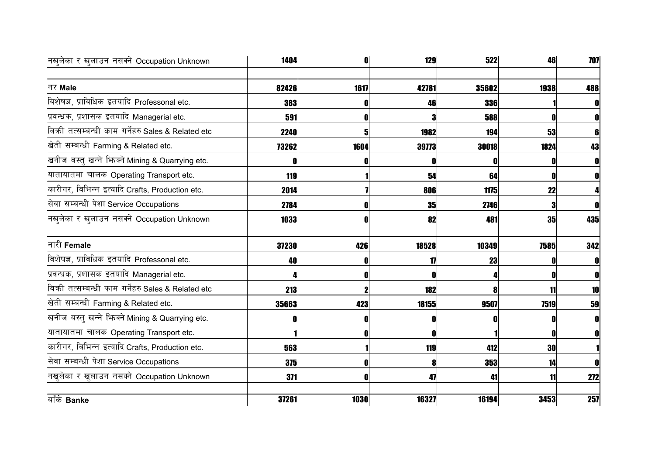| नखुलेका र खुलाउन नसक्ने Occupation Unknown          | 1404  |      | 129   | 522   | 46   | 707          |
|-----------------------------------------------------|-------|------|-------|-------|------|--------------|
|                                                     |       |      |       |       |      |              |
| नर Male                                             | 82426 | 1617 | 42781 | 35602 | 1938 | 488          |
| विशेषज्ञ, प्राविधिक इतयादि Professonal etc.         | 383   |      | 46    | 336   |      | $\mathbf 0$  |
| प्रवन्धक, प्रशासक इतयादि Managerial etc.            | 591   |      | 3     | 588   |      | 0            |
| बिकी तत्सम्बन्धी काम गर्नेहरु Sales & Related etc   | 2240  | 5    | 1982  | 194   | 53   | 6            |
| खेती सम्बन्धी Farming & Related etc.                | 73262 | 1604 | 39773 | 30018 | 1824 | 43           |
| खनीज बस्तु खन्ने भिज्मे Mining & Quarrying etc.     |       |      |       |       |      | $\mathbf{0}$ |
| यातायातमा चालक Operating Transport etc.             | 119   |      | 54    | 64    |      | $\mathbf{0}$ |
| कारीगर, बिभिन्न इत्यादि Crafts, Production etc.     | 2014  |      | 806   | 1175  | 22   |              |
| सेवा सम्बन्धी पेशा Service Occupations              | 2784  |      | 35    | 2746  |      | $\mathbf{0}$ |
| नखुलेका र खुलाउन नसक्ने Occupation Unknown          | 1033  |      | 82    | 481   | 35   | 435          |
| नारी Female                                         | 37230 | 426  | 18528 | 10349 | 7585 | 342          |
| विशेषज्ञ, प्राविधिक इतयादि Professonal etc.         | 40    |      | 17    | 23    |      | 0            |
| प्रवन्धक, प्रशासक इतयादि Managerial etc.            |       |      | Л     |       |      | 0            |
| बिक्री तत्सम्बन्धी काम गर्नेहरु Sales & Related etc | 213   |      | 182   |       | 11   | 10           |
| खेती सम्बन्धी Farming & Related etc.                | 35663 | 423  | 18155 | 9507  | 7519 | 59           |
| खनीज बस्तु खन्ने भिज्म्ने Mining & Quarrying etc.   |       |      | O     |       |      | $\mathbf{0}$ |
| यातायातमा चालक Operating Transport etc.             |       |      | Ω     |       |      | $\mathbf{0}$ |
| कारीगर, बिभिन्न इत्यादि Crafts, Production etc.     | 563   |      | 119   | 412   | 30   |              |
| सेवा सम्बन्धी पेशा Service Occupations              | 375   |      | 8     | 353   | 14   | $\mathbf{0}$ |
| नखुलेका र खुलाउन नसक्ने Occupation Unknown          | 371   |      | 47    | 41    | 11   | 272          |
| बाँके Banke                                         | 37261 | 1030 | 16327 | 16194 | 3453 | 257          |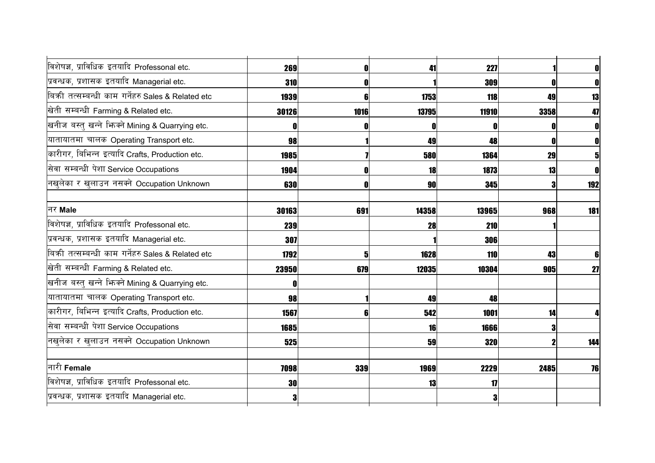| विशेषज्ञ, प्राविधिक इतयादि Professonal etc.       | 269   |      | 41        | 227        |      | $\mathbf 0$ |
|---------------------------------------------------|-------|------|-----------|------------|------|-------------|
| प्रवन्धक, प्रशासक इतयादि Managerial etc.          | 310   |      |           | 309        |      | 0           |
| बिकी तत्सम्बन्धी काम गर्नेहरु Sales & Related etc | 1939  | 6    | 1753      | 118        | 49   | 13          |
| खेती सम्बन्धी Farming & Related etc.              | 30126 | 1016 | 13795     | 11910      | 3358 | 47          |
| खनीज बस्तु खन्ने भिन्क्ने Mining & Quarrying etc. |       |      | 0         |            |      |             |
| यातायातमा चालक Operating Transport etc.           | 98    |      | 49        | 48         | O    | O           |
| कारीगर, बिभिन्न इत्यादि Crafts, Production etc.   | 1985  |      | 580       | 1364       | 29   | 5           |
| सेवा सम्बन्धी पेशा Service Occupations            | 1904  |      | 18        | 1873       | 13   | $\mathbf 0$ |
| नखुलेका र खुलाउन नसक्ने Occupation Unknown        | 630   |      | <b>90</b> | <b>345</b> |      | 192         |
| नर Male                                           | 30163 | 691  | 14358     | 13965      | 968  | 181         |
| विशेषज्ञ, प्राविधिक इतयादि Professonal etc.       | 239   |      | 28        | 210        |      |             |
| प्रवन्धक, प्रशासक इतयादि Managerial etc.          | 307   |      |           | 306        |      |             |
| बिकी तत्सम्बन्धी काम गर्नेहरु Sales & Related etc | 1792  | 5    | 1628      | 110        | 43   | 6           |
| खेती सम्बन्धी Farming & Related etc.              | 23950 | 679  | 12035     | 10304      | 905  | 27          |
| खनीज बस्तु खन्ने भिन्क्ने Mining & Quarrying etc. |       |      |           |            |      |             |
| यातायातमा चालक Operating Transport etc.           | 98    |      | 49        | 48         |      |             |
| कारीगर, बिभिन्न इत्यादि Crafts, Production etc.   | 1567  |      | 542       | 1001       | 14   |             |
| सेवा सम्बन्धी पेशा Service Occupations            | 1685  |      | 16        | 1666       | 3    |             |
| नखुलेका र खुलाउन नसक्ने Occupation Unknown        | 525   |      | 59        | 320        |      | 144         |
| नारी Female                                       | 7098  | 339  | 1969      | 2229       | 2485 | 76          |
| विशेषज्ञ, प्राविधिक इतयादि Professonal etc.       | 30    |      | 13        | 17         |      |             |
| प्रवन्धक, प्रशासक इतयादि Managerial etc.          | 3     |      |           |            |      |             |
|                                                   |       |      |           |            |      |             |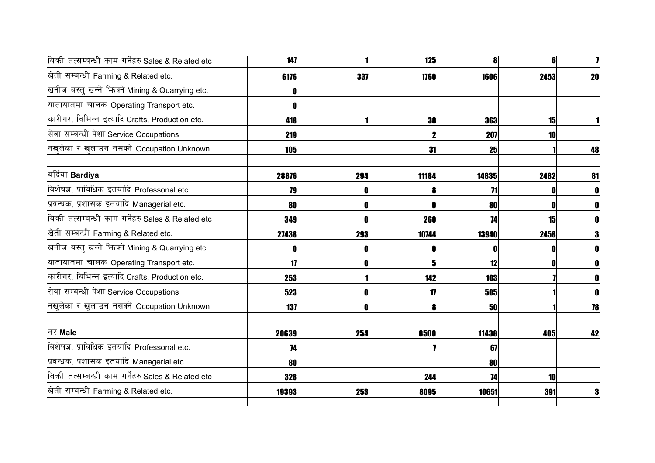| बिकी तत्सम्बन्धी काम गर्नेहरु Sales & Related etc | 147   |     | 125                     |       |      |              |
|---------------------------------------------------|-------|-----|-------------------------|-------|------|--------------|
| खेती सम्बन्धी Farming & Related etc.              | 6176  | 337 | 1760                    | 1606  | 2453 | 20           |
| खनीज बस्तु खन्ने भिज्मे Mining & Quarrying etc.   |       |     |                         |       |      |              |
| यातायातमा चालक Operating Transport etc.           |       |     |                         |       |      |              |
| कारीगर, बिभिन्न इत्यादि Crafts, Production etc.   | 418   |     | 38                      | 363   | 15   |              |
| सेवा सम्बन्धी पेशा Service Occupations            | 219   |     |                         | 207   | 10   |              |
| नखुलेका र खुलाउन नसक्ने Occupation Unknown        | 105   |     | 31                      | 25    |      | 48           |
| बर्दिया Bardiya                                   | 28876 | 294 | 11184                   | 14835 | 2482 | 81           |
| विशेषज्ञ, प्राविधिक इतयादि Professonal etc.       | 79    |     |                         | 71    |      | 0            |
| प्रवन्धक, प्रशासक इतयादि Managerial etc.          | 80    |     |                         | 80    |      | OI           |
| बिकी तत्सम्बन्धी काम गर्नेहरु Sales & Related etc | 349   |     | 260                     | 74    | 15   | 0            |
| खेती सम्बन्धी Farming & Related etc.              | 27438 | 293 | 10744                   | 13940 | 2458 | 3            |
| खनीज बस्तु खन्ने भिन्क्ने Mining & Quarrying etc. |       |     | ſ                       |       |      | 0            |
| यातायातमा चालक Operating Transport etc.           | 17    |     | $\overline{\mathbf{5}}$ | 12    |      | $\mathbf{0}$ |
| कारीगर, बिभिन्न इत्यादि Crafts, Production etc.   | 253   |     | 142                     | 103   |      | $\mathbf{0}$ |
| सेवा सम्बन्धी पेशा Service Occupations            | 523   |     | 17                      | 505   |      | $\mathbf 0$  |
| नखुलेका र खुलाउन नसक्ने Occupation Unknown        | 137   |     | 8                       | 50    |      | 78           |
| नर Male                                           | 20639 | 254 | 8500                    | 11438 | 405  | 42           |
| विशेषज्ञ, प्राविधिक इतयादि Professonal etc.       | 74    |     |                         | 67    |      |              |
| प्रवन्धक, प्रशासक इतयादि Managerial etc.          | 80    |     |                         | 80    |      |              |
| बिकी तत्सम्बन्धी काम गर्नेहरु Sales & Related etc | 328   |     | 244                     | 74    | 10   |              |
| खेती सम्बन्धी Farming & Related etc.              | 19393 | 253 | 8095                    | 10651 | 391  | 3            |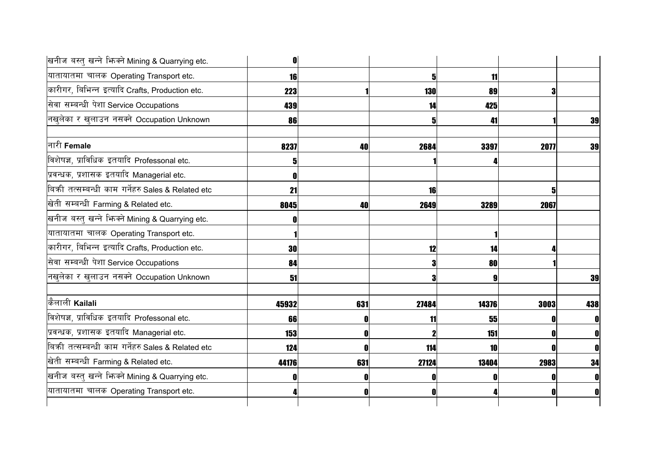| खनीज बस्तु खन्ने भिज्मे Mining & Quarrying etc.   | 0         |     |            |       |      |              |
|---------------------------------------------------|-----------|-----|------------|-------|------|--------------|
| यातायातमा चालक Operating Transport etc.           | <b>16</b> |     | 5          | 11    |      |              |
| कारीगर, बिभिन्न इत्यादि Crafts, Production etc.   | 223       |     | <b>130</b> | 89    |      |              |
| सेवा सम्बन्धी पेशा Service Occupations            | 439       |     | 14         | 425   |      |              |
| नखुलेका र खुलाउन नसक्ने Occupation Unknown        | 86        |     | 5          | 41    |      | 39           |
| नारी Female                                       | 8237      | 40  | 2684       | 3397  | 2077 | 39           |
| विशेषज्ञ, प्राविधिक इतयादि Professonal etc.       |           |     |            |       |      |              |
| प्रवन्धक, प्रशासक इतयादि Managerial etc.          |           |     |            |       |      |              |
| बिकी तत्सम्बन्धी काम गर्नेहरु Sales & Related etc | 21        |     | 16         |       |      |              |
| खेती सम्बन्धी Farming & Related etc.              | 8045      | 40  | 2649       | 3289  | 2067 |              |
| खनीज बस्तु खन्ने भिज्मे Mining & Quarrying etc.   |           |     |            |       |      |              |
| यातायातमा चालक Operating Transport etc.           |           |     |            |       |      |              |
| कारीगर, बिभिन्न इत्यादि Crafts, Production etc.   | 30        |     | 12         | 14    |      |              |
| सेवा सम्बन्धी पेशा Service Occupations            | 84        |     | 3          | 80    |      |              |
| नखुलेका र खुलाउन नसक्ने Occupation Unknown        | 51        |     | 3          |       |      | 39           |
| कैलाली Kailali                                    | 45932     | 631 | 27484      | 14376 | 3003 | 438          |
| विशेषज्ञ, प्राविधिक इतयादि Professonal etc.       | 66        |     | 11         | 55    |      | 0            |
| प्रवन्धक, प्रशासक इतयादि Managerial etc.          | 153       |     |            | 151   |      | $\mathbf{0}$ |
| बिकी तत्सम्बन्धी काम गर्नेहरु Sales & Related etc | 124       |     | 114        | 10    |      | $\mathbf{0}$ |
| खेती सम्बन्धी Farming & Related etc.              | 44176     | 631 | 27124      | 13404 | 2983 | 34           |
| खनीज बस्तु खन्ने भिज्मे Mining & Quarrying etc.   |           |     |            |       |      |              |
| यातायातमा चालक Operating Transport etc.           |           |     | ı          |       |      | 0            |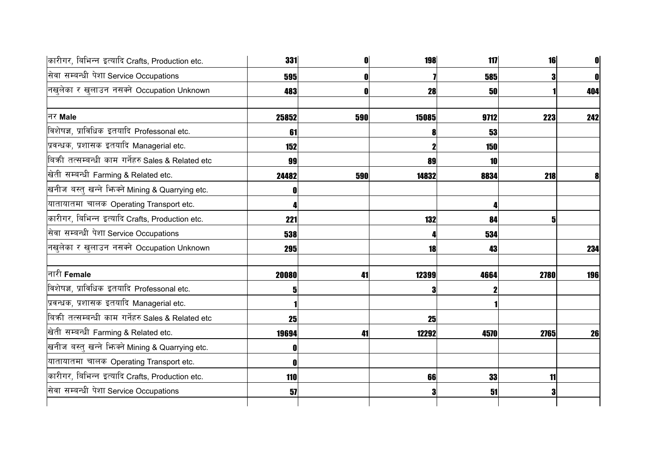| कारीगर, बिभिन्न इत्यादि Crafts, Production etc.   | 331   |     | 198   | 117        | 16   | $\mathbf{0}$ |
|---------------------------------------------------|-------|-----|-------|------------|------|--------------|
| सेवा सम्बन्धी पेशा Service Occupations            | 595   |     |       | 585        |      | $\mathbf{0}$ |
| नखुलेका र खुलाउन नसक्ने Occupation Unknown        | 483   |     | 28    | 50         |      | 404          |
| नर Male                                           | 25852 | 590 | 15085 | 9712       | 223  | 242          |
| विशेषज्ञ, प्राविधिक इतयादि Professonal etc.       | 61    |     | 8     | 53         |      |              |
| प्रवन्धक, प्रशासक इतयादि Managerial etc.          | 152   |     | 2     | <b>150</b> |      |              |
| बिकी तत्सम्बन्धी काम गर्नेहरु Sales & Related etc | 99    |     | 89    | 10         |      |              |
| खेती सम्बन्धी Farming & Related etc.              | 24482 | 590 | 14832 | 8834       | 218  | 8            |
| खनीज बस्तु खन्ने भिज्म्ने Mining & Quarrying etc. |       |     |       |            |      |              |
| यातायातमा चालक Operating Transport etc.           |       |     |       |            |      |              |
| कारीगर, बिभिन्न इत्यादि Crafts, Production etc.   | 221   |     | 132   | 84         |      |              |
| सेवा सम्बन्धी पेशा Service Occupations            | 538   |     |       | 534        |      |              |
| नखलेका र खुलाउन नसक्ने Occupation Unknown         | 295   |     | 18    | 43         |      | 234          |
| नारी Female                                       | 20080 | 41  | 12399 | 4664       | 2780 | 196          |
| विशेषज्ञ, प्राविधिक इतयादि Professonal etc.       |       |     | 3     |            |      |              |
| प्रवन्धक, प्रशासक इतयादि Managerial etc.          |       |     |       |            |      |              |
| बिकी तत्सम्बन्धी काम गर्नेहरु Sales & Related etc | 25    |     | 25    |            |      |              |
| खेती सम्बन्धी Farming & Related etc.              | 19694 | 41  | 12292 | 4570       | 2765 | 26           |
| खनीज बस्तु खन्ने भिज्मे Mining & Quarrying etc.   | 0     |     |       |            |      |              |
| यातायातमा चालक Operating Transport etc.           |       |     |       |            |      |              |
| कारीगर, बिभिन्न इत्यादि Crafts, Production etc.   | 110   |     | 66    | 33         | 11   |              |
| सेवा सम्बन्धी पेशा Service Occupations            | 57    |     | 3     | 51         |      |              |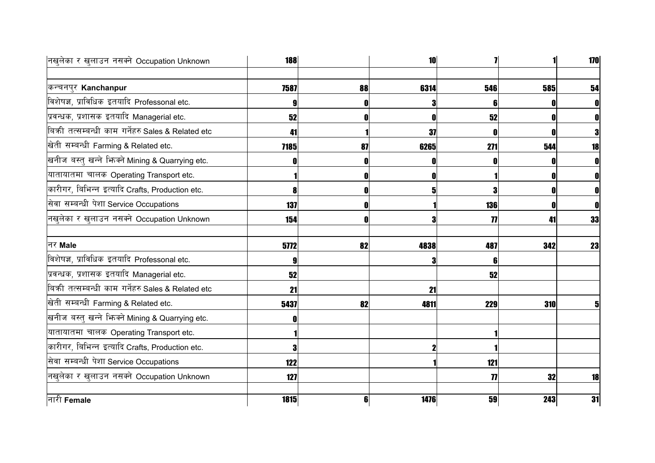| नखुलेका र खुलाउन नसक्ने Occupation Unknown        | <b>188</b> |    | 10          |                     |     | 170 |
|---------------------------------------------------|------------|----|-------------|---------------------|-----|-----|
| कन्चनपुर Kanchanpur                               | 7587       | 88 | 6314        | 546                 | 585 | 54  |
| विशेषज्ञ, प्राविधिक इतयादि Professonal etc.       |            |    | 3           | 6                   | 0   |     |
| प्रवन्धक, प्रशासक इतयादि Managerial etc.          | 52         |    | $\mathbf 0$ | 52                  | 0   |     |
| बिकी तत्सम्बन्धी काम गर्नेहरु Sales & Related etc | 41         |    | 37          | $\mathbf 0$         | 0   | 3   |
| खेती सम्बन्धी Farming & Related etc.              | 7185       | 87 | 6265        | 271                 | 544 | 18  |
| खनीज बस्तु खन्ने भिज्मे Mining & Quarrying etc.   |            |    | O           |                     | 0   |     |
| यातायातमा चालक Operating Transport etc.           |            |    | 0           |                     | O   |     |
| कारीगर, बिभिन्न इत्यादि Crafts, Production etc.   |            |    | 5           | 3                   | O   |     |
| सेवा सम्बन्धी पेशा Service Occupations            | 137        |    |             | 136                 | O   |     |
| नखुलेका र खुलाउन नसक्ने Occupation Unknown        | 154        |    | 3           | $\boldsymbol{\eta}$ | 41  | 33  |
| नर Male                                           | 5772       | 82 | 4838        | 487                 | 342 | 23  |
| विशेषज्ञ, प्राविधिक इतयादि Professonal etc.       |            |    | 3           | ĥ                   |     |     |
| प्रवन्धक, प्रशासक इतयादि Managerial etc.          | 52         |    |             | 52                  |     |     |
| बिकी तत्सम्बन्धी काम गर्नेहरु Sales & Related etc | 21         |    | 21          |                     |     |     |
| खेती सम्बन्धी Farming & Related etc.              | 5437       | 82 | 4811        | 229                 | 310 |     |
| खनीज बस्तु खन्ने भिन्क्ने Mining & Quarrying etc. |            |    |             |                     |     |     |
| यातायातमा चालक Operating Transport etc.           |            |    |             |                     |     |     |
| कारीगर, बिभिन्न इत्यादि Crafts, Production etc.   |            |    |             |                     |     |     |
| सेवा सम्बन्धी पेशा Service Occupations            | 122        |    |             | 121                 |     |     |
| नखुलेका र खुलाउन नसक्ने Occupation Unknown        | 127        |    |             | $\boldsymbol{\eta}$ | 32  | 18  |
| नारी Female                                       | 1815       | 6  | 1476        | 59                  | 243 | 31  |